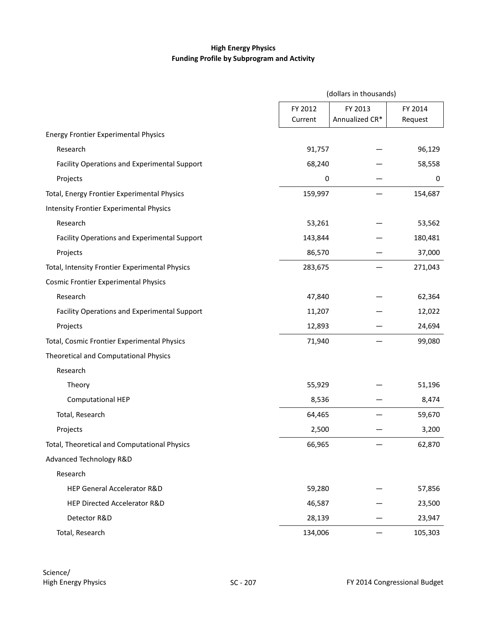## **High Energy Physics Funding Profile by Subprogram and Activity**

|                                                | (dollars in thousands) |                           |                    |  |
|------------------------------------------------|------------------------|---------------------------|--------------------|--|
|                                                | FY 2012<br>Current     | FY 2013<br>Annualized CR* | FY 2014<br>Request |  |
| <b>Energy Frontier Experimental Physics</b>    |                        |                           |                    |  |
| Research                                       | 91,757                 |                           | 96,129             |  |
| Facility Operations and Experimental Support   | 68,240                 |                           | 58,558             |  |
| Projects                                       | 0                      |                           | 0                  |  |
| Total, Energy Frontier Experimental Physics    | 159,997                |                           | 154,687            |  |
| <b>Intensity Frontier Experimental Physics</b> |                        |                           |                    |  |
| Research                                       | 53,261                 |                           | 53,562             |  |
| Facility Operations and Experimental Support   | 143,844                |                           | 180,481            |  |
| Projects                                       | 86,570                 |                           | 37,000             |  |
| Total, Intensity Frontier Experimental Physics | 283,675                |                           | 271,043            |  |
| <b>Cosmic Frontier Experimental Physics</b>    |                        |                           |                    |  |
| Research                                       | 47,840                 |                           | 62,364             |  |
| Facility Operations and Experimental Support   | 11,207                 |                           | 12,022             |  |
| Projects                                       | 12,893                 |                           | 24,694             |  |
| Total, Cosmic Frontier Experimental Physics    | 71,940                 |                           | 99,080             |  |
| Theoretical and Computational Physics          |                        |                           |                    |  |
| Research                                       |                        |                           |                    |  |
| Theory                                         | 55,929                 |                           | 51,196             |  |
| <b>Computational HEP</b>                       | 8,536                  |                           | 8,474              |  |
| Total, Research                                | 64,465                 |                           | 59,670             |  |
| Projects                                       | 2,500                  |                           | 3,200              |  |
| Total, Theoretical and Computational Physics   | 66,965                 |                           | 62,870             |  |
| Advanced Technology R&D                        |                        |                           |                    |  |
| Research                                       |                        |                           |                    |  |
| HEP General Accelerator R&D                    | 59,280                 |                           | 57,856             |  |
| HEP Directed Accelerator R&D                   | 46,587                 |                           | 23,500             |  |
| Detector R&D                                   | 28,139                 |                           | 23,947             |  |
| Total, Research                                | 134,006                |                           | 105,303            |  |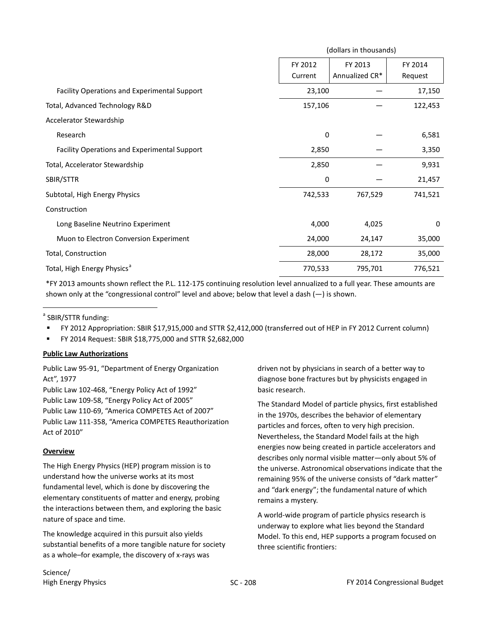|                                              | (dollars in thousands) |                           |                    |  |
|----------------------------------------------|------------------------|---------------------------|--------------------|--|
|                                              | FY 2012<br>Current     | FY 2013<br>Annualized CR* | FY 2014<br>Request |  |
| Facility Operations and Experimental Support | 23,100                 |                           | 17,150             |  |
| Total, Advanced Technology R&D               | 157,106                |                           | 122,453            |  |
| Accelerator Stewardship                      |                        |                           |                    |  |
| Research                                     | 0                      |                           | 6,581              |  |
| Facility Operations and Experimental Support | 2,850                  |                           | 3,350              |  |
| Total, Accelerator Stewardship               | 2,850                  |                           | 9,931              |  |
| SBIR/STTR                                    | 0                      |                           | 21,457             |  |
| Subtotal, High Energy Physics                | 742,533                | 767,529                   | 741,521            |  |
| Construction                                 |                        |                           |                    |  |
| Long Baseline Neutrino Experiment            | 4,000                  | 4,025                     | 0                  |  |
| Muon to Electron Conversion Experiment       | 24,000                 | 24,147                    | 35,000             |  |
| Total, Construction                          | 28,000                 | 28,172                    | 35,000             |  |
| Total, High Energy Physics <sup>a</sup>      | 770,533                | 795,701                   | 776,521            |  |

\*FY 2013 amounts shown reflect the P.L. 112-175 continuing resolution level annualized to a full year. These amounts are shown only at the "congressional control" level and above; below that level a dash (—) is shown.

<sup>a</sup> SBIR/STTR funding:

 $\overline{a}$ 

- FY 2012 Appropriation: SBIR \$17,915,000 and STTR \$2,412,000 (transferred out of HEP in FY 2012 Current column)
- FY 2014 Request: SBIR \$18,775,000 and STTR \$2,682,000

#### **Public Law Authorizations**

Public Law 95-91, "Department of Energy Organization Act", 1977

Public Law 102-468, "Energy Policy Act of 1992" Public Law 109-58, "Energy Policy Act of 2005" Public Law 110-69, "America COMPETES Act of 2007" Public Law 111-358, "America COMPETES Reauthorization Act of 2010"

## **Overview**

The High Energy Physics (HEP) program mission is to understand how the universe works at its most fundamental level, which is done by discovering the elementary constituents of matter and energy, probing the interactions between them, and exploring the basic nature of space and time.

The knowledge acquired in this pursuit also yields substantial benefits of a more tangible nature for society as a whole–for example, the discovery of x-rays was

driven not by physicians in search of a better way to diagnose bone fractures but by physicists engaged in basic research.

The Standard Model of particle physics, first established in the 1970s, describes the behavior of elementary particles and forces, often to very high precision. Nevertheless, the Standard Model fails at the high energies now being created in particle accelerators and describes only normal visible matter—only about 5% of the universe. Astronomical observations indicate that the remaining 95% of the universe consists of "dark matter" and "dark energy"; the fundamental nature of which remains a mystery.

A world-wide program of particle physics research is underway to explore what lies beyond the Standard Model. To this end, HEP supports a program focused on three scientific frontiers:

Science/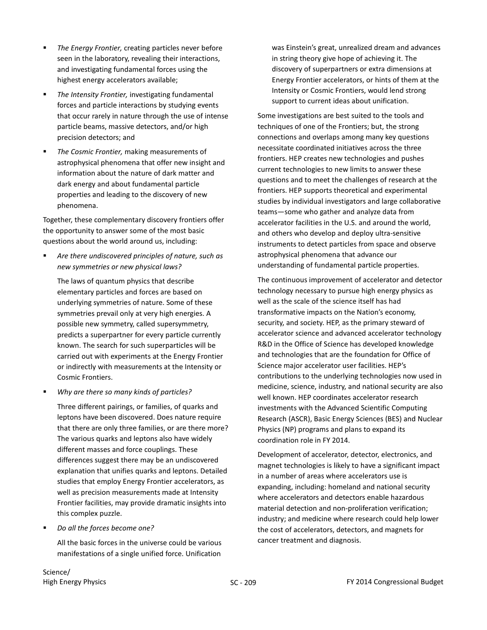- *The Energy Frontier,* creating particles never before seen in the laboratory, revealing their interactions, and investigating fundamental forces using the highest energy accelerators available;
- *The Intensity Frontier,* investigating fundamental forces and particle interactions by studying events that occur rarely in nature through the use of intense particle beams, massive detectors, and/or high precision detectors; and
- *The Cosmic Frontier,* making measurements of astrophysical phenomena that offer new insight and information about the nature of dark matter and dark energy and about fundamental particle properties and leading to the discovery of new phenomena.

Together, these complementary discovery frontiers offer the opportunity to answer some of the most basic questions about the world around us, including:

<span id="page-2-0"></span> *Are there undiscovered principles of nature, such as new symmetries or new physical laws?*

The laws of quantum physics that describe elementary particles and forces are based on underlying symmetries of nature. Some of these symmetries prevail only at very high energies. A possible new symmetry, called supersymmetry, predicts a superpartner for every particle currently known. The search for such superparticles will be carried out with experiments at the Energy Frontier or indirectly with measurements at the Intensity or Cosmic Frontiers.

*Why are there so many kinds of particles?*

Three different pairings, or families, of quarks and leptons have been discovered. Does nature require that there are only three families, or are there more? The various quarks and leptons also have widely different masses and force couplings. These differences suggest there may be an undiscovered explanation that unifies quarks and leptons. Detailed studies that employ Energy Frontier accelerators, as well as precision measurements made at Intensity Frontier facilities, may provide dramatic insights into this complex puzzle.

*Do all the forces become one?*

All the basic forces in the universe could be various manifestations of a single unified force. Unification

was Einstein's great, unrealized dream and advances in string theory give hope of achieving it. The discovery of superpartners or extra dimensions at Energy Frontier accelerators, or hints of them at the Intensity or Cosmic Frontiers, would lend strong support to current ideas about unification.

Some investigations are best suited to the tools and techniques of one of the Frontiers; but, the strong connections and overlaps among many key questions necessitate coordinated initiatives across the three frontiers. HEP creates new technologies and pushes current technologies to new limits to answer these questions and to meet the challenges of research at the frontiers. HEP supports theoretical and experimental studies by individual investigators and large collaborative teams—some who gather and analyze data from accelerator facilities in the U.S. and around the world, and others who develop and deploy ultra-sensitive instruments to detect particles from space and observe astrophysical phenomena that advance our understanding of fundamental particle properties.

The continuous improvement of accelerator and detector technology necessary to pursue high energy physics as well as the scale of the science itself has had transformative impacts on the Nation's economy, security, and society. HEP, as the primary steward of accelerator science and advanced accelerator technology R&D in the Office of Science has developed knowledge and technologies that are the foundation for Office of Science major accelerator user facilities. HEP's contributions to the underlying technologies now used in medicine, science, industry, and national security are also well known. HEP coordinates accelerator research investments with the Advanced Scientific Computing Research (ASCR), Basic Energy Sciences (BES) and Nuclear Physics (NP) programs and plans to expand its coordination role in FY 2014.

Development of accelerator, detector, electronics, and magnet technologies is likely to have a significant impact in a number of areas where accelerators use is expanding, including: homeland and national security where accelerators and detectors enable hazardous material detection and non-proliferation verification; industry; and medicine where research could help lower the cost of accelerators, detectors, and magnets for cancer treatment and diagnosis.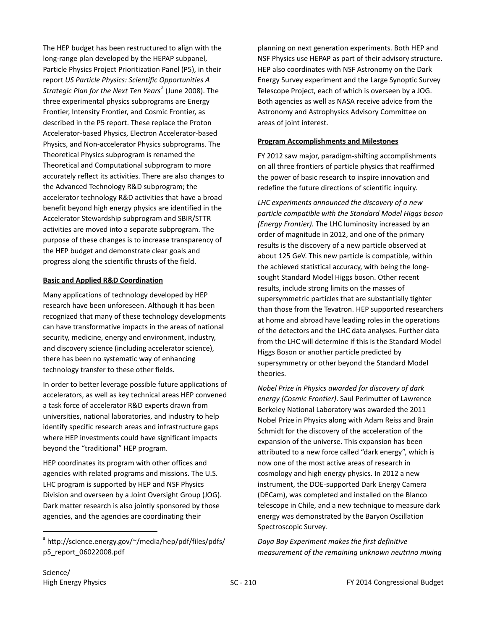The HEP budget has been restructured to align with the long-range plan developed by the HEPAP subpanel, Particle Physics Project Prioritization Panel (P5), in their report *US Particle Physics: Scientific Opportunities A Str[a](#page-3-0)tegic Plan for the Next Ten Years<sup>a</sup> (June 2008). The* three experimental physics subprograms are Energy Frontier, Intensity Frontier, and Cosmic Frontier, as described in the P5 report. These replace the Proton Accelerator-based Physics, Electron Accelerator-based Physics, and Non-accelerator Physics subprograms. The Theoretical Physics subprogram is renamed the Theoretical and Computational subprogram to more accurately reflect its activities. There are also changes to the Advanced Technology R&D subprogram; the accelerator technology R&D activities that have a broad benefit beyond high energy physics are identified in the Accelerator Stewardship subprogram and SBIR/STTR activities are moved into a separate subprogram. The purpose of these changes is to increase transparency of the HEP budget and demonstrate clear goals and progress along the scientific thrusts of the field.

## **Basic and Applied R&D Coordination**

Many applications of technology developed by HEP research have been unforeseen. Although it has been recognized that many of these technology developments can have transformative impacts in the areas of national security, medicine, energy and environment, industry, and discovery science (including accelerator science), there has been no systematic way of enhancing technology transfer to these other fields.

In order to better leverage possible future applications of accelerators, as well as key technical areas HEP convened a task force of accelerator R&D experts drawn from universities, national laboratories, and industry to help identify specific research areas and infrastructure gaps where HEP investments could have significant impacts beyond the "traditional" HEP program.

HEP coordinates its program with other offices and agencies with related programs and missions. The U.S. LHC program is supported by HEP and NSF Physics Division and overseen by a Joint Oversight Group (JOG). Dark matter research is also jointly sponsored by those agencies, and the agencies are coordinating their

planning on next generation experiments. Both HEP and NSF Physics use HEPAP as part of their advisory structure. HEP also coordinates with NSF Astronomy on the Dark Energy Survey experiment and the Large Synoptic Survey Telescope Project, each of which is overseen by a JOG. Both agencies as well as NASA receive advice from the Astronomy and Astrophysics Advisory Committee on areas of joint interest.

#### **Program Accomplishments and Milestones**

FY 2012 saw major, paradigm-shifting accomplishments on all three frontiers of particle physics that reaffirmed the power of basic research to inspire innovation and redefine the future directions of scientific inquiry.

*LHC experiments announced the discovery of a new particle compatible with the Standard Model Higgs boson (Energy Frontier).* The LHC luminosity increased by an order of magnitude in 2012, and one of the primary results is the discovery of a new particle observed at about 125 GeV. This new particle is compatible, within the achieved statistical accuracy, with being the longsought Standard Model Higgs boson. Other recent results, include strong limits on the masses of supersymmetric particles that are substantially tighter than those from the Tevatron. HEP supported researchers at home and abroad have leading roles in the operations of the detectors and the LHC data analyses. Further data from the LHC will determine if this is the Standard Model Higgs Boson or another particle predicted by supersymmetry or other beyond the Standard Model theories.

*Nobel Prize in Physics awarded for discovery of dark energy (Cosmic Frontier)*. Saul Perlmutter of Lawrence Berkeley National Laboratory was awarded the 2011 Nobel Prize in Physics along with Adam Reiss and Brain Schmidt for the discovery of the acceleration of the expansion of the universe. This expansion has been attributed to a new force called "dark energy", which is now one of the most active areas of research in cosmology and high energy physics. In 2012 a new instrument, the DOE-supported Dark Energy Camera (DECam), was completed and installed on the Blanco telescope in Chile, and a new technique to measure dark energy was demonstrated by the Baryon Oscillation Spectroscopic Survey.

*Daya Bay Experiment makes the first definitive measurement of the remaining unknown neutrino mixing* 

<span id="page-3-0"></span><sup>&</sup>lt;sup>a</sup> [http://science.energy.gov/~/media/hep/pdf/files/pdfs/](http://science.energy.gov/~/media/hep/pdf/files/pdfs/p5_report_06022008.pdf) [p5\\_report\\_06022008.pdf](http://science.energy.gov/~/media/hep/pdf/files/pdfs/p5_report_06022008.pdf)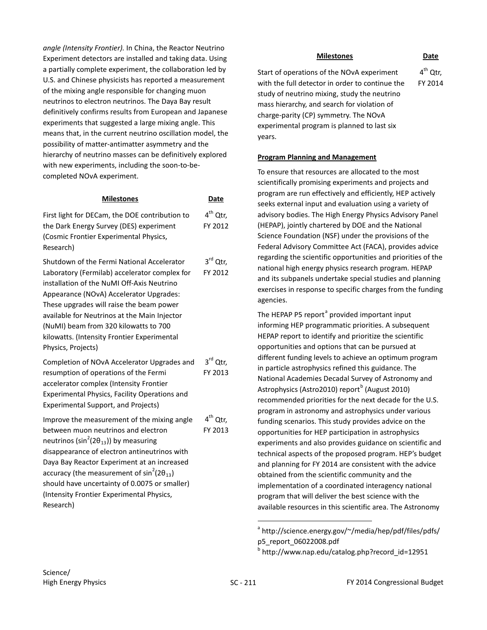*angle (Intensity Frontier).* In China, the Reactor Neutrino Experiment detectors are installed and taking data. Using a partially complete experiment, the collaboration led by U.S. and Chinese physicists has reported a measurement of the mixing angle responsible for changing muon neutrinos to electron neutrinos. The Daya Bay result definitively confirms results from European and Japanese experiments that suggested a large mixing angle. This means that, in the current neutrino oscillation model, the possibility of matter-antimatter asymmetry and the hierarchy of neutrino masses can be definitively explored with new experiments, including the soon-to-becompleted NOvA experiment.

| <b>Milestones</b>                                                                                                                                                                                                                                                                                                                                                                                                  | Date                            |
|--------------------------------------------------------------------------------------------------------------------------------------------------------------------------------------------------------------------------------------------------------------------------------------------------------------------------------------------------------------------------------------------------------------------|---------------------------------|
| First light for DECam, the DOE contribution to<br>the Dark Energy Survey (DES) experiment<br>(Cosmic Frontier Experimental Physics,<br>Research)                                                                                                                                                                                                                                                                   | 4 <sup>th</sup> Qtr,<br>FY 2012 |
| Shutdown of the Fermi National Accelerator<br>Laboratory (Fermilab) accelerator complex for<br>installation of the NuMI Off-Axis Neutrino<br>Appearance (NOvA) Accelerator Upgrades:<br>These upgrades will raise the beam power<br>available for Neutrinos at the Main Injector<br>(NuMI) beam from 320 kilowatts to 700<br>kilowatts. (Intensity Frontier Experimental<br>Physics, Projects)                     | 3rd Qtr,<br>FY 2012             |
| Completion of NOvA Accelerator Upgrades and<br>resumption of operations of the Fermi<br>accelerator complex (Intensity Frontier<br>Experimental Physics, Facility Operations and<br><b>Experimental Support, and Projects)</b>                                                                                                                                                                                     | $3rd$ Qtr,<br>FY 2013           |
| Improve the measurement of the mixing angle<br>between muon neutrinos and electron<br>neutrinos (sin <sup>2</sup> (2 $\theta_{13}$ )) by measuring<br>disappearance of electron antineutrinos with<br>Daya Bay Reactor Experiment at an increased<br>accuracy (the measurement of $sin^2(2\theta_{13})$<br>should have uncertainty of 0.0075 or smaller)<br>(Intensity Frontier Experimental Physics,<br>Research) | 4 <sup>th</sup> Qtr,<br>FY 2013 |

## **Milestones Date** Start of operations of the NOvA experiment with the full detector in order to continue the  $4<sup>th</sup>$  Qtr. FY 2014

study of neutrino mixing, study the neutrino mass hierarchy, and search for violation of charge-parity (CP) symmetry. The NOvA experimental program is planned to last six years.

## **Program Planning and Management**

To ensure that resources are allocated to the most scientifically promising experiments and projects and program are run effectively and efficiently, HEP actively seeks external input and evaluation using a variety of advisory bodies. The High Energy Physics Advisory Panel (HEPAP), jointly chartered by DOE and the National Science Foundation (NSF) under the provisions of the Federal Advisory Committee Act (FACA), provides advice regarding the scientific opportunities and priorities of the national high energy physics research program. HEPAP and its subpanels undertake special studies and planning exercises in response to specific charges from the funding agencies.

The HEPAP P5 report<sup>[a](#page-4-0)</sup> provided important input informing HEP programmatic priorities. A subsequent HEPAP report to identify and prioritize the scientific opportunities and options that can be pursued at different funding levels to achieve an optimum program in particle astrophysics refined this guidance. The National Academies Decadal Survey of Astronomy and Astrophysics (Astro2010) report<sup>[b](#page-4-1)</sup> (August 2010) recommended priorities for the next decade for the U.S. program in astronomy and astrophysics under various funding scenarios. This study provides advice on the opportunities for HEP participation in astrophysics experiments and also provides guidance on scientific and technical aspects of the proposed program. HEP's budget and planning for FY 2014 are consistent with the advice obtained from the scientific community and the implementation of a coordinated interagency national program that will deliver the best science with the available resources in this scientific area. The Astronomy

<span id="page-4-0"></span><sup>&</sup>lt;sup>a</sup> [http://science.energy.gov/~/media/hep/pdf/files/pdfs/](http://science.energy.gov/~/media/hep/pdf/files/pdfs/p5_report_06022008.pdf) [p5\\_report\\_06022008.pdf](http://science.energy.gov/~/media/hep/pdf/files/pdfs/p5_report_06022008.pdf)

<span id="page-4-1"></span><sup>b</sup> [http://www.nap.edu/catalog.php?record\\_id=12951](http://www.nap.edu/catalog.php?record_id=12951)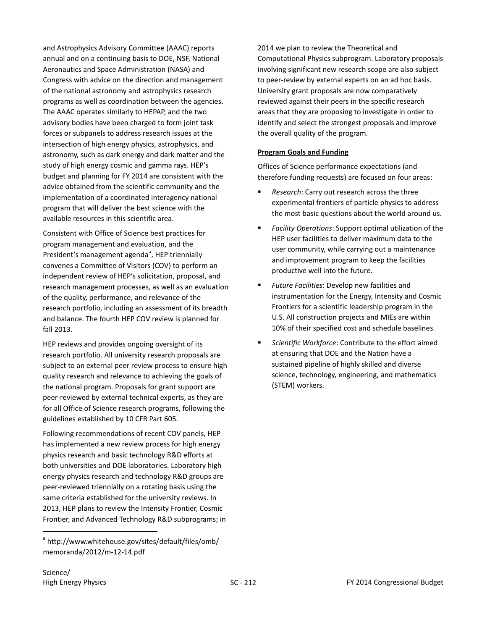and Astrophysics Advisory Committee (AAAC) reports annual and on a continuing basis to DOE, NSF, National Aeronautics and Space Administration (NASA) and Congress with advice on the direction and management of the national astronomy and astrophysics research programs as well as coordination between the agencies. The AAAC operates similarly to HEPAP, and the two advisory bodies have been charged to form joint task forces or subpanels to address research issues at the intersection of high energy physics, astrophysics, and astronomy, such as dark energy and dark matter and the study of high energy cosmic and gamma rays. HEP's budget and planning for FY 2014 are consistent with the advice obtained from the scientific community and the implementation of a coordinated interagency national program that will deliver the best science with the available resources in this scientific area.

Consistent with Office of Science best practices for program management and evaluation, and the President's m[a](#page-5-0)nagement agenda<sup>a</sup>, HEP triennially convenes a Committee of Visitors (COV) to perform an independent review of HEP's solicitation, proposal, and research management processes, as well as an evaluation of the quality, performance, and relevance of the research portfolio, including an assessment of its breadth and balance. The fourth HEP COV review is planned for fall 2013.

HEP reviews and provides ongoing oversight of its research portfolio. All university research proposals are subject to an external peer review process to ensure high quality research and relevance to achieving the goals of the national program. Proposals for grant support are peer-reviewed by external technical experts, as they are for all Office of Science research programs, following the guidelines established by 10 CFR Part 605.

Following recommendations of recent COV panels, HEP has implemented a new review process for high energy physics research and basic technology R&D efforts at both universities and DOE laboratories. Laboratory high energy physics research and technology R&D groups are peer-reviewed triennially on a rotating basis using the same criteria established for the university reviews. In 2013, HEP plans to review the Intensity Frontier, Cosmic Frontier, and Advanced Technology R&D subprograms; in 2014 we plan to review the Theoretical and Computational Physics subprogram. Laboratory proposals involving significant new research scope are also subject to peer-review by external experts on an ad hoc basis. University grant proposals are now comparatively reviewed against their peers in the specific research areas that they are proposing to investigate in order to identify and select the strongest proposals and improve the overall quality of the program.

#### **Program Goals and Funding**

Offices of Science performance expectations (and therefore funding requests) are focused on four areas:

- *Research*: Carry out research across the three experimental frontiers of particle physics to address the most basic questions about the world around us.
- *Facility Operations*: Support optimal utilization of the HEP user facilities to deliver maximum data to the user community, while carrying out a maintenance and improvement program to keep the facilities productive well into the future.
- *Future Facilities*: Develop new facilities and instrumentation for the Energy, Intensity and Cosmic Frontiers for a scientific leadership program in the U.S. All construction projects and MIEs are within 10% of their specified cost and schedule baselines.
- *Scientific Workforce*: Contribute to the effort aimed at ensuring that DOE and the Nation have a sustained pipeline of highly skilled and diverse science, technology, engineering, and mathematics (STEM) workers.

<span id="page-5-0"></span><sup>&</sup>lt;sup>a</sup> [http://www.whitehouse.gov/sites/default/files/omb/](http://www.whitehouse.gov/sites/default/files/omb/memoranda/2012/m-12-14.pdf) [memoranda/2012/m-12-14.pdf](http://www.whitehouse.gov/sites/default/files/omb/memoranda/2012/m-12-14.pdf)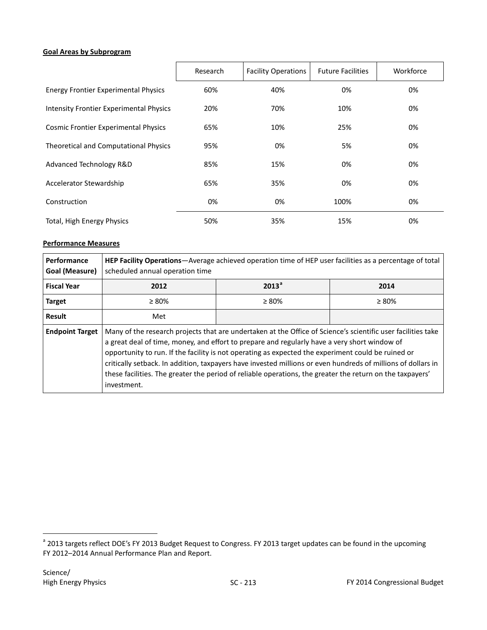#### **Goal Areas by Subprogram**

|                                                | Research | <b>Facility Operations</b> | <b>Future Facilities</b> | Workforce |
|------------------------------------------------|----------|----------------------------|--------------------------|-----------|
| <b>Energy Frontier Experimental Physics</b>    | 60%      | 40%                        | 0%                       | 0%        |
| <b>Intensity Frontier Experimental Physics</b> | 20%      | 70%                        | 10%                      | 0%        |
| <b>Cosmic Frontier Experimental Physics</b>    | 65%      | 10%                        | 25%                      | 0%        |
| Theoretical and Computational Physics          | 95%      | 0%                         | 5%                       | 0%        |
| Advanced Technology R&D                        | 85%      | 15%                        | 0%                       | 0%        |
| Accelerator Stewardship                        | 65%      | 35%                        | 0%                       | 0%        |
| Construction                                   | 0%       | 0%                         | 100%                     | 0%        |
| Total, High Energy Physics                     | 50%      | 35%                        | 15%                      | 0%        |

#### **Performance Measures**

| <b>Performance</b><br>Goal (Measure) | <b>HEP Facility Operations</b> —Average achieved operation time of HEP user facilities as a percentage of total<br>scheduled annual operation time                                                                                                                                                                                                                                                                                                                                                                                                             |                   |             |  |
|--------------------------------------|----------------------------------------------------------------------------------------------------------------------------------------------------------------------------------------------------------------------------------------------------------------------------------------------------------------------------------------------------------------------------------------------------------------------------------------------------------------------------------------------------------------------------------------------------------------|-------------------|-------------|--|
| <b>Fiscal Year</b>                   | 2012                                                                                                                                                                                                                                                                                                                                                                                                                                                                                                                                                           | 2013 <sup>a</sup> | 2014        |  |
| <b>Target</b>                        | $\geq 80\%$                                                                                                                                                                                                                                                                                                                                                                                                                                                                                                                                                    | $\geq 80\%$       | $\geq 80\%$ |  |
| <b>Result</b>                        | Met                                                                                                                                                                                                                                                                                                                                                                                                                                                                                                                                                            |                   |             |  |
| <b>Endpoint Target</b>               | Many of the research projects that are undertaken at the Office of Science's scientific user facilities take<br>a great deal of time, money, and effort to prepare and regularly have a very short window of<br>opportunity to run. If the facility is not operating as expected the experiment could be ruined or<br>critically setback. In addition, taxpayers have invested millions or even hundreds of millions of dollars in<br>these facilities. The greater the period of reliable operations, the greater the return on the taxpayers'<br>investment. |                   |             |  |

<span id="page-6-0"></span><sup>&</sup>lt;sup>a</sup> 2013 targets reflect DOE's FY 2013 Budget Request to Congress. FY 2013 target updates can be found in the upcoming FY 2012–2014 Annual Performance Plan and Report.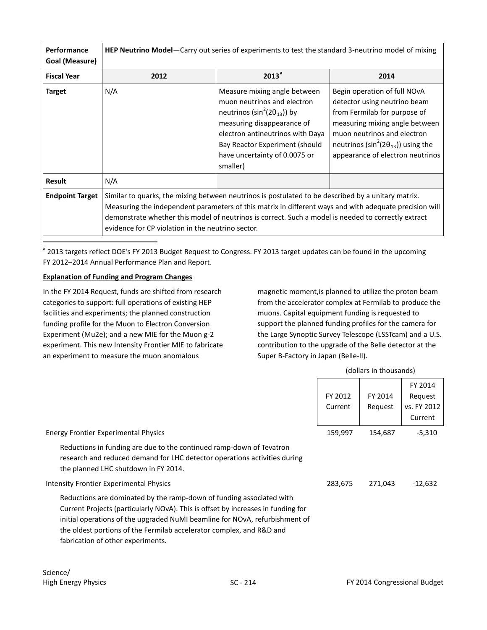| Performance<br>Goal (Measure) | <b>HEP Neutrino Model</b> —Carry out series of experiments to test the standard 3-neutrino model of mixing                                                                                                                                                                                                                                                               |                                                                                                                                                                                                                                                         |                                                                                                                                                                                                                                                     |  |
|-------------------------------|--------------------------------------------------------------------------------------------------------------------------------------------------------------------------------------------------------------------------------------------------------------------------------------------------------------------------------------------------------------------------|---------------------------------------------------------------------------------------------------------------------------------------------------------------------------------------------------------------------------------------------------------|-----------------------------------------------------------------------------------------------------------------------------------------------------------------------------------------------------------------------------------------------------|--|
| <b>Fiscal Year</b>            | 2012                                                                                                                                                                                                                                                                                                                                                                     | 2013 <sup>a</sup>                                                                                                                                                                                                                                       | 2014                                                                                                                                                                                                                                                |  |
| <b>Target</b>                 | N/A                                                                                                                                                                                                                                                                                                                                                                      | Measure mixing angle between<br>muon neutrinos and electron<br>neutrinos ( $\sin^2(2\theta_{13})$ ) by<br>measuring disappearance of<br>electron antineutrinos with Daya<br>Bay Reactor Experiment (should<br>have uncertainty of 0.0075 or<br>smaller) | Begin operation of full NOvA<br>detector using neutrino beam<br>from Fermilab for purpose of<br>measuring mixing angle between<br>muon neutrinos and electron<br>neutrinos ( $\sin^2(2\theta_{13})$ ) using the<br>appearance of electron neutrinos |  |
| <b>Result</b>                 | N/A                                                                                                                                                                                                                                                                                                                                                                      |                                                                                                                                                                                                                                                         |                                                                                                                                                                                                                                                     |  |
| <b>Endpoint Target</b>        | Similar to quarks, the mixing between neutrinos is postulated to be described by a unitary matrix.<br>Measuring the independent parameters of this matrix in different ways and with adequate precision will<br>demonstrate whether this model of neutrinos is correct. Such a model is needed to correctly extract<br>evidence for CP violation in the neutrino sector. |                                                                                                                                                                                                                                                         |                                                                                                                                                                                                                                                     |  |

<sup>a</sup> 2013 targets reflect DOE's FY 2013 Budget Request to Congress. FY 2013 target updates can be found in the upcoming FY 2012–2014 Annual Performance Plan and Report.

#### **Explanation of Funding and Program Changes**

 $\overline{a}$ 

In the FY 2014 Request, funds are shifted from research categories to support: full operations of existing HEP facilities and experiments; the planned construction funding profile for the Muon to Electron Conversion Experiment (Mu2e); and a new MIE for the Muon g-2 experiment. This new Intensity Frontier MIE to fabricate an experiment to measure the muon anomalous

magnetic moment,is planned to utilize the proton beam from the accelerator complex at Fermilab to produce the muons. Capital equipment funding is requested to support the planned funding profiles for the camera for the Large Synoptic Survey Telescope (LSSTcam) and a U.S. contribution to the upgrade of the Belle detector at the Super B-Factory in Japan (Belle-II).

(dollars in thousands)

|                                                                                                                                                                                                                                                                                                                                                      | FY 2012<br>Current | FY 2014<br>Request | FY 2014<br>Request<br>vs. FY 2012<br>Current |
|------------------------------------------------------------------------------------------------------------------------------------------------------------------------------------------------------------------------------------------------------------------------------------------------------------------------------------------------------|--------------------|--------------------|----------------------------------------------|
| <b>Energy Frontier Experimental Physics</b>                                                                                                                                                                                                                                                                                                          | 159,997            | 154,687            | $-5,310$                                     |
| Reductions in funding are due to the continued ramp-down of Tevatron<br>research and reduced demand for LHC detector operations activities during<br>the planned LHC shutdown in FY 2014.                                                                                                                                                            |                    |                    |                                              |
| Intensity Frontier Experimental Physics                                                                                                                                                                                                                                                                                                              | 283,675            | 271,043            | -12,632                                      |
| Reductions are dominated by the ramp-down of funding associated with<br>Current Projects (particularly NOvA). This is offset by increases in funding for<br>initial operations of the upgraded NuMI beamline for NOvA, refurbishment of<br>the oldest portions of the Fermilab accelerator complex, and R&D and<br>fabrication of other experiments. |                    |                    |                                              |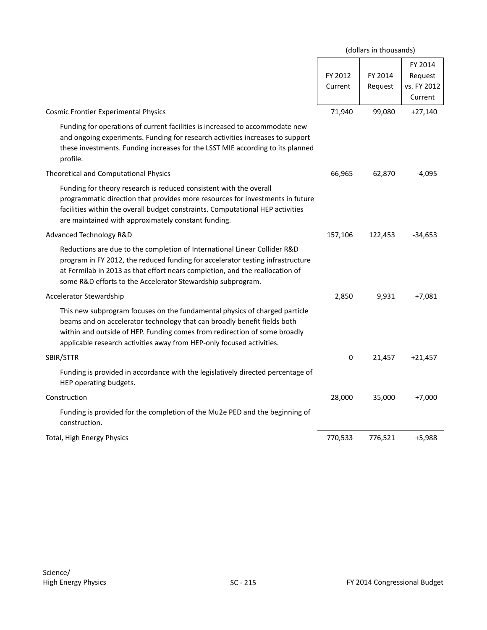|                                                                                                                                                                                                                                                                                                              |                    | (dollars in thousands) |                                              |
|--------------------------------------------------------------------------------------------------------------------------------------------------------------------------------------------------------------------------------------------------------------------------------------------------------------|--------------------|------------------------|----------------------------------------------|
|                                                                                                                                                                                                                                                                                                              | FY 2012<br>Current | FY 2014<br>Request     | FY 2014<br>Request<br>vs. FY 2012<br>Current |
| <b>Cosmic Frontier Experimental Physics</b>                                                                                                                                                                                                                                                                  | 71,940             | 99,080                 | $+27,140$                                    |
| Funding for operations of current facilities is increased to accommodate new<br>and ongoing experiments. Funding for research activities increases to support<br>these investments. Funding increases for the LSST MIE according to its planned<br>profile.                                                  |                    |                        |                                              |
| Theoretical and Computational Physics                                                                                                                                                                                                                                                                        | 66,965             | 62,870                 | $-4,095$                                     |
| Funding for theory research is reduced consistent with the overall<br>programmatic direction that provides more resources for investments in future<br>facilities within the overall budget constraints. Computational HEP activities<br>are maintained with approximately constant funding.                 |                    |                        |                                              |
| Advanced Technology R&D                                                                                                                                                                                                                                                                                      | 157,106            | 122,453                | -34,653                                      |
| Reductions are due to the completion of International Linear Collider R&D<br>program in FY 2012, the reduced funding for accelerator testing infrastructure<br>at Fermilab in 2013 as that effort nears completion, and the reallocation of<br>some R&D efforts to the Accelerator Stewardship subprogram.   |                    |                        |                                              |
| Accelerator Stewardship                                                                                                                                                                                                                                                                                      | 2,850              | 9,931                  | +7,081                                       |
| This new subprogram focuses on the fundamental physics of charged particle<br>beams and on accelerator technology that can broadly benefit fields both<br>within and outside of HEP. Funding comes from redirection of some broadly<br>applicable research activities away from HEP-only focused activities. |                    |                        |                                              |
| SBIR/STTR                                                                                                                                                                                                                                                                                                    | $\mathbf 0$        | 21,457                 | $+21,457$                                    |
| Funding is provided in accordance with the legislatively directed percentage of<br>HEP operating budgets.                                                                                                                                                                                                    |                    |                        |                                              |
| Construction                                                                                                                                                                                                                                                                                                 | 28,000             | 35,000                 | $+7,000$                                     |
| Funding is provided for the completion of the Mu2e PED and the beginning of<br>construction.                                                                                                                                                                                                                 |                    |                        |                                              |
| Total, High Energy Physics                                                                                                                                                                                                                                                                                   | 770,533            | 776,521                | $+5,988$                                     |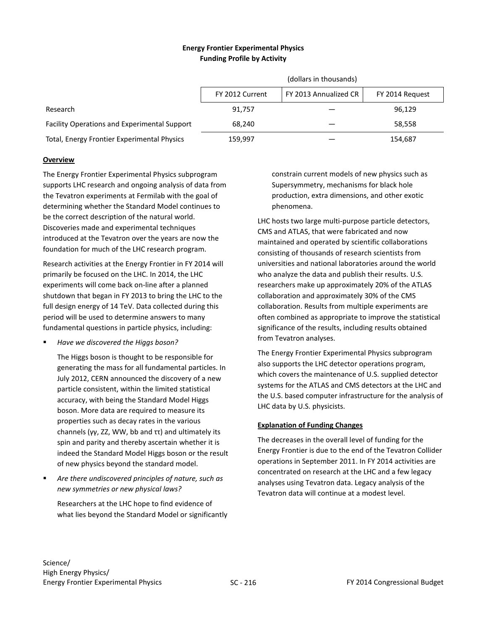## **Energy Frontier Experimental Physics Funding Profile by Activity**

|                                              | (dollars in thousands) |                       |                 |  |
|----------------------------------------------|------------------------|-----------------------|-----------------|--|
|                                              | FY 2012 Current        | FY 2013 Annualized CR | FY 2014 Request |  |
| Research                                     | 91.757                 |                       | 96,129          |  |
| Facility Operations and Experimental Support | 68.240                 |                       | 58.558          |  |
| Total, Energy Frontier Experimental Physics  | 159,997                |                       | 154,687         |  |

## **Overview**

The Energy Frontier Experimental Physics subprogram supports LHC research and ongoing analysis of data from the Tevatron experiments at Fermilab with the goal of determining whether the Standard Model continues to be the correct description of the natural world. Discoveries made and experimental techniques introduced at the Tevatron over the years are now the foundation for much of the LHC research program.

<span id="page-9-0"></span>Research activities at the Energy Frontier in FY 2014 will primarily be focused on the LHC. In 2014, the LHC experiments will come back on-line after a planned shutdown that began in FY 2013 to bring the LHC to the full design energy of 14 TeV. Data collected during this period will be used to determine answers to many fundamental questions in particle physics, including:

*Have we discovered the Higgs boson?* 

The Higgs boson is thought to be responsible for generating the mass for all fundamental particles. In July 2012, CERN announced the discovery of a new particle consistent, within the limited statistical accuracy, with being the Standard Model Higgs boson. More data are required to measure its properties such as decay rates in the various channels (γγ, ZZ, WW, bb and ττ) and ultimately its spin and parity and thereby ascertain whether it is indeed the Standard Model Higgs boson or the result of new physics beyond the standard model.

 *Are there undiscovered principles of nature, such as new symmetries or new physical laws?* 

Researchers at the LHC hope to find evidence of what lies beyond the Standard Model or significantly constrain current models of new physics such as Supersymmetry, mechanisms for black hole production, extra dimensions, and other exotic phenomena.

LHC hosts two large multi-purpose particle detectors, CMS and ATLAS, that were fabricated and now maintained and operated by scientific collaborations consisting of thousands of research scientists from universities and national laboratories around the world who analyze the data and publish their results. U.S. researchers make up approximately 20% of the ATLAS collaboration and approximately 30% of the CMS collaboration. Results from multiple experiments are often combined as appropriate to improve the statistical significance of the results, including results obtained from Tevatron analyses.

The Energy Frontier Experimental Physics subprogram also supports the LHC detector operations program, which covers the maintenance of U.S. supplied detector systems for the ATLAS and CMS detectors at the LHC and the U.S. based computer infrastructure for the analysis of LHC data by U.S. physicists.

## **Explanation of Funding Changes**

The decreases in the overall level of funding for the Energy Frontier is due to the end of the Tevatron Collider operations in September 2011. In FY 2014 activities are concentrated on research at the LHC and a few legacy analyses using Tevatron data. Legacy analysis of the Tevatron data will continue at a modest level.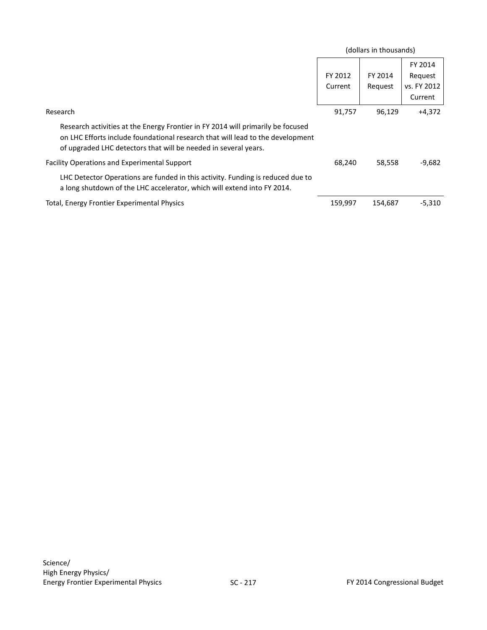|                                                                                                                                                                                                                                      | (dollars in thousands) |                    |                                              |
|--------------------------------------------------------------------------------------------------------------------------------------------------------------------------------------------------------------------------------------|------------------------|--------------------|----------------------------------------------|
|                                                                                                                                                                                                                                      | FY 2012<br>Current     | FY 2014<br>Request | FY 2014<br>Request<br>vs. FY 2012<br>Current |
| Research                                                                                                                                                                                                                             | 91,757                 | 96,129             | $+4,372$                                     |
| Research activities at the Energy Frontier in FY 2014 will primarily be focused<br>on LHC Efforts include foundational research that will lead to the development<br>of upgraded LHC detectors that will be needed in several years. |                        |                    |                                              |
| <b>Facility Operations and Experimental Support</b>                                                                                                                                                                                  | 68,240                 | 58,558             | $-9,682$                                     |
| LHC Detector Operations are funded in this activity. Funding is reduced due to<br>a long shutdown of the LHC accelerator, which will extend into FY 2014.                                                                            |                        |                    |                                              |
| Total, Energy Frontier Experimental Physics                                                                                                                                                                                          | 159,997                | 154.687            | -5,310                                       |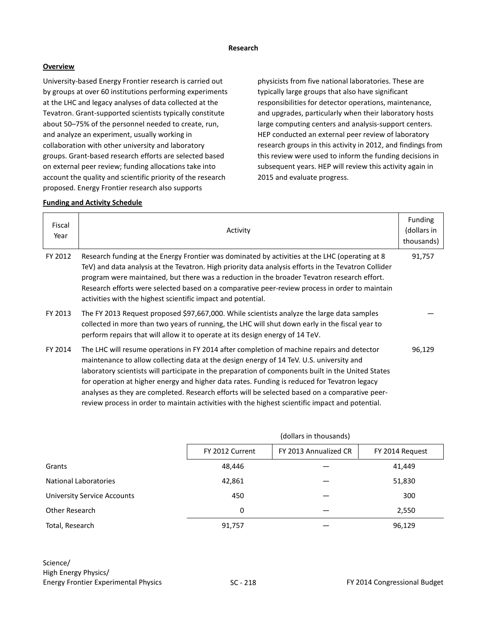#### **Research**

### **Overview**

University-based Energy Frontier research is carried out by groups at over 60 institutions performing experiments at the LHC and legacy analyses of data collected at the Tevatron. Grant-supported scientists typically constitute about 50–75% of the personnel needed to create, run, and analyze an experiment, usually working in collaboration with other university and laboratory groups. Grant-based research efforts are selected based on external peer review; funding allocations take into account the quality and scientific priority of the research proposed. Energy Frontier research also supports

physicists from five national laboratories. These are typically large groups that also have significant responsibilities for detector operations, maintenance, and upgrades, particularly when their laboratory hosts large computing centers and analysis-support centers. HEP conducted an external peer review of laboratory research groups in this activity in 2012, and findings from this review were used to inform the funding decisions in subsequent years. HEP will review this activity again in 2015 and evaluate progress.

| Fiscal<br>Year | Activity                                                                                                                                                                                                                                                                                                                                                                                                                                                                                                                                                                                           | Funding<br>(dollars in<br>thousands) |
|----------------|----------------------------------------------------------------------------------------------------------------------------------------------------------------------------------------------------------------------------------------------------------------------------------------------------------------------------------------------------------------------------------------------------------------------------------------------------------------------------------------------------------------------------------------------------------------------------------------------------|--------------------------------------|
| FY 2012        | Research funding at the Energy Frontier was dominated by activities at the LHC (operating at 8<br>TeV) and data analysis at the Tevatron. High priority data analysis efforts in the Tevatron Collider<br>program were maintained, but there was a reduction in the broader Tevatron research effort.<br>Research efforts were selected based on a comparative peer-review process in order to maintain<br>activities with the highest scientific impact and potential.                                                                                                                            | 91,757                               |
| FY 2013        | The FY 2013 Request proposed \$97,667,000. While scientists analyze the large data samples<br>collected in more than two years of running, the LHC will shut down early in the fiscal year to<br>perform repairs that will allow it to operate at its design energy of 14 TeV.                                                                                                                                                                                                                                                                                                                     |                                      |
| FY 2014        | The LHC will resume operations in FY 2014 after completion of machine repairs and detector<br>maintenance to allow collecting data at the design energy of 14 TeV. U.S. university and<br>laboratory scientists will participate in the preparation of components built in the United States<br>for operation at higher energy and higher data rates. Funding is reduced for Tevatron legacy<br>analyses as they are completed. Research efforts will be selected based on a comparative peer-<br>review process in order to maintain activities with the highest scientific impact and potential. | 96,129                               |

|                                    | (dollars in thousands) |                       |                 |
|------------------------------------|------------------------|-----------------------|-----------------|
|                                    | FY 2012 Current        | FY 2013 Annualized CR | FY 2014 Request |
| Grants                             | 48,446                 |                       | 41,449          |
| <b>National Laboratories</b>       | 42,861                 |                       | 51,830          |
| <b>University Service Accounts</b> | 450                    |                       | 300             |
| Other Research                     | 0                      |                       | 2,550           |
| Total, Research                    | 91,757                 |                       | 96,129          |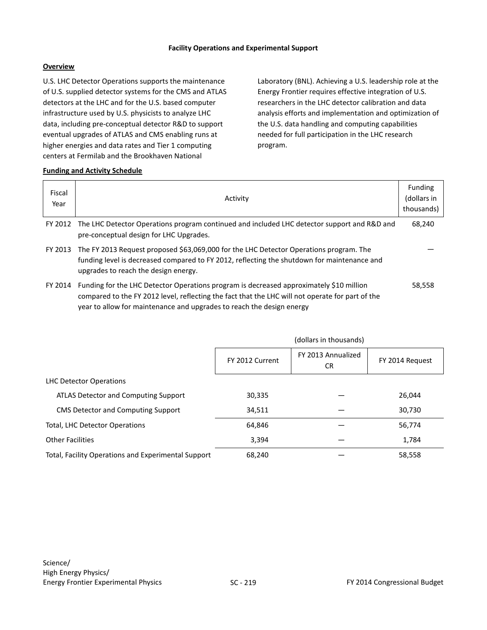#### **Facility Operations and Experimental Support**

## **Overview**

U.S. LHC Detector Operations supports the maintenance of U.S. supplied detector systems for the CMS and ATLAS detectors at the LHC and for the U.S. based computer infrastructure used by U.S. physicists to analyze LHC data, including pre-conceptual detector R&D to support eventual upgrades of ATLAS and CMS enabling runs at higher energies and data rates and Tier 1 computing centers at Fermilab and the Brookhaven National

Laboratory (BNL). Achieving a U.S. leadership role at the Energy Frontier requires effective integration of U.S. researchers in the LHC detector calibration and data analysis efforts and implementation and optimization of the U.S. data handling and computing capabilities needed for full participation in the LHC research program.

| Fiscal<br>Year | Activity                                                                                                                                                                                                                                                             | Funding<br>(dollars in<br>thousands) |
|----------------|----------------------------------------------------------------------------------------------------------------------------------------------------------------------------------------------------------------------------------------------------------------------|--------------------------------------|
| FY 2012        | The LHC Detector Operations program continued and included LHC detector support and R&D and<br>pre-conceptual design for LHC Upgrades.                                                                                                                               | 68,240                               |
| FY 2013        | The FY 2013 Request proposed \$63,069,000 for the LHC Detector Operations program. The<br>funding level is decreased compared to FY 2012, reflecting the shutdown for maintenance and<br>upgrades to reach the design energy.                                        |                                      |
| FY 2014        | Funding for the LHC Detector Operations program is decreased approximately \$10 million<br>compared to the FY 2012 level, reflecting the fact that the LHC will not operate for part of the<br>year to allow for maintenance and upgrades to reach the design energy | 58.558                               |

|                                                     | (dollars in thousands) |                           |                 |
|-----------------------------------------------------|------------------------|---------------------------|-----------------|
|                                                     | FY 2012 Current        | FY 2013 Annualized<br>CR. | FY 2014 Request |
| LHC Detector Operations                             |                        |                           |                 |
| ATLAS Detector and Computing Support                | 30,335                 |                           | 26,044          |
| CMS Detector and Computing Support                  | 34,511                 |                           | 30,730          |
| Total, LHC Detector Operations                      | 64,846                 |                           | 56,774          |
| <b>Other Facilities</b>                             | 3,394                  |                           | 1,784           |
| Total, Facility Operations and Experimental Support | 68,240                 |                           | 58,558          |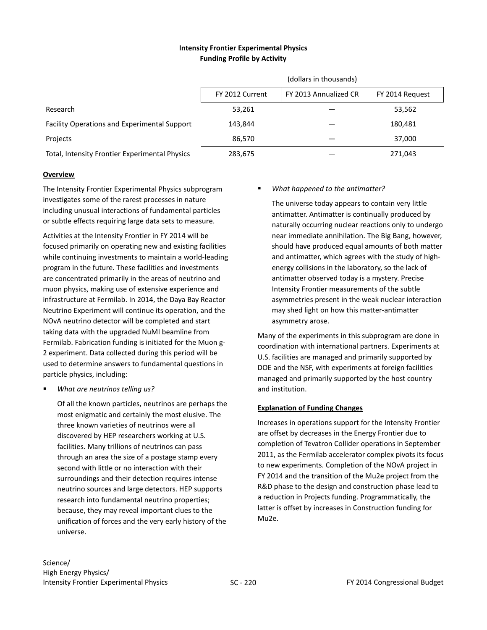## **Intensity Frontier Experimental Physics Funding Profile by Activity**

|                                                     | (dollars in thousands) |                       |                 |
|-----------------------------------------------------|------------------------|-----------------------|-----------------|
|                                                     | FY 2012 Current        | FY 2013 Annualized CR | FY 2014 Request |
| Research                                            | 53,261                 |                       | 53,562          |
| <b>Facility Operations and Experimental Support</b> | 143.844                |                       | 180,481         |
| Projects                                            | 86.570                 |                       | 37.000          |
| Total, Intensity Frontier Experimental Physics      | 283,675                |                       | 271,043         |

#### **Overview**

The Intensity Frontier Experimental Physics subprogram investigates some of the rarest processes in nature including unusual interactions of fundamental particles or subtle effects requiring large data sets to measure.

Activities at the Intensity Frontier in FY 2014 will be focused primarily on operating new and existing facilities while continuing investments to maintain a world-leading program in the future. These facilities and investments are concentrated primarily in the areas of neutrino and muon physics, making use of extensive experience and infrastructure at Fermilab. In 2014, the Daya Bay Reactor Neutrino Experiment will continue its operation, and the NOvA neutrino detector will be completed and start taking data with the upgraded NuMI beamline from Fermilab. Fabrication funding is initiated for the Muon g-2 experiment. Data collected during this period will be used to determine answers to fundamental questions in particle physics, including:

*What are neutrinos telling us?*

Of all the known particles, neutrinos are perhaps the most enigmatic and certainly the most elusive. The three known varieties of neutrinos were all discovered by HEP researchers working at U.S. facilities. Many trillions of neutrinos can pass through an area the size of a postage stamp every second with little or no interaction with their surroundings and their detection requires intense neutrino sources and large detectors. HEP supports research into fundamental neutrino properties; because, they may reveal important clues to the unification of forces and the very early history of the universe.

## *What happened to the antimatter?*

The universe today appears to contain very little antimatter. Antimatter is continually produced by naturally occurring nuclear reactions only to undergo near immediate annihilation. The Big Bang, however, should have produced equal amounts of both matter and antimatter, which agrees with the study of highenergy collisions in the laboratory, so the lack of antimatter observed today is a mystery. Precise Intensity Frontier measurements of the subtle asymmetries present in the weak nuclear interaction may shed light on how this matter-antimatter asymmetry arose.

Many of the experiments in this subprogram are done in coordination with international partners. Experiments at U.S. facilities are managed and primarily supported by DOE and the NSF, with experiments at foreign facilities managed and primarily supported by the host country and institution.

## **Explanation of Funding Changes**

Increases in operations support for the Intensity Frontier are offset by decreases in the Energy Frontier due to completion of Tevatron Collider operations in September 2011, as the Fermilab accelerator complex pivots its focus to new experiments. Completion of the NOvA project in FY 2014 and the transition of the Mu2e project from the R&D phase to the design and construction phase lead to a reduction in Projects funding. Programmatically, the latter is offset by increases in Construction funding for Mu2e.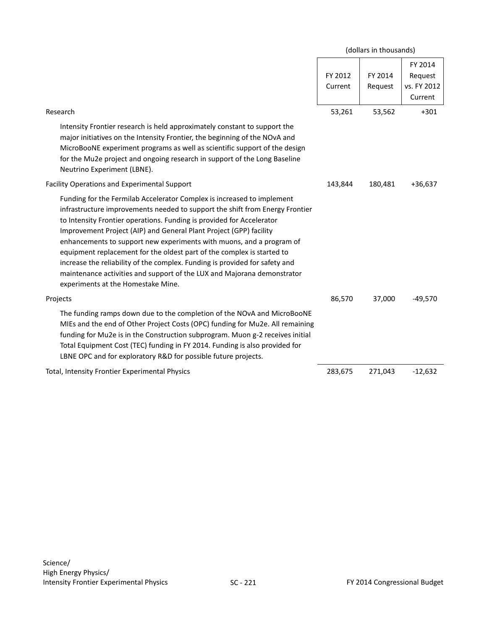|                                                                                                                                                                                                                                                                                                                                                                                                                                                                                                                                                                                                                                                         |                    | (dollars in thousands) |                                              |
|---------------------------------------------------------------------------------------------------------------------------------------------------------------------------------------------------------------------------------------------------------------------------------------------------------------------------------------------------------------------------------------------------------------------------------------------------------------------------------------------------------------------------------------------------------------------------------------------------------------------------------------------------------|--------------------|------------------------|----------------------------------------------|
|                                                                                                                                                                                                                                                                                                                                                                                                                                                                                                                                                                                                                                                         | FY 2012<br>Current | FY 2014<br>Request     | FY 2014<br>Request<br>vs. FY 2012<br>Current |
| Research                                                                                                                                                                                                                                                                                                                                                                                                                                                                                                                                                                                                                                                | 53,261             | 53,562                 | $+301$                                       |
| Intensity Frontier research is held approximately constant to support the<br>major initiatives on the Intensity Frontier, the beginning of the NOvA and<br>MicroBooNE experiment programs as well as scientific support of the design<br>for the Mu2e project and ongoing research in support of the Long Baseline<br>Neutrino Experiment (LBNE).                                                                                                                                                                                                                                                                                                       |                    |                        |                                              |
| Facility Operations and Experimental Support                                                                                                                                                                                                                                                                                                                                                                                                                                                                                                                                                                                                            | 143,844            | 180,481                | $+36,637$                                    |
| Funding for the Fermilab Accelerator Complex is increased to implement<br>infrastructure improvements needed to support the shift from Energy Frontier<br>to Intensity Frontier operations. Funding is provided for Accelerator<br>Improvement Project (AIP) and General Plant Project (GPP) facility<br>enhancements to support new experiments with muons, and a program of<br>equipment replacement for the oldest part of the complex is started to<br>increase the reliability of the complex. Funding is provided for safety and<br>maintenance activities and support of the LUX and Majorana demonstrator<br>experiments at the Homestake Mine. |                    |                        |                                              |
| Projects                                                                                                                                                                                                                                                                                                                                                                                                                                                                                                                                                                                                                                                | 86,570             | 37,000                 | $-49,570$                                    |
| The funding ramps down due to the completion of the NOvA and MicroBooNE<br>MIEs and the end of Other Project Costs (OPC) funding for Mu2e. All remaining<br>funding for Mu2e is in the Construction subprogram. Muon g-2 receives initial<br>Total Equipment Cost (TEC) funding in FY 2014. Funding is also provided for<br>LBNE OPC and for exploratory R&D for possible future projects.                                                                                                                                                                                                                                                              |                    |                        |                                              |
| Total, Intensity Frontier Experimental Physics                                                                                                                                                                                                                                                                                                                                                                                                                                                                                                                                                                                                          | 283,675            | 271,043                | $-12,632$                                    |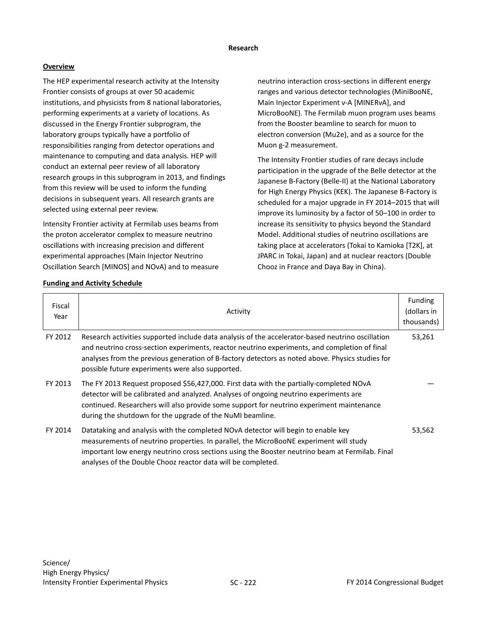#### **Research**

## **Overview**

The HEP experimental research activity at the Intensity Frontier consists of groups at over 50 academic institutions, and physicists from 8 national laboratories, performing experiments at a variety of locations. As discussed in the Energy Frontier subprogram, the laboratory groups typically have a portfolio of responsibilities ranging from detector operations and maintenance to computing and data analysis. HEP will conduct an external peer review of all laboratory research groups in this subprogram in 2013, and findings from this review will be used to inform the funding decisions in subsequent years. All research grants are selected using external peer review.

Intensity Frontier activity at Fermilab uses beams from the proton accelerator complex to measure neutrino oscillations with increasing precision and different experimental approaches (Main Injector Neutrino Oscillation Search [MINOS] and NOνA) and to measure neutrino interaction cross-sections in different energy ranges and various detector technologies (MiniBooNE, Main Injector Experiment ν-A [MINERνA], and MicroBooNE). The Fermilab muon program uses beams from the Booster beamline to search for muon to electron conversion (Mu2e), and as a source for the Muon g-2 measurement.

The Intensity Frontier studies of rare decays include participation in the upgrade of the Belle detector at the Japanese B-Factory (Belle-II) at the National Laboratory for High Energy Physics (KEK). The Japanese B-Factory is scheduled for a major upgrade in FY 2014–2015 that will improve its luminosity by a factor of 50–100 in order to increase its sensitivity to physics beyond the Standard Model. Additional studies of neutrino oscillations are taking place at accelerators (Tokai to Kamioka [T2K], at JPARC in Tokai, Japan) and at nuclear reactors (Double Chooz in France and Daya Bay in China).

| Fiscal<br>Year | Activity                                                                                                                                                                                                                                                                                                                                                   | Funding<br>(dollars in<br>thousands) |
|----------------|------------------------------------------------------------------------------------------------------------------------------------------------------------------------------------------------------------------------------------------------------------------------------------------------------------------------------------------------------------|--------------------------------------|
| FY 2012        | Research activities supported include data analysis of the accelerator-based neutrino oscillation<br>and neutrino cross-section experiments, reactor neutrino experiments, and completion of final<br>analyses from the previous generation of B-factory detectors as noted above. Physics studies for<br>possible future experiments were also supported. | 53,261                               |
| FY 2013        | The FY 2013 Request proposed \$56,427,000. First data with the partially-completed NOvA<br>detector will be calibrated and analyzed. Analyses of ongoing neutrino experiments are<br>continued. Researchers will also provide some support for neutrino experiment maintenance<br>during the shutdown for the upgrade of the NuMI beamline.                |                                      |
| FY 2014        | Datataking and analysis with the completed NOvA detector will begin to enable key<br>measurements of neutrino properties. In parallel, the MicroBooNE experiment will study<br>important low energy neutrino cross sections using the Booster neutrino beam at Fermilab. Final<br>analyses of the Double Chooz reactor data will be completed.             | 53,562                               |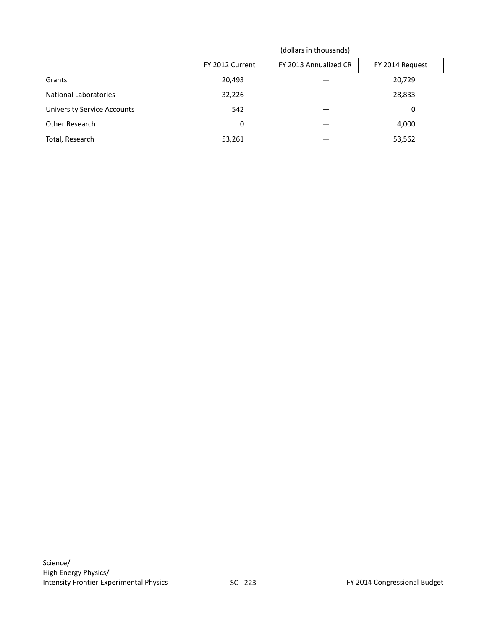|                                    | (dollars in thousands) |                       |                 |
|------------------------------------|------------------------|-----------------------|-----------------|
|                                    | FY 2012 Current        | FY 2013 Annualized CR | FY 2014 Request |
| Grants                             | 20,493                 |                       | 20,729          |
| <b>National Laboratories</b>       | 32,226                 |                       | 28,833          |
| <b>University Service Accounts</b> | 542                    |                       | 0               |
| Other Research                     | 0                      |                       | 4,000           |
| Total, Research                    | 53,261                 |                       | 53,562          |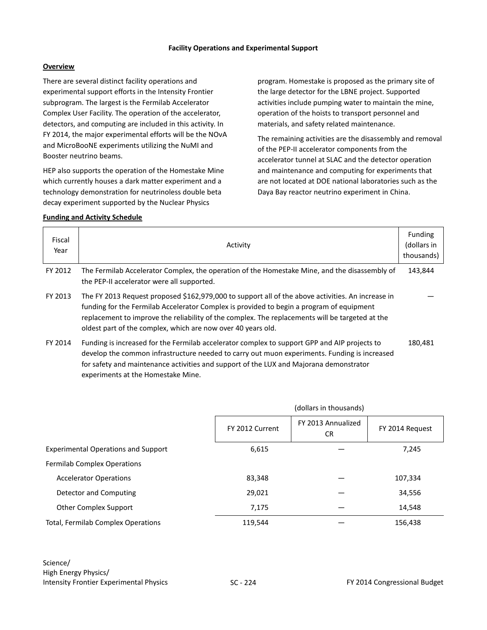#### **Facility Operations and Experimental Support**

#### **Overview**

There are several distinct facility operations and experimental support efforts in the Intensity Frontier subprogram. The largest is the Fermilab Accelerator Complex User Facility. The operation of the accelerator, detectors, and computing are included in this activity. In FY 2014, the major experimental efforts will be the NOνA and MicroBooNE experiments utilizing the NuMI and Booster neutrino beams.

HEP also supports the operation of the Homestake Mine which currently houses a dark matter experiment and a technology demonstration for neutrinoless double beta decay experiment supported by the Nuclear Physics

#### **Funding and Activity Schedule**

program. Homestake is proposed as the primary site of the large detector for the LBNE project. Supported activities include pumping water to maintain the mine, operation of the hoists to transport personnel and materials, and safety related maintenance.

The remaining activities are the disassembly and removal of the PEP-II accelerator components from the accelerator tunnel at SLAC and the detector operation and maintenance and computing for experiments that are not located at DOE national laboratories such as the Daya Bay reactor neutrino experiment in China.

| Fiscal<br>Year | Activity                                                                                                                                                                                                                                                                                                                                                         | <b>Funding</b><br>(dollars in<br>thousands) |
|----------------|------------------------------------------------------------------------------------------------------------------------------------------------------------------------------------------------------------------------------------------------------------------------------------------------------------------------------------------------------------------|---------------------------------------------|
| FY 2012        | The Fermilab Accelerator Complex, the operation of the Homestake Mine, and the disassembly of<br>the PEP-II accelerator were all supported.                                                                                                                                                                                                                      | 143,844                                     |
| FY 2013        | The FY 2013 Request proposed \$162,979,000 to support all of the above activities. An increase in<br>funding for the Fermilab Accelerator Complex is provided to begin a program of equipment<br>replacement to improve the reliability of the complex. The replacements will be targeted at the<br>oldest part of the complex, which are now over 40 years old. |                                             |
| FY 2014        | Funding is increased for the Fermilab accelerator complex to support GPP and AIP projects to<br>develop the common infrastructure needed to carry out muon experiments. Funding is increased<br>for safety and maintenance activities and support of the LUX and Majorana demonstrator                                                                           | 180,481                                     |

experiments at the Homestake Mine.

|                                            | (dollars in thousands) |                                 |                 |
|--------------------------------------------|------------------------|---------------------------------|-----------------|
|                                            | FY 2012 Current        | FY 2013 Annualized<br><b>CR</b> | FY 2014 Request |
| <b>Experimental Operations and Support</b> | 6,615                  |                                 | 7,245           |
| <b>Fermilab Complex Operations</b>         |                        |                                 |                 |
| <b>Accelerator Operations</b>              | 83,348                 |                                 | 107,334         |
| Detector and Computing                     | 29,021                 |                                 | 34,556          |
| Other Complex Support                      | 7,175                  |                                 | 14,548          |
| Total, Fermilab Complex Operations         | 119.544                |                                 | 156,438         |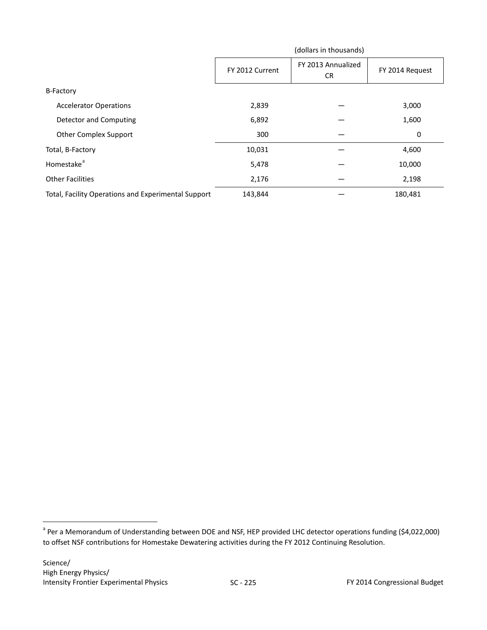|                                                     | (dollars in thousands) |                           |                 |
|-----------------------------------------------------|------------------------|---------------------------|-----------------|
|                                                     | FY 2012 Current        | FY 2013 Annualized<br>CR. | FY 2014 Request |
| <b>B-Factory</b>                                    |                        |                           |                 |
| <b>Accelerator Operations</b>                       | 2,839                  |                           | 3,000           |
| <b>Detector and Computing</b>                       | 6,892                  |                           | 1,600           |
| <b>Other Complex Support</b>                        | 300                    |                           | 0               |
| Total, B-Factory                                    | 10,031                 |                           | 4,600           |
| Homestake <sup>a</sup>                              | 5,478                  |                           | 10,000          |
| <b>Other Facilities</b>                             | 2,176                  |                           | 2,198           |
| Total, Facility Operations and Experimental Support | 143,844                |                           | 180,481         |

<span id="page-18-0"></span><sup>&</sup>lt;sup>a</sup> Per a Memorandum of Understanding between DOE and NSF, HEP provided LHC detector operations funding (\$4,022,000) to offset NSF contributions for Homestake Dewatering activities during the FY 2012 Continuing Resolution.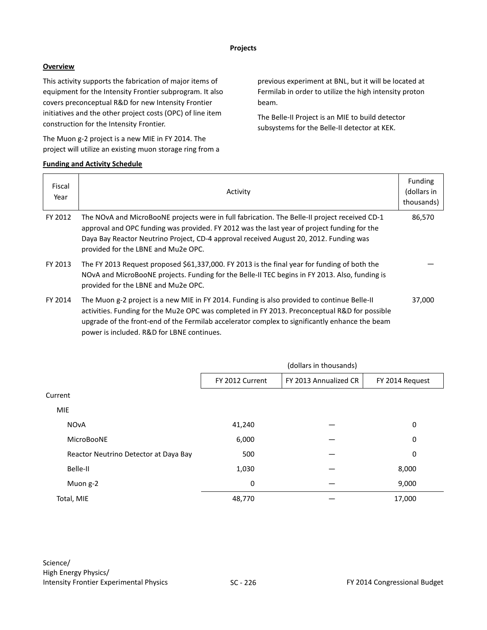## **Overview**

This activity supports the fabrication of major items of equipment for the Intensity Frontier subprogram. It also covers preconceptual R&D for new Intensity Frontier initiatives and the other project costs (OPC) of line item construction for the Intensity Frontier.

The Muon g-2 project is a new MIE in FY 2014. The project will utilize an existing muon storage ring from a

# **Funding and Activity Schedule**

previous experiment at BNL, but it will be located at Fermilab in order to utilize the high intensity proton beam.

The Belle-II Project is an MIE to build detector subsystems for the Belle-II detector at KEK.

| Fiscal<br>Year | Activity                                                                                                                                                                                                                                                                                                                                     | <b>Funding</b><br>(dollars in<br>thousands) |
|----------------|----------------------------------------------------------------------------------------------------------------------------------------------------------------------------------------------------------------------------------------------------------------------------------------------------------------------------------------------|---------------------------------------------|
| FY 2012        | The NOvA and MicroBooNE projects were in full fabrication. The Belle-II project received CD-1<br>approval and OPC funding was provided. FY 2012 was the last year of project funding for the<br>Daya Bay Reactor Neutrino Project, CD-4 approval received August 20, 2012. Funding was<br>provided for the LBNE and Mu2e OPC.                | 86,570                                      |
| FY 2013        | The FY 2013 Request proposed \$61,337,000. FY 2013 is the final year for funding of both the<br>NOvA and MicroBooNE projects. Funding for the Belle-II TEC begins in FY 2013. Also, funding is<br>provided for the LBNE and Mu2e OPC.                                                                                                        |                                             |
| FY 2014        | The Muon g-2 project is a new MIE in FY 2014. Funding is also provided to continue Belle-II<br>activities. Funding for the Mu2e OPC was completed in FY 2013. Preconceptual R&D for possible<br>upgrade of the front-end of the Fermilab accelerator complex to significantly enhance the beam<br>power is included. R&D for LBNE continues. | 37,000                                      |

|                                       | (dollars in thousands) |                       |                 |
|---------------------------------------|------------------------|-----------------------|-----------------|
|                                       | FY 2012 Current        | FY 2013 Annualized CR | FY 2014 Request |
| Current                               |                        |                       |                 |
| <b>MIE</b>                            |                        |                       |                 |
| <b>NOvA</b>                           | 41,240                 |                       | 0               |
| MicroBooNE                            | 6,000                  |                       | 0               |
| Reactor Neutrino Detector at Daya Bay | 500                    |                       | 0               |
| Belle-II                              | 1,030                  |                       | 8,000           |
| Muon g-2                              | 0                      |                       | 9,000           |
| Total, MIE                            | 48,770                 |                       | 17,000          |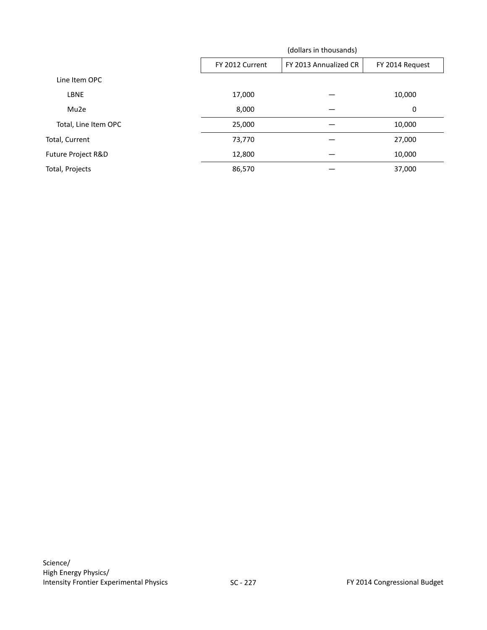|                      | (dollars in thousands) |                       |                 |
|----------------------|------------------------|-----------------------|-----------------|
|                      | FY 2012 Current        | FY 2013 Annualized CR | FY 2014 Request |
| Line Item OPC        |                        |                       |                 |
| <b>LBNE</b>          | 17,000                 |                       | 10,000          |
| Mu2e                 | 8,000                  |                       | 0               |
| Total, Line Item OPC | 25,000                 |                       | 10,000          |
| Total, Current       | 73,770                 |                       | 27,000          |
| Future Project R&D   | 12,800                 |                       | 10,000          |
| Total, Projects      | 86,570                 |                       | 37,000          |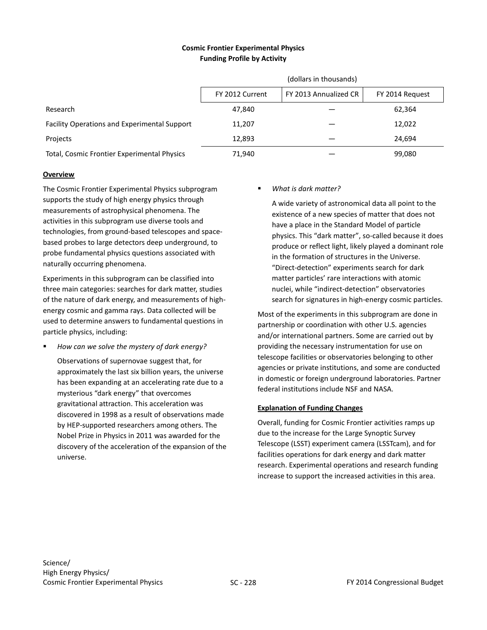## **Cosmic Frontier Experimental Physics Funding Profile by Activity**

|                                                     | (dollars in thousands)                                      |  |        |  |
|-----------------------------------------------------|-------------------------------------------------------------|--|--------|--|
|                                                     | FY 2013 Annualized CR<br>FY 2012 Current<br>FY 2014 Request |  |        |  |
| Research                                            | 47.840                                                      |  | 62,364 |  |
| <b>Facility Operations and Experimental Support</b> | 11,207                                                      |  | 12,022 |  |
| Projects                                            | 12.893                                                      |  | 24.694 |  |
| Total, Cosmic Frontier Experimental Physics         | 71,940                                                      |  | 99,080 |  |

#### **Overview**

The Cosmic Frontier Experimental Physics subprogram supports the study of high energy physics through measurements of astrophysical phenomena. The activities in this subprogram use diverse tools and technologies, from ground-based telescopes and spacebased probes to large detectors deep underground, to probe fundamental physics questions associated with naturally occurring phenomena.

Experiments in this subprogram can be classified into three main categories: searches for dark matter, studies of the nature of dark energy, and measurements of highenergy cosmic and gamma rays. Data collected will be used to determine answers to fundamental questions in particle physics, including:

*How can we solve the mystery of dark energy?*

Observations of supernovae suggest that, for approximately the last six billion years, the universe has been expanding at an accelerating rate due to a mysterious "dark energy" that overcomes gravitational attraction. This acceleration was discovered in 1998 as a result of observations made by HEP-supported researchers among others. The Nobel Prize in Physics in 2011 was awarded for the discovery of the acceleration of the expansion of the universe.

## *What is dark matter?*

A wide variety of astronomical data all point to the existence of a new species of matter that does not have a place in the Standard Model of particle physics. This "dark matter", so-called because it does produce or reflect light, likely played a dominant role in the formation of structures in the Universe. "Direct-detection" experiments search for dark matter particles' rare interactions with atomic nuclei, while "indirect-detection" observatories search for signatures in high-energy cosmic particles.

Most of the experiments in this subprogram are done in partnership or coordination with other U.S. agencies and/or international partners. Some are carried out by providing the necessary instrumentation for use on telescope facilities or observatories belonging to other agencies or private institutions, and some are conducted in domestic or foreign underground laboratories. Partner federal institutions include NSF and NASA.

## **Explanation of Funding Changes**

Overall, funding for Cosmic Frontier activities ramps up due to the increase for the Large Synoptic Survey Telescope (LSST) experiment camera (LSSTcam), and for facilities operations for dark energy and dark matter research. Experimental operations and research funding increase to support the increased activities in this area.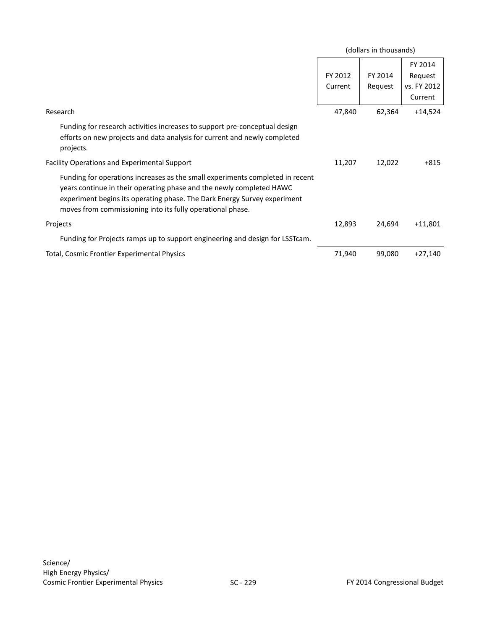|                                                                                                                                                                                                                                                                                                 |                    | (dollars in thousands) |                                              |
|-------------------------------------------------------------------------------------------------------------------------------------------------------------------------------------------------------------------------------------------------------------------------------------------------|--------------------|------------------------|----------------------------------------------|
|                                                                                                                                                                                                                                                                                                 | FY 2012<br>Current | FY 2014<br>Request     | FY 2014<br>Request<br>vs. FY 2012<br>Current |
| Research                                                                                                                                                                                                                                                                                        | 47,840             | 62,364                 | $+14,524$                                    |
| Funding for research activities increases to support pre-conceptual design<br>efforts on new projects and data analysis for current and newly completed<br>projects.                                                                                                                            |                    |                        |                                              |
| Facility Operations and Experimental Support                                                                                                                                                                                                                                                    | 11,207             | 12,022                 | $+815$                                       |
| Funding for operations increases as the small experiments completed in recent<br>years continue in their operating phase and the newly completed HAWC<br>experiment begins its operating phase. The Dark Energy Survey experiment<br>moves from commissioning into its fully operational phase. |                    |                        |                                              |
| Projects                                                                                                                                                                                                                                                                                        | 12,893             | 24,694                 | $+11,801$                                    |
| Funding for Projects ramps up to support engineering and design for LSST cam.                                                                                                                                                                                                                   |                    |                        |                                              |
| Total, Cosmic Frontier Experimental Physics                                                                                                                                                                                                                                                     | 71,940             | 99,080                 | $+27,140$                                    |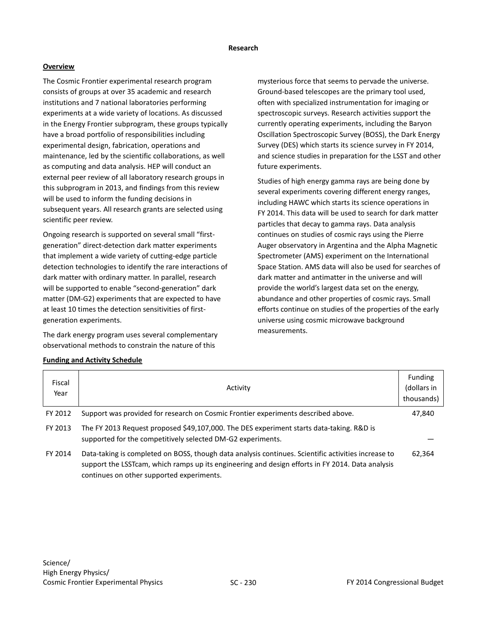#### **Research**

## **Overview**

The Cosmic Frontier experimental research program consists of groups at over 35 academic and research institutions and 7 national laboratories performing experiments at a wide variety of locations. As discussed in the Energy Frontier subprogram, these groups typically have a broad portfolio of responsibilities including experimental design, fabrication, operations and maintenance, led by the scientific collaborations, as well as computing and data analysis. HEP will conduct an external peer review of all laboratory research groups in this subprogram in 2013, and findings from this review will be used to inform the funding decisions in subsequent years. All research grants are selected using scientific peer review.

Ongoing research is supported on several small "firstgeneration" direct-detection dark matter experiments that implement a wide variety of cutting-edge particle detection technologies to identify the rare interactions of dark matter with ordinary matter. In parallel, research will be supported to enable "second-generation" dark matter (DM-G2) experiments that are expected to have at least 10 times the detection sensitivities of firstgeneration experiments.

The dark energy program uses several complementary observational methods to constrain the nature of this

mysterious force that seems to pervade the universe. Ground-based telescopes are the primary tool used, often with specialized instrumentation for imaging or spectroscopic surveys. Research activities support the currently operating experiments, including the Baryon Oscillation Spectroscopic Survey (BOSS), the Dark Energy Survey (DES) which starts its science survey in FY 2014, and science studies in preparation for the LSST and other future experiments.

Studies of high energy gamma rays are being done by several experiments covering different energy ranges, including HAWC which starts its science operations in FY 2014. This data will be used to search for dark matter particles that decay to gamma rays. Data analysis continues on studies of cosmic rays using the Pierre Auger observatory in Argentina and the Alpha Magnetic Spectrometer (AMS) experiment on the International Space Station. AMS data will also be used for searches of dark matter and antimatter in the universe and will provide the world's largest data set on the energy, abundance and other properties of cosmic rays. Small efforts continue on studies of the properties of the early universe using cosmic microwave background measurements.

| Fiscal<br>Year | Activity                                                                                                                                                                                                                                              | <b>Funding</b><br>(dollars in<br>thousands) |
|----------------|-------------------------------------------------------------------------------------------------------------------------------------------------------------------------------------------------------------------------------------------------------|---------------------------------------------|
| FY 2012        | Support was provided for research on Cosmic Frontier experiments described above.                                                                                                                                                                     | 47,840                                      |
| FY 2013        | The FY 2013 Request proposed \$49,107,000. The DES experiment starts data-taking. R&D is<br>supported for the competitively selected DM-G2 experiments.                                                                                               |                                             |
| FY 2014        | Data-taking is completed on BOSS, though data analysis continues. Scientific activities increase to<br>support the LSST cam, which ramps up its engineering and design efforts in FY 2014. Data analysis<br>continues on other supported experiments. | 62,364                                      |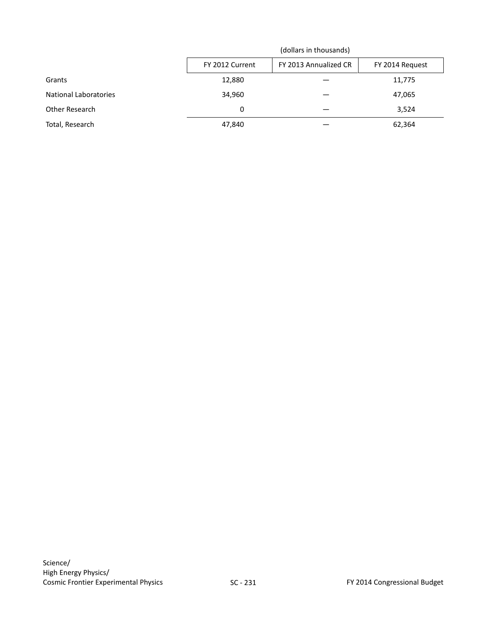|                              | (dollars in thousands) |                 |        |
|------------------------------|------------------------|-----------------|--------|
|                              | FY 2012 Current        | FY 2014 Request |        |
| Grants                       | 12,880                 |                 | 11,775 |
| <b>National Laboratories</b> | 34,960                 |                 | 47,065 |
| Other Research               | 0                      |                 | 3,524  |
| Total, Research              | 47,840                 |                 | 62,364 |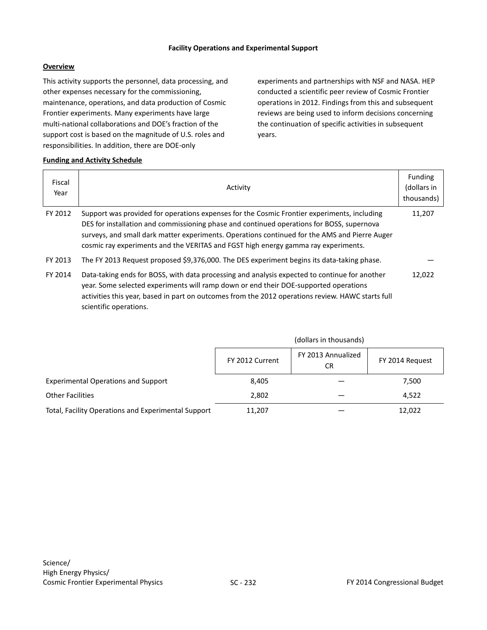#### **Facility Operations and Experimental Support**

## **Overview**

This activity supports the personnel, data processing, and other expenses necessary for the commissioning, maintenance, operations, and data production of Cosmic Frontier experiments. Many experiments have large multi-national collaborations and DOE's fraction of the support cost is based on the magnitude of U.S. roles and responsibilities. In addition, there are DOE-only

experiments and partnerships with NSF and NASA. HEP conducted a scientific peer review of Cosmic Frontier operations in 2012. Findings from this and subsequent reviews are being used to inform decisions concerning the continuation of specific activities in subsequent years.

| Fiscal<br>Year | Activity                                                                                                                                                                                                                                                                                                                                                                        | <b>Funding</b><br>(dollars in<br>thousands) |
|----------------|---------------------------------------------------------------------------------------------------------------------------------------------------------------------------------------------------------------------------------------------------------------------------------------------------------------------------------------------------------------------------------|---------------------------------------------|
| FY 2012        | Support was provided for operations expenses for the Cosmic Frontier experiments, including<br>DES for installation and commissioning phase and continued operations for BOSS, supernova<br>surveys, and small dark matter experiments. Operations continued for the AMS and Pierre Auger<br>cosmic ray experiments and the VERITAS and FGST high energy gamma ray experiments. | 11,207                                      |
| FY 2013        | The FY 2013 Request proposed \$9,376,000. The DES experiment begins its data-taking phase.                                                                                                                                                                                                                                                                                      |                                             |
| FY 2014        | Data-taking ends for BOSS, with data processing and analysis expected to continue for another<br>year. Some selected experiments will ramp down or end their DOE-supported operations<br>activities this year, based in part on outcomes from the 2012 operations review. HAWC starts full<br>scientific operations.                                                            | 12,022                                      |

|                                                     |                 | (dollars in thousands)    |                 |  |
|-----------------------------------------------------|-----------------|---------------------------|-----------------|--|
|                                                     | FY 2012 Current | FY 2013 Annualized<br>CR. | FY 2014 Request |  |
| <b>Experimental Operations and Support</b>          | 8,405           |                           | 7,500           |  |
| <b>Other Facilities</b>                             | 2,802           |                           | 4,522           |  |
| Total, Facility Operations and Experimental Support | 11,207          |                           | 12,022          |  |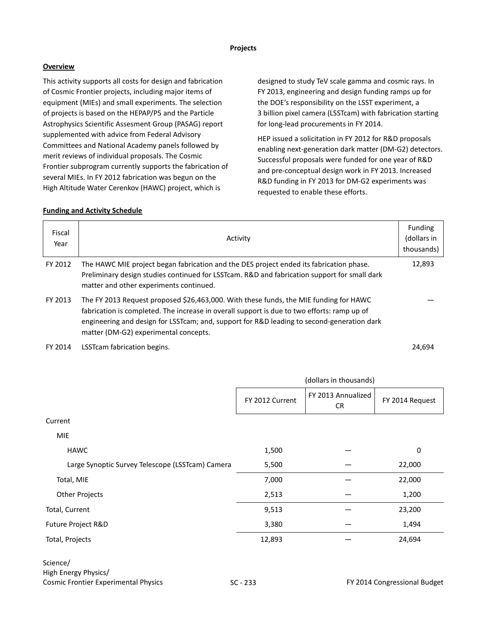#### **Projects**

## **Overview**

This activity supports all costs for design and fabrication of Cosmic Frontier projects, including major items of equipment (MIEs) and small experiments. The selection of projects is based on the HEPAP/P5 and the Particle Astrophysics Scientific Assesment Group (PASAG) report supplemented with advice from Federal Advisory Committees and National Academy panels followed by merit reviews of individual proposals. The Cosmic Frontier subprogram currently supports the fabrication of several MIEs. In FY 2012 fabrication was begun on the High Altitude Water Cerenkov (HAWC) project, which is

designed to study TeV scale gamma and cosmic rays. In FY 2013, engineering and design funding ramps up for the DOE's responsibility on the LSST experiment, a 3 billion pixel camera (LSSTcam) with fabrication starting for long-lead procurements in FY 2014.

HEP issued a solicitation in FY 2012 for R&D proposals enabling next-generation dark matter (DM-G2) detectors. Successful proposals were funded for one year of R&D and pre-conceptual design work in FY 2013. Increased R&D funding in FY 2013 for DM-G2 experiments was requested to enable these efforts.

## **Funding and Activity Schedule**

| Fiscal<br>Year | Activity                                                                                                                                                                                                                                                                                                                    | <b>Funding</b><br>(dollars in<br>thousands) |
|----------------|-----------------------------------------------------------------------------------------------------------------------------------------------------------------------------------------------------------------------------------------------------------------------------------------------------------------------------|---------------------------------------------|
| FY 2012        | The HAWC MIE project began fabrication and the DES project ended its fabrication phase.<br>Preliminary design studies continued for LSSTcam. R&D and fabrication support for small dark<br>matter and other experiments continued.                                                                                          | 12,893                                      |
| FY 2013        | The FY 2013 Request proposed \$26,463,000. With these funds, the MIE funding for HAWC<br>fabrication is completed. The increase in overall support is due to two efforts: ramp up of<br>engineering and design for LSSTcam; and, support for R&D leading to second-generation dark<br>matter (DM-G2) experimental concepts. |                                             |

FY 2014 LSSTcam fabrication begins. 24,694

|                                                  |                 | (dollars in thousands)   |                 |
|--------------------------------------------------|-----------------|--------------------------|-----------------|
|                                                  | FY 2012 Current | FY 2013 Annualized<br>CR | FY 2014 Request |
| Current                                          |                 |                          |                 |
| <b>MIE</b>                                       |                 |                          |                 |
| <b>HAWC</b>                                      | 1,500           |                          | $\mathbf 0$     |
| Large Synoptic Survey Telescope (LSSTcam) Camera | 5,500           |                          | 22,000          |
| Total, MIE                                       | 7,000           |                          | 22,000          |
| <b>Other Projects</b>                            | 2,513           |                          | 1,200           |
| Total, Current                                   | 9,513           |                          | 23,200          |
| Future Project R&D                               | 3,380           |                          | 1,494           |
| Total, Projects                                  | 12,893          |                          | 24,694          |
| Science/<br>High Energy Physics/                 |                 |                          |                 |

High Energy Physics/ Cosmic Frontier Experimental Physics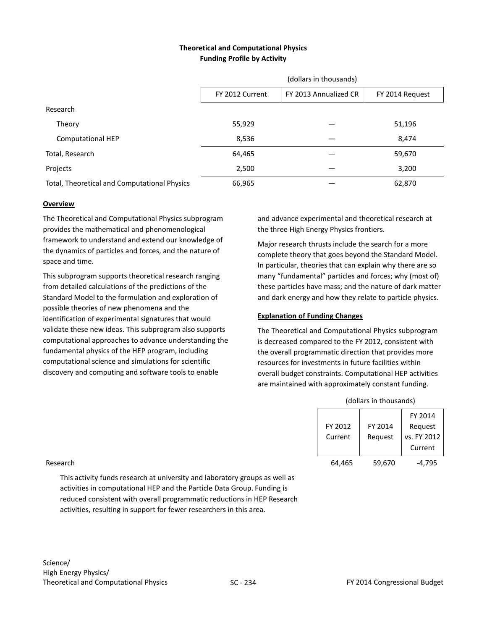## **Theoretical and Computational Physics Funding Profile by Activity**

|                                              | (dollars in thousands)                                      |  |        |  |
|----------------------------------------------|-------------------------------------------------------------|--|--------|--|
|                                              | FY 2013 Annualized CR<br>FY 2012 Current<br>FY 2014 Request |  |        |  |
| Research                                     |                                                             |  |        |  |
| Theory                                       | 55,929                                                      |  | 51,196 |  |
| <b>Computational HEP</b>                     | 8,536                                                       |  | 8,474  |  |
| Total, Research                              | 64,465                                                      |  | 59,670 |  |
| Projects                                     | 2,500                                                       |  | 3,200  |  |
| Total, Theoretical and Computational Physics | 66,965                                                      |  | 62,870 |  |

#### **Overview**

The Theoretical and Computational Physics subprogram provides the mathematical and phenomenological framework to understand and extend our knowledge of the dynamics of particles and forces, and the nature of space and time.

This subprogram supports theoretical research ranging from detailed calculations of the predictions of the Standard Model to the formulation and exploration of possible theories of new phenomena and the identification of experimental signatures that would validate these new ideas. This subprogram also supports computational approaches to advance understanding the fundamental physics of the HEP program, including computational science and simulations for scientific discovery and computing and software tools to enable

and advance experimental and theoretical research at the three High Energy Physics frontiers.

Major research thrusts include the search for a more complete theory that goes beyond the Standard Model. In particular, theories that can explain why there are so many "fundamental" particles and forces; why (most of) these particles have mass; and the nature of dark matter and dark energy and how they relate to particle physics.

## **Explanation of Funding Changes**

The Theoretical and Computational Physics subprogram is decreased compared to the FY 2012, consistent with the overall programmatic direction that provides more resources for investments in future facilities within overall budget constraints. Computational HEP activities are maintained with approximately constant funding.

|          |         |         | FY 2014     |
|----------|---------|---------|-------------|
|          | FY 2012 | FY 2014 | Request     |
|          | Current | Request | vs. FY 2012 |
|          |         |         | Current     |
| Research | 64,465  | 59,670  | $-4,795$    |

(dollars in thousands)

This activity funds research at university and laboratory groups as well as activities in computational HEP and the Particle Data Group. Funding is reduced consistent with overall programmatic reductions in HEP Research activities, resulting in support for fewer researchers in this area.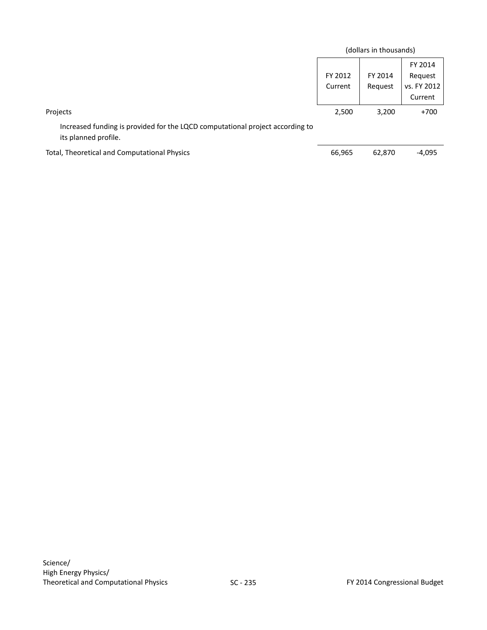|                                                                                                       |                    | (dollars in thousands) |                                              |
|-------------------------------------------------------------------------------------------------------|--------------------|------------------------|----------------------------------------------|
|                                                                                                       | FY 2012<br>Current | FY 2014<br>Request     | FY 2014<br>Request<br>vs. FY 2012<br>Current |
| Projects                                                                                              | 2,500              | 3,200                  | $+700$                                       |
| Increased funding is provided for the LQCD computational project according to<br>its planned profile. |                    |                        |                                              |
| Total, Theoretical and Computational Physics                                                          | 66,965             | 62,870                 | $-4,095$                                     |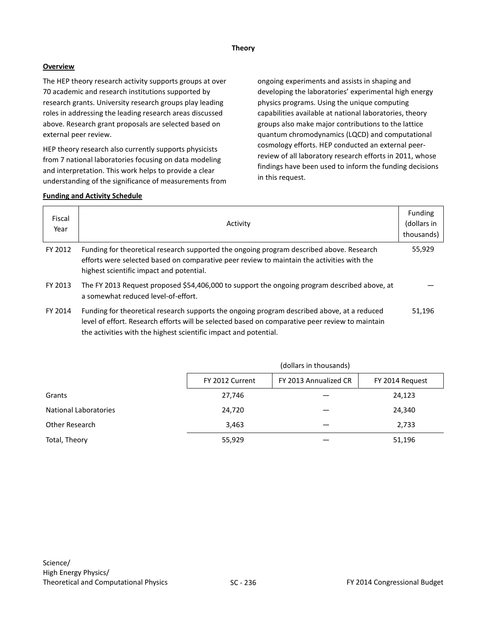#### **Theory**

## **Overview**

The HEP theory research activity supports groups at over 70 academic and research institutions supported by research grants. University research groups play leading roles in addressing the leading research areas discussed above. Research grant proposals are selected based on external peer review.

HEP theory research also currently supports physicists from 7 national laboratories focusing on data modeling and interpretation. This work helps to provide a clear understanding of the significance of measurements from ongoing experiments and assists in shaping and developing the laboratories' experimental high energy physics programs. Using the unique computing capabilities available at national laboratories, theory groups also make major contributions to the lattice quantum chromodynamics (LQCD) and computational cosmology efforts. HEP conducted an external peerreview of all laboratory research efforts in 2011, whose findings have been used to inform the funding decisions in this request.

| Fiscal<br>Year | Activity                                                                                                                                                                                                                                                           | Funding<br>(dollars in<br>thousands) |
|----------------|--------------------------------------------------------------------------------------------------------------------------------------------------------------------------------------------------------------------------------------------------------------------|--------------------------------------|
| FY 2012        | Funding for theoretical research supported the ongoing program described above. Research<br>efforts were selected based on comparative peer review to maintain the activities with the<br>highest scientific impact and potential.                                 | 55,929                               |
| FY 2013        | The FY 2013 Request proposed \$54,406,000 to support the ongoing program described above, at<br>a somewhat reduced level-of-effort.                                                                                                                                |                                      |
| FY 2014        | Funding for theoretical research supports the ongoing program described above, at a reduced<br>level of effort. Research efforts will be selected based on comparative peer review to maintain<br>the activities with the highest scientific impact and potential. | 51,196                               |

|                              | (dollars in thousands) |                       |                 |
|------------------------------|------------------------|-----------------------|-----------------|
|                              | FY 2012 Current        | FY 2013 Annualized CR | FY 2014 Request |
| Grants                       | 27,746                 |                       | 24,123          |
| <b>National Laboratories</b> | 24,720                 |                       | 24,340          |
| Other Research               | 3,463                  |                       | 2,733           |
| Total, Theory                | 55,929                 |                       | 51,196          |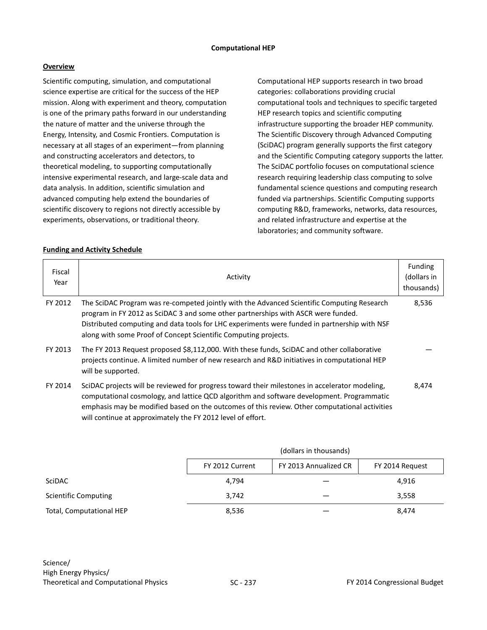#### **Computational HEP**

### **Overview**

Scientific computing, simulation, and computational science expertise are critical for the success of the HEP mission. Along with experiment and theory, computation is one of the primary paths forward in our understanding the nature of matter and the universe through the Energy, Intensity, and Cosmic Frontiers. Computation is necessary at all stages of an experiment—from planning and constructing accelerators and detectors, to theoretical modeling, to supporting computationally intensive experimental research, and large-scale data and data analysis. In addition, scientific simulation and advanced computing help extend the boundaries of scientific discovery to regions not directly accessible by experiments, observations, or traditional theory.

Computational HEP supports research in two broad categories: collaborations providing crucial computational tools and techniques to specific targeted HEP research topics and scientific computing infrastructure supporting the broader HEP community. The Scientific Discovery through Advanced Computing (SciDAC) program generally supports the first category and the Scientific Computing category supports the latter. The SciDAC portfolio focuses on computational science research requiring leadership class computing to solve fundamental science questions and computing research funded via partnerships. Scientific Computing supports computing R&D, frameworks, networks, data resources, and related infrastructure and expertise at the laboratories; and community software.

| Fiscal<br>Year | Activity                                                                                                                                                                                                                                                                                                                                                    | <b>Funding</b><br>(dollars in<br>thousands) |
|----------------|-------------------------------------------------------------------------------------------------------------------------------------------------------------------------------------------------------------------------------------------------------------------------------------------------------------------------------------------------------------|---------------------------------------------|
| FY 2012        | The SciDAC Program was re-competed jointly with the Advanced Scientific Computing Research<br>program in FY 2012 as SciDAC 3 and some other partnerships with ASCR were funded.<br>Distributed computing and data tools for LHC experiments were funded in partnership with NSF<br>along with some Proof of Concept Scientific Computing projects.          | 8,536                                       |
| FY 2013        | The FY 2013 Request proposed \$8,112,000. With these funds, SciDAC and other collaborative<br>projects continue. A limited number of new research and R&D initiatives in computational HEP<br>will be supported.                                                                                                                                            |                                             |
| FY 2014        | SciDAC projects will be reviewed for progress toward their milestones in accelerator modeling,<br>computational cosmology, and lattice QCD algorithm and software development. Programmatic<br>emphasis may be modified based on the outcomes of this review. Other computational activities<br>will continue at approximately the FY 2012 level of effort. | 8,474                                       |

|                             | (dollars in thousands) |                       |                 |
|-----------------------------|------------------------|-----------------------|-----------------|
|                             | FY 2012 Current        | FY 2013 Annualized CR | FY 2014 Request |
| <b>SciDAC</b>               | 4,794                  |                       | 4,916           |
| <b>Scientific Computing</b> | 3,742                  |                       | 3,558           |
| Total, Computational HEP    | 8,536                  |                       | 8,474           |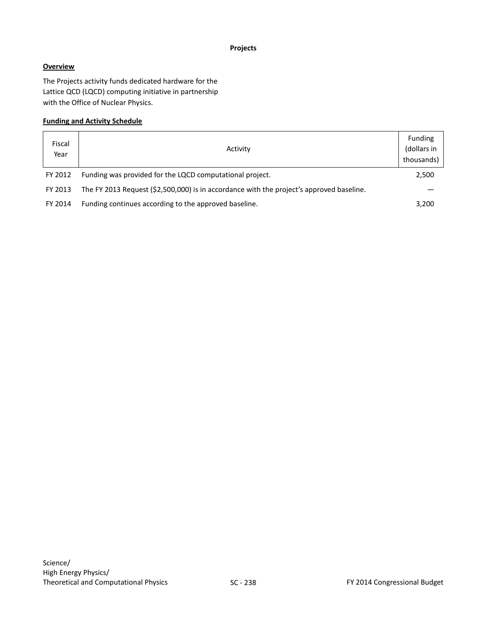### **Projects**

## **Overview**

The Projects activity funds dedicated hardware for the Lattice QCD (LQCD) computing initiative in partnership with the Office of Nuclear Physics.

| Fiscal<br>Year | Activity                                                                                 | <b>Funding</b><br>(dollars in<br>thousands) |
|----------------|------------------------------------------------------------------------------------------|---------------------------------------------|
| FY 2012        | Funding was provided for the LQCD computational project.                                 | 2,500                                       |
| FY 2013        | The FY 2013 Request (\$2,500,000) is in accordance with the project's approved baseline. |                                             |
| FY 2014        | Funding continues according to the approved baseline.                                    | 3,200                                       |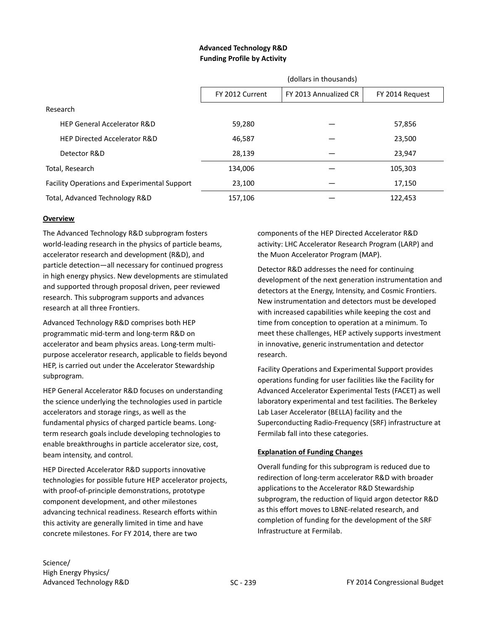## **Advanced Technology R&D Funding Profile by Activity**

|                                                     |                 | (dollars in thousands) |                 |
|-----------------------------------------------------|-----------------|------------------------|-----------------|
|                                                     | FY 2012 Current | FY 2013 Annualized CR  | FY 2014 Request |
| Research                                            |                 |                        |                 |
| <b>HEP General Accelerator R&amp;D</b>              | 59,280          |                        | 57,856          |
| <b>HEP Directed Accelerator R&amp;D</b>             | 46.587          |                        | 23,500          |
| Detector R&D                                        | 28,139          |                        | 23,947          |
| Total, Research                                     | 134,006         |                        | 105,303         |
| <b>Facility Operations and Experimental Support</b> | 23,100          |                        | 17,150          |
| Total, Advanced Technology R&D                      | 157,106         |                        | 122,453         |

## **Overview**

The Advanced Technology R&D subprogram fosters world-leading research in the physics of particle beams, accelerator research and development (R&D), and particle detection—all necessary for continued progress in high energy physics. New developments are stimulated and supported through proposal driven, peer reviewed research. This subprogram supports and advances research at all three Frontiers.

Advanced Technology R&D comprises both HEP programmatic mid-term and long-term R&D on accelerator and beam physics areas. Long-term multipurpose accelerator research, applicable to fields beyond HEP, is carried out under the Accelerator Stewardship subprogram.

HEP General Accelerator R&D focuses on understanding the science underlying the technologies used in particle accelerators and storage rings, as well as the fundamental physics of charged particle beams. Longterm research goals include developing technologies to enable breakthroughs in particle accelerator size, cost, beam intensity, and control.

HEP Directed Accelerator R&D supports innovative technologies for possible future HEP accelerator projects, with proof-of-principle demonstrations, prototype component development, and other milestones advancing technical readiness. Research efforts within this activity are generally limited in time and have concrete milestones. For FY 2014, there are two

components of the HEP Directed Accelerator R&D activity: LHC Accelerator Research Program (LARP) and the Muon Accelerator Program (MAP).

Detector R&D addresses the need for continuing development of the next generation instrumentation and detectors at the Energy, Intensity, and Cosmic Frontiers. New instrumentation and detectors must be developed with increased capabilities while keeping the cost and time from conception to operation at a minimum. To meet these challenges, HEP actively supports investment in innovative, generic instrumentation and detector research.

Facility Operations and Experimental Support provides operations funding for user facilities like the Facility for Advanced Accelerator Experimental Tests (FACET) as well laboratory experimental and test facilities. The Berkeley Lab Laser Accelerator (BELLA) facility and the Superconducting Radio-Frequency (SRF) infrastructure at Fermilab fall into these categories.

## **Explanation of Funding Changes**

Overall funding for this subprogram is reduced due to redirection of long-term accelerator R&D with broader applications to the Accelerator R&D Stewardship subprogram, the reduction of liquid argon detector R&D as this effort moves to LBNE-related research, and completion of funding for the development of the SRF Infrastructure at Fermilab.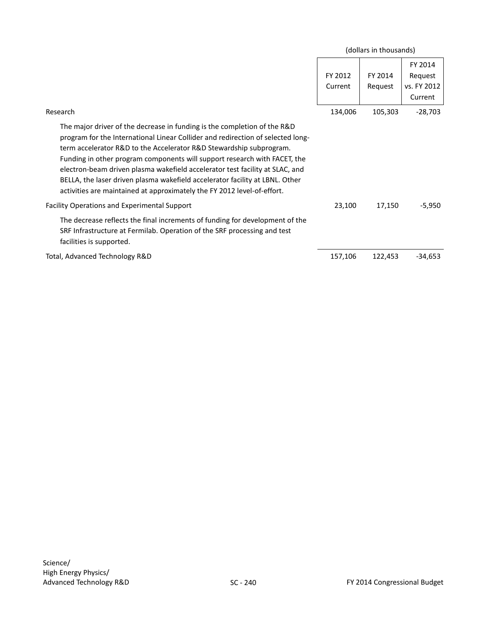|                                                                                                                                                                                                                                                                                                                                                                                                                                                                                                                                                            |                    | (dollars in thousands) |                                              |
|------------------------------------------------------------------------------------------------------------------------------------------------------------------------------------------------------------------------------------------------------------------------------------------------------------------------------------------------------------------------------------------------------------------------------------------------------------------------------------------------------------------------------------------------------------|--------------------|------------------------|----------------------------------------------|
|                                                                                                                                                                                                                                                                                                                                                                                                                                                                                                                                                            | FY 2012<br>Current | FY 2014<br>Request     | FY 2014<br>Request<br>vs. FY 2012<br>Current |
| Research                                                                                                                                                                                                                                                                                                                                                                                                                                                                                                                                                   | 134,006            | 105,303                | $-28,703$                                    |
| The major driver of the decrease in funding is the completion of the R&D<br>program for the International Linear Collider and redirection of selected long-<br>term accelerator R&D to the Accelerator R&D Stewardship subprogram.<br>Funding in other program components will support research with FACET, the<br>electron-beam driven plasma wakefield accelerator test facility at SLAC, and<br>BELLA, the laser driven plasma wakefield accelerator facility at LBNL. Other<br>activities are maintained at approximately the FY 2012 level-of-effort. |                    |                        |                                              |
| <b>Facility Operations and Experimental Support</b>                                                                                                                                                                                                                                                                                                                                                                                                                                                                                                        | 23,100             | 17,150                 | $-5,950$                                     |
| The decrease reflects the final increments of funding for development of the<br>SRF Infrastructure at Fermilab. Operation of the SRF processing and test<br>facilities is supported.                                                                                                                                                                                                                                                                                                                                                                       |                    |                        |                                              |
| Total, Advanced Technology R&D                                                                                                                                                                                                                                                                                                                                                                                                                                                                                                                             | 157,106            | 122,453                | $-34,653$                                    |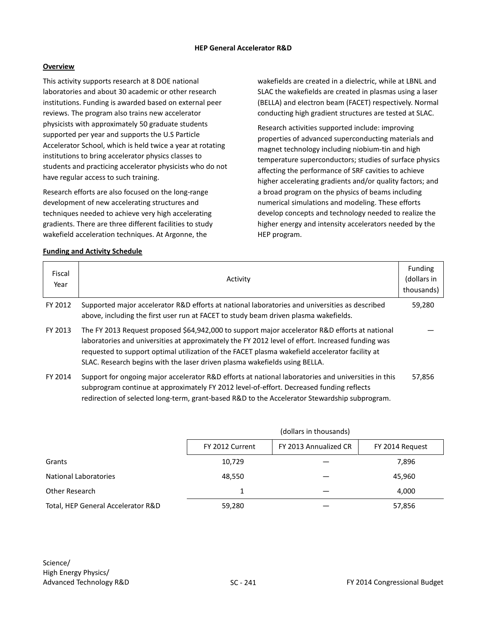## **Overview**

This activity supports research at 8 DOE national laboratories and about 30 academic or other research institutions. Funding is awarded based on external peer reviews. The program also trains new accelerator physicists with approximately 50 graduate students supported per year and supports the U.S Particle Accelerator School, which is held twice a year at rotating institutions to bring accelerator physics classes to students and practicing accelerator physicists who do not have regular access to such training.

Research efforts are also focused on the long-range development of new accelerating structures and techniques needed to achieve very high accelerating gradients. There are three different facilities to study wakefield acceleration techniques. At Argonne, the

wakefields are created in a dielectric, while at LBNL and SLAC the wakefields are created in plasmas using a laser (BELLA) and electron beam (FACET) respectively. Normal conducting high gradient structures are tested at SLAC.

Research activities supported include: improving properties of advanced superconducting materials and magnet technology including niobium-tin and high temperature superconductors; studies of surface physics affecting the performance of SRF cavities to achieve higher accelerating gradients and/or quality factors; and a broad program on the physics of beams including numerical simulations and modeling. These efforts develop concepts and technology needed to realize the higher energy and intensity accelerators needed by the HEP program.

## **Funding and Activity Schedule**

| Fiscal<br>Year | Activity                                                                                                                                                                                                                                                                                                                                                                            | Funding<br>(dollars in<br>thousands) |
|----------------|-------------------------------------------------------------------------------------------------------------------------------------------------------------------------------------------------------------------------------------------------------------------------------------------------------------------------------------------------------------------------------------|--------------------------------------|
| FY 2012        | Supported major accelerator R&D efforts at national laboratories and universities as described<br>above, including the first user run at FACET to study beam driven plasma wakefields.                                                                                                                                                                                              | 59,280                               |
| FY 2013        | The FY 2013 Request proposed \$64,942,000 to support major accelerator R&D efforts at national<br>laboratories and universities at approximately the FY 2012 level of effort. Increased funding was<br>requested to support optimal utilization of the FACET plasma wakefield accelerator facility at<br>SLAC. Research begins with the laser driven plasma wakefields using BELLA. |                                      |
| FY 2014        | Support for ongoing major accelerator R&D efforts at national laboratories and universities in this<br>subprogram continue at approximately FY 2012 level-of-effort. Decreased funding reflects                                                                                                                                                                                     | 57.856                               |

redirection of selected long-term, grant-based R&D to the Accelerator Stewardship subprogram.

|                                    | (dollars in thousands) |                       |                 |
|------------------------------------|------------------------|-----------------------|-----------------|
|                                    | FY 2012 Current        | FY 2013 Annualized CR | FY 2014 Request |
| Grants                             | 10,729                 |                       | 7,896           |
| National Laboratories              | 48,550                 |                       | 45,960          |
| Other Research                     |                        |                       | 4,000           |
| Total, HEP General Accelerator R&D | 59,280                 |                       | 57,856          |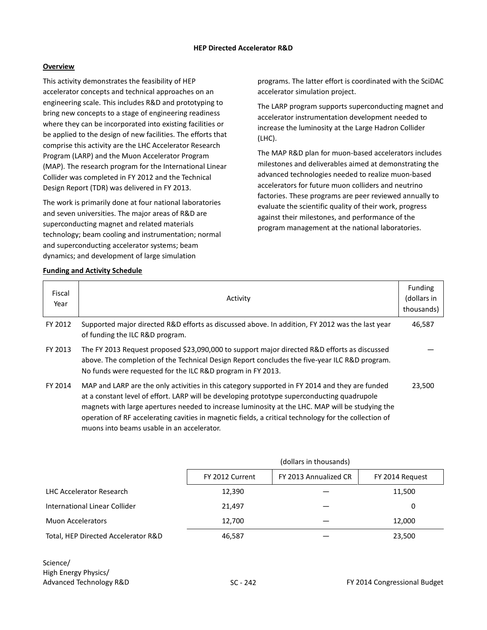## **Overview**

This activity demonstrates the feasibility of HEP accelerator concepts and technical approaches on an engineering scale. This includes R&D and prototyping to bring new concepts to a stage of engineering readiness where they can be incorporated into existing facilities or be applied to the design of new facilities. The efforts that comprise this activity are the LHC Accelerator Research Program (LARP) and the Muon Accelerator Program (MAP). The research program for the International Linear Collider was completed in FY 2012 and the Technical Design Report (TDR) was delivered in FY 2013.

The work is primarily done at four national laboratories and seven universities. The major areas of R&D are superconducting magnet and related materials technology; beam cooling and instrumentation; normal and superconducting accelerator systems; beam dynamics; and development of large simulation

muons into beams usable in an accelerator.

programs. The latter effort is coordinated with the SciDAC accelerator simulation project.

The LARP program supports superconducting magnet and accelerator instrumentation development needed to increase the luminosity at the Large Hadron Collider (LHC).

The MAP R&D plan for muon-based accelerators includes milestones and deliverables aimed at demonstrating the advanced technologies needed to realize muon-based accelerators for future muon colliders and neutrino factories. These programs are peer reviewed annually to evaluate the scientific quality of their work, progress against their milestones, and performance of the program management at the national laboratories.

#### **Funding and Activity Schedule**

| Fiscal<br>Year | Activity                                                                                                                                                                                                                                                                                         | <b>Funding</b><br>(dollars in<br>thousands) |
|----------------|--------------------------------------------------------------------------------------------------------------------------------------------------------------------------------------------------------------------------------------------------------------------------------------------------|---------------------------------------------|
| FY 2012        | Supported major directed R&D efforts as discussed above. In addition, FY 2012 was the last year<br>of funding the ILC R&D program.                                                                                                                                                               | 46,587                                      |
| FY 2013        | The FY 2013 Request proposed \$23,090,000 to support major directed R&D efforts as discussed<br>above. The completion of the Technical Design Report concludes the five-year ILC R&D program.<br>No funds were requested for the ILC R&D program in FY 2013.                                     |                                             |
| FY 2014        | MAP and LARP are the only activities in this category supported in FY 2014 and they are funded<br>at a constant level of effort. LARP will be developing prototype superconducting quadrupole<br>magnets with large apertures needed to increase luminosity at the LHC. MAP will be studying the | 23,500                                      |

operation of RF accelerating cavities in magnetic fields, a critical technology for the collection of

|                                     |                 | (dollars in thousands) |                 |
|-------------------------------------|-----------------|------------------------|-----------------|
|                                     | FY 2012 Current | FY 2013 Annualized CR  | FY 2014 Request |
| <b>LHC Accelerator Research</b>     | 12,390          |                        | 11,500          |
| International Linear Collider       | 21,497          |                        | 0               |
| Muon Accelerators                   | 12,700          |                        | 12,000          |
| Total, HEP Directed Accelerator R&D | 46,587          |                        | 23,500          |

Science/ High Energy Physics/ Advanced Technology R&D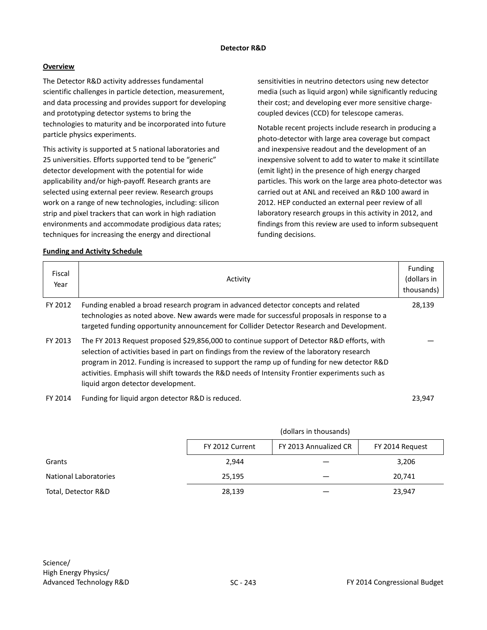#### **Detector R&D**

## **Overview**

The Detector R&D activity addresses fundamental scientific challenges in particle detection, measurement, and data processing and provides support for developing and prototyping detector systems to bring the technologies to maturity and be incorporated into future particle physics experiments.

This activity is supported at 5 national laboratories and 25 universities. Efforts supported tend to be "generic" detector development with the potential for wide applicability and/or high-payoff. Research grants are selected using external peer review. Research groups work on a range of new technologies, including: silicon strip and pixel trackers that can work in high radiation environments and accommodate prodigious data rates; techniques for increasing the energy and directional

sensitivities in neutrino detectors using new detector media (such as liquid argon) while significantly reducing their cost; and developing ever more sensitive chargecoupled devices (CCD) for telescope cameras.

Notable recent projects include research in producing a photo-detector with large area coverage but compact and inexpensive readout and the development of an inexpensive solvent to add to water to make it scintillate (emit light) in the presence of high energy charged particles. This work on the large area photo-detector was carried out at ANL and received an R&D 100 award in 2012. HEP conducted an external peer review of all laboratory research groups in this activity in 2012, and findings from this review are used to inform subsequent funding decisions.

#### **Funding and Activity Schedule**

| Fiscal<br>Year | Activity                                                                                                                                                                                                                                                                                                                                                                                                                             | Funding<br>(dollars in<br>thousands) |
|----------------|--------------------------------------------------------------------------------------------------------------------------------------------------------------------------------------------------------------------------------------------------------------------------------------------------------------------------------------------------------------------------------------------------------------------------------------|--------------------------------------|
| FY 2012        | Funding enabled a broad research program in advanced detector concepts and related<br>technologies as noted above. New awards were made for successful proposals in response to a<br>targeted funding opportunity announcement for Collider Detector Research and Development.                                                                                                                                                       | 28,139                               |
| FY 2013        | The FY 2013 Request proposed \$29,856,000 to continue support of Detector R&D efforts, with<br>selection of activities based in part on findings from the review of the laboratory research<br>program in 2012. Funding is increased to support the ramp up of funding for new detector R&D<br>activities. Emphasis will shift towards the R&D needs of Intensity Frontier experiments such as<br>liquid argon detector development. |                                      |
|                | EV 2014 Eugebe for liquid associated to DRD is reduced                                                                                                                                                                                                                                                                                                                                                                               | 33 Q 47                              |

FY 2014 Funding for liquid argon detector R&D is reduced. 23,947

|                       | (dollars in thousands) |                       |                 |
|-----------------------|------------------------|-----------------------|-----------------|
|                       | FY 2012 Current        | FY 2013 Annualized CR | FY 2014 Request |
| Grants                | 2.944                  |                       | 3,206           |
| National Laboratories | 25,195                 |                       | 20,741          |
| Total, Detector R&D   | 28,139                 |                       | 23,947          |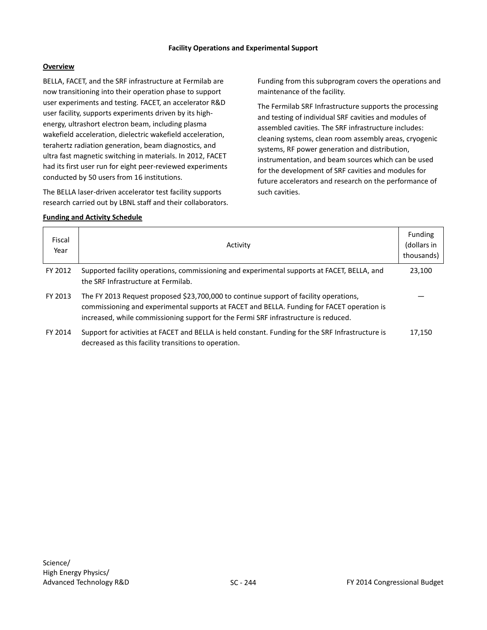### **Facility Operations and Experimental Support**

## **Overview**

BELLA, FACET, and the SRF infrastructure at Fermilab are now transitioning into their operation phase to support user experiments and testing. FACET, an accelerator R&D user facility, supports experiments driven by its highenergy, ultrashort electron beam, including plasma wakefield acceleration, dielectric wakefield acceleration, terahertz radiation generation, beam diagnostics, and ultra fast magnetic switching in materials. In 2012, FACET had its first user run for eight peer-reviewed experiments conducted by 50 users from 16 institutions.

The BELLA laser-driven accelerator test facility supports research carried out by LBNL staff and their collaborators.

## **Funding and Activity Schedule**

Funding from this subprogram covers the operations and maintenance of the facility.

The Fermilab SRF Infrastructure supports the processing and testing of individual SRF cavities and modules of assembled cavities. The SRF infrastructure includes: cleaning systems, clean room assembly areas, cryogenic systems, RF power generation and distribution, instrumentation, and beam sources which can be used for the development of SRF cavities and modules for future accelerators and research on the performance of such cavities.

| Fiscal<br>Year | Activity                                                                                                                                                                                                                                                                   | Funding<br>(dollars in<br>thousands) |
|----------------|----------------------------------------------------------------------------------------------------------------------------------------------------------------------------------------------------------------------------------------------------------------------------|--------------------------------------|
| FY 2012        | Supported facility operations, commissioning and experimental supports at FACET, BELLA, and<br>the SRF Infrastructure at Fermilab.                                                                                                                                         | 23,100                               |
| FY 2013        | The FY 2013 Request proposed \$23,700,000 to continue support of facility operations,<br>commissioning and experimental supports at FACET and BELLA. Funding for FACET operation is<br>increased, while commissioning support for the Fermi SRF infrastructure is reduced. |                                      |
| FY 2014        | Support for activities at FACET and BELLA is held constant. Funding for the SRF Infrastructure is<br>decreased as this facility transitions to operation.                                                                                                                  | 17.150                               |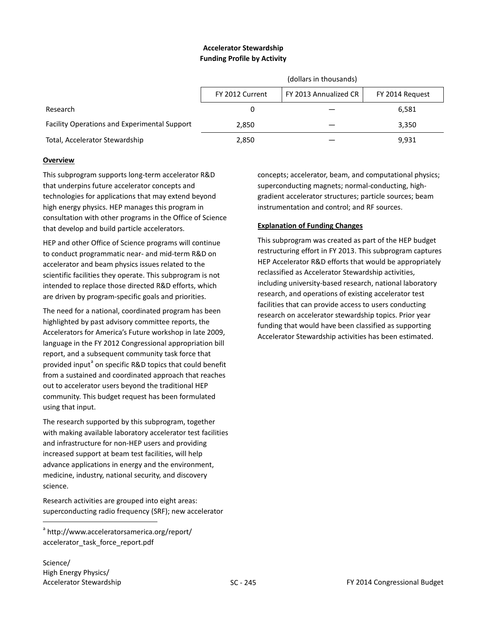## **Accelerator Stewardship Funding Profile by Activity**

|                                              | (dollars in thousands)                                      |  |       |
|----------------------------------------------|-------------------------------------------------------------|--|-------|
|                                              | FY 2013 Annualized CR<br>FY 2012 Current<br>FY 2014 Request |  |       |
| Research                                     |                                                             |  | 6,581 |
| Facility Operations and Experimental Support | 2,850                                                       |  | 3,350 |
| Total, Accelerator Stewardship               | 2,850                                                       |  | 9,931 |

## **Overview**

This subprogram supports long-term accelerator R&D that underpins future accelerator concepts and technologies for applications that may extend beyond high energy physics. HEP manages this program in consultation with other programs in the Office of Science that develop and build particle accelerators.

HEP and other Office of Science programs will continue to conduct programmatic near- and mid-term R&D on accelerator and beam physics issues related to the scientific facilities they operate. This subprogram is not intended to replace those directed R&D efforts, which are driven by program-specific goals and priorities.

The need for a national, coordinated program has been highlighted by past advisory committee reports, the Accelerators for America's Future workshop in late 2009, language in the FY 2012 Congressional appropriation bill report, and a subsequent community task force that provided input<sup>[a](#page-38-0)</sup> on specific R&D topics that could benefit from a sustained and coordinated approach that reaches out to accelerator users beyond the traditional HEP community. This budget request has been formulated using that input.

The research supported by this subprogram, together with making available laboratory accelerator test facilities and infrastructure for non-HEP users and providing increased support at beam test facilities, will help advance applications in energy and the environment, medicine, industry, national security, and discovery science.

Research activities are grouped into eight areas: superconducting radio frequency (SRF); new accelerator

<span id="page-38-0"></span><sup>a</sup> [http://www.acceleratorsamerica.org/report/](http://www.acceleratorsamerica.org/report/accelerator_task_force_report.pdf) [accelerator\\_task\\_force\\_report.pdf](http://www.acceleratorsamerica.org/report/accelerator_task_force_report.pdf)

Science/ High Energy Physics/

 $\overline{a}$ 

concepts; accelerator, beam, and computational physics; superconducting magnets; normal-conducting, highgradient accelerator structures; particle sources; beam instrumentation and control; and RF sources.

## **Explanation of Funding Changes**

This subprogram was created as part of the HEP budget restructuring effort in FY 2013. This subprogram captures HEP Accelerator R&D efforts that would be appropriately reclassified as Accelerator Stewardship activities, including university-based research, national laboratory research, and operations of existing accelerator test facilities that can provide access to users conducting research on accelerator stewardship topics. Prior year funding that would have been classified as supporting Accelerator Stewardship activities has been estimated.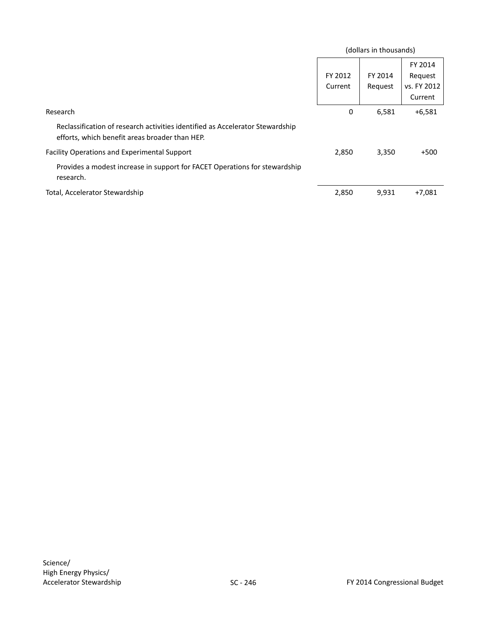|                                                                                                                                 |                    | (dollars in thousands) |                                              |
|---------------------------------------------------------------------------------------------------------------------------------|--------------------|------------------------|----------------------------------------------|
|                                                                                                                                 | FY 2012<br>Current | FY 2014<br>Request     | FY 2014<br>Request<br>vs. FY 2012<br>Current |
| Research                                                                                                                        | 0                  | 6,581                  | $+6,581$                                     |
| Reclassification of research activities identified as Accelerator Stewardship<br>efforts, which benefit areas broader than HEP. |                    |                        |                                              |
| <b>Facility Operations and Experimental Support</b>                                                                             | 2,850              | 3,350                  | $+500$                                       |
| Provides a modest increase in support for FACET Operations for stewardship<br>research.                                         |                    |                        |                                              |
| Total, Accelerator Stewardship                                                                                                  | 2,850              | 9,931                  | $+7,081$                                     |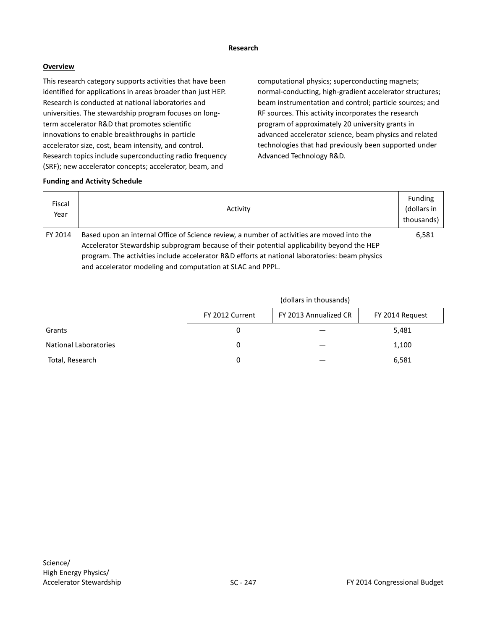#### **Research**

## **Overview**

This research category supports activities that have been identified for applications in areas broader than just HEP. Research is conducted at national laboratories and universities. The stewardship program focuses on longterm accelerator R&D that promotes scientific innovations to enable breakthroughs in particle accelerator size, cost, beam intensity, and control. Research topics include superconducting radio frequency (SRF); new accelerator concepts; accelerator, beam, and

computational physics; superconducting magnets; normal-conducting, high-gradient accelerator structures; beam instrumentation and control; particle sources; and RF sources. This activity incorporates the research program of approximately 20 university grants in advanced accelerator science, beam physics and related technologies that had previously been supported under Advanced Technology R&D.

## **Funding and Activity Schedule**

| Fiscal<br>Year | Activity                                                                                       | <b>Funding</b><br>(dollars in<br>thousands) |
|----------------|------------------------------------------------------------------------------------------------|---------------------------------------------|
| FY 2014        | Based upon an internal Office of Science review, a number of activities are moved into the     | 6,581                                       |
|                | Accelerator Stewardship subprogram because of their potential applicability beyond the HEP     |                                             |
|                | program. The activities include accelerator R&D efforts at national laboratories: beam physics |                                             |

and accelerator modeling and computation at SLAC and PPPL.

|                              | (dollars in thousands)                                      |  |       |  |
|------------------------------|-------------------------------------------------------------|--|-------|--|
|                              | FY 2013 Annualized CR<br>FY 2012 Current<br>FY 2014 Request |  |       |  |
| Grants                       | 0                                                           |  | 5,481 |  |
| <b>National Laboratories</b> | 0                                                           |  | 1,100 |  |
| Total, Research              | 0                                                           |  | 6,581 |  |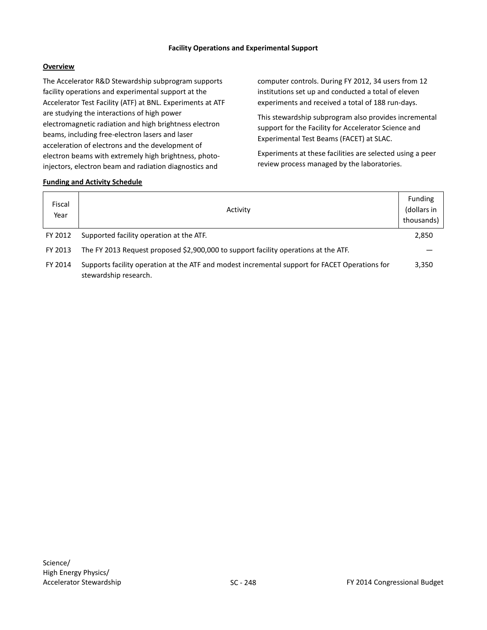## **Facility Operations and Experimental Support**

## **Overview**

The Accelerator R&D Stewardship subprogram supports facility operations and experimental support at the Accelerator Test Facility (ATF) at BNL. Experiments at ATF are studying the interactions of high power electromagnetic radiation and high brightness electron beams, including free-electron lasers and laser acceleration of electrons and the development of electron beams with extremely high brightness, photoinjectors, electron beam and radiation diagnostics and

computer controls. During FY 2012, 34 users from 12 institutions set up and conducted a total of eleven experiments and received a total of 188 run-days.

This stewardship subprogram also provides incremental support for the Facility for Accelerator Science and Experimental Test Beams (FACET) at SLAC.

Experiments at these facilities are selected using a peer review process managed by the laboratories.

| Fiscal<br>Year | Activity                                                                                                                | <b>Funding</b><br>(dollars in<br>thousands) |
|----------------|-------------------------------------------------------------------------------------------------------------------------|---------------------------------------------|
| FY 2012        | Supported facility operation at the ATF.                                                                                | 2,850                                       |
| FY 2013        | The FY 2013 Request proposed \$2,900,000 to support facility operations at the ATF.                                     |                                             |
| FY 2014        | Supports facility operation at the ATF and modest incremental support for FACET Operations for<br>stewardship research. | 3,350                                       |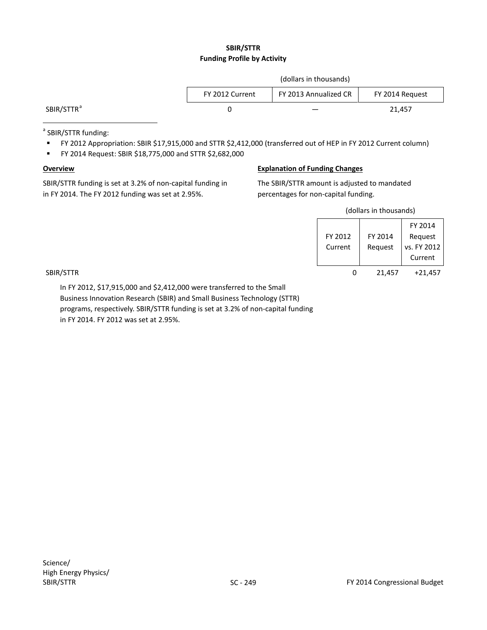## **SBIR/STTR Funding Profile by Activity**

|                        | (dollars in thousands)                                      |  |        |  |
|------------------------|-------------------------------------------------------------|--|--------|--|
|                        | FY 2013 Annualized CR<br>FY 2012 Current<br>FY 2014 Request |  |        |  |
| SBIR/STTR <sup>a</sup> |                                                             |  | 21,457 |  |
|                        |                                                             |  |        |  |

<sup>a</sup> SBIR/STTR funding:

- FY 2012 Appropriation: SBIR \$17,915,000 and STTR \$2,412,000 (transferred out of HEP in FY 2012 Current column)
- FY 2014 Request: SBIR \$18,775,000 and STTR \$2,682,000

#### **Overview**

SBIR/STTR funding is set at 3.2% of non-capital funding in in FY 2014. The FY 2012 funding was set at 2.95%.

## **Explanation of Funding Changes**

The SBIR/STTR amount is adjusted to mandated percentages for non-capital funding.

(dollars in thousands)

|           |         |         | FY 2014     |
|-----------|---------|---------|-------------|
|           | FY 2012 | FY 2014 | Request     |
|           | Current | Request | vs. FY 2012 |
|           |         |         | Current     |
| SBIR/STTR | 0       | 21,457  | $+21,457$   |

In FY 2012, \$17,915,000 and \$2,412,000 were transferred to the Small Business Innovation Research (SBIR) and Small Business Technology (STTR) programs, respectively. SBIR/STTR funding is set at 3.2% of non-capital funding in FY 2014. FY 2012 was set at 2.95%.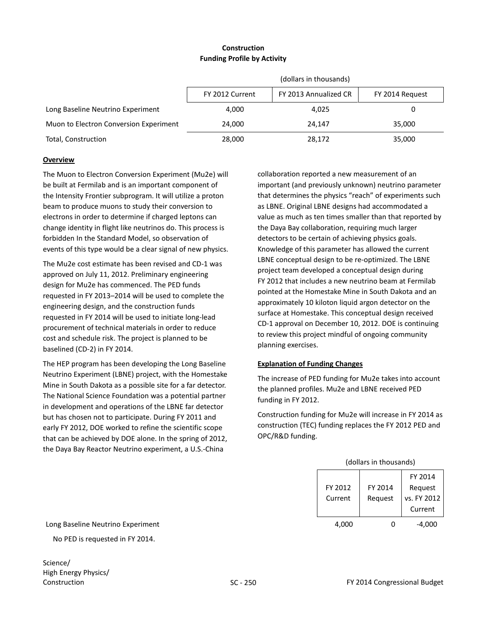## **Construction Funding Profile by Activity**

|                                        | (dollars in thousands)                                      |        |        |  |
|----------------------------------------|-------------------------------------------------------------|--------|--------|--|
|                                        | FY 2013 Annualized CR<br>FY 2012 Current<br>FY 2014 Request |        |        |  |
| Long Baseline Neutrino Experiment      | 4.000                                                       | 4,025  |        |  |
| Muon to Electron Conversion Experiment | 24.000                                                      | 24.147 | 35,000 |  |
| Total, Construction                    | 28,000                                                      | 28,172 | 35,000 |  |

## **Overview**

The Muon to Electron Conversion Experiment (Mu2e) will be built at Fermilab and is an important component of the Intensity Frontier subprogram. It will utilize a proton beam to produce muons to study their conversion to electrons in order to determine if charged leptons can change identity in flight like neutrinos do. This process is forbidden In the Standard Model, so observation of events of this type would be a clear signal of new physics.

The Mu2e cost estimate has been revised and CD-1 was approved on July 11, 2012. Preliminary engineering design for Mu2e has commenced. The PED funds requested in FY 2013–2014 will be used to complete the engineering design, and the construction funds requested in FY 2014 will be used to initiate long-lead procurement of technical materials in order to reduce cost and schedule risk. The project is planned to be baselined (CD-2) in FY 2014.

The HEP program has been developing the Long Baseline Neutrino Experiment (LBNE) project, with the Homestake Mine in South Dakota as a possible site for a far detector. The National Science Foundation was a potential partner in development and operations of the LBNE far detector but has chosen not to participate. During FY 2011 and early FY 2012, DOE worked to refine the scientific scope that can be achieved by DOE alone. In the spring of 2012, the Daya Bay Reactor Neutrino experiment, a U.S.-China

collaboration reported a new measurement of an important (and previously unknown) neutrino parameter that determines the physics "reach" of experiments such as LBNE. Original LBNE designs had accommodated a value as much as ten times smaller than that reported by the Daya Bay collaboration, requiring much larger detectors to be certain of achieving physics goals. Knowledge of this parameter has allowed the current LBNE conceptual design to be re-optimized. The LBNE project team developed a conceptual design during FY 2012 that includes a new neutrino beam at Fermilab pointed at the Homestake Mine in South Dakota and an approximately 10 kiloton liquid argon detector on the surface at Homestake. This conceptual design received CD-1 approval on December 10, 2012. DOE is continuing to review this project mindful of ongoing community planning exercises.

## **Explanation of Funding Changes**

The increase of PED funding for Mu2e takes into account the planned profiles. Mu2e and LBNE received PED funding in FY 2012.

Construction funding for Mu2e will increase in FY 2014 as construction (TEC) funding replaces the FY 2012 PED and OPC/R&D funding.

| (dollars in thousands) |         |             |  |  |
|------------------------|---------|-------------|--|--|
| FY 2014                |         |             |  |  |
| FY 2012                | FY 2014 | Request     |  |  |
| Current                | Request | vs. FY 2012 |  |  |
|                        |         | Current     |  |  |
|                        |         |             |  |  |

Long Baseline Neutrino Experiment

No PED is requested in FY 2014.

Science/ High Energy Physics/ Construction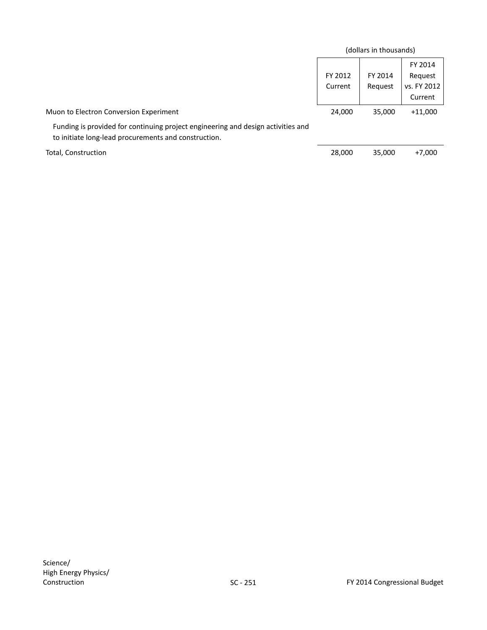|                                                                                                                                          |         | (dollars in thousands) |             |
|------------------------------------------------------------------------------------------------------------------------------------------|---------|------------------------|-------------|
|                                                                                                                                          |         |                        | FY 2014     |
|                                                                                                                                          | FY 2012 | FY 2014                | Request     |
|                                                                                                                                          | Current | Request                | vs. FY 2012 |
|                                                                                                                                          |         |                        | Current     |
| Muon to Electron Conversion Experiment                                                                                                   | 24,000  | 35,000                 | $+11,000$   |
| Funding is provided for continuing project engineering and design activities and<br>to initiate long-lead procurements and construction. |         |                        |             |
| Total, Construction                                                                                                                      | 28,000  | 35,000                 | $+7,000$    |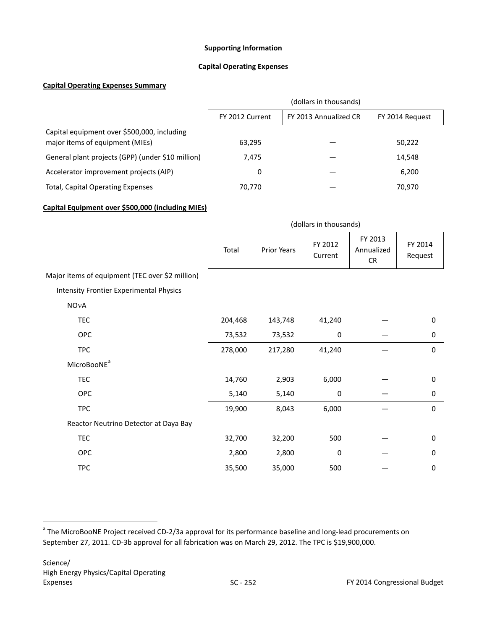#### **Supporting Information**

#### **Capital Operating Expenses**

## **Capital Operating Expenses Summary**

<span id="page-45-0"></span>

|                                                                                | (dollars in thousands) |                       |                 |
|--------------------------------------------------------------------------------|------------------------|-----------------------|-----------------|
|                                                                                | FY 2012 Current        | FY 2013 Annualized CR | FY 2014 Request |
| Capital equipment over \$500,000, including<br>major items of equipment (MIEs) | 63,295                 |                       | 50,222          |
| General plant projects (GPP) (under \$10 million)                              | 7.475                  |                       | 14.548          |
| Accelerator improvement projects (AIP)                                         | 0                      |                       | 6,200           |
| <b>Total, Capital Operating Expenses</b>                                       | 70,770                 |                       | 70,970          |

## **Capital Equipment over \$500,000 (including MIEs)**

|                                                 | (dollars in thousands) |             |                    |                                    |                    |
|-------------------------------------------------|------------------------|-------------|--------------------|------------------------------------|--------------------|
|                                                 | Total                  | Prior Years | FY 2012<br>Current | FY 2013<br>Annualized<br><b>CR</b> | FY 2014<br>Request |
| Major items of equipment (TEC over \$2 million) |                        |             |                    |                                    |                    |
| <b>Intensity Frontier Experimental Physics</b>  |                        |             |                    |                                    |                    |
| NOvA                                            |                        |             |                    |                                    |                    |
| <b>TEC</b>                                      | 204,468                | 143,748     | 41,240             |                                    | 0                  |
| <b>OPC</b>                                      | 73,532                 | 73,532      | 0                  |                                    | 0                  |
| <b>TPC</b>                                      | 278,000                | 217,280     | 41,240             |                                    | $\Omega$           |
| MicroBooNE <sup>a</sup>                         |                        |             |                    |                                    |                    |
| <b>TEC</b>                                      | 14,760                 | 2,903       | 6,000              |                                    | $\mathbf 0$        |
| OPC                                             | 5,140                  | 5,140       | 0                  |                                    | 0                  |
| <b>TPC</b>                                      | 19,900                 | 8,043       | 6,000              |                                    | $\mathbf 0$        |
| Reactor Neutrino Detector at Daya Bay           |                        |             |                    |                                    |                    |
| <b>TEC</b>                                      | 32,700                 | 32,200      | 500                |                                    | 0                  |
| <b>OPC</b>                                      | 2,800                  | 2,800       | 0                  |                                    | 0                  |
| <b>TPC</b>                                      | 35,500                 | 35,000      | 500                |                                    | 0                  |

<span id="page-45-1"></span><sup>&</sup>lt;sup>a</sup> The MicroBooNE Project received CD-2/3a approval for its performance baseline and long-lead procurements on September 27, 2011. CD-3b approval for all fabrication was on March 29, 2012. The TPC is \$19,900,000.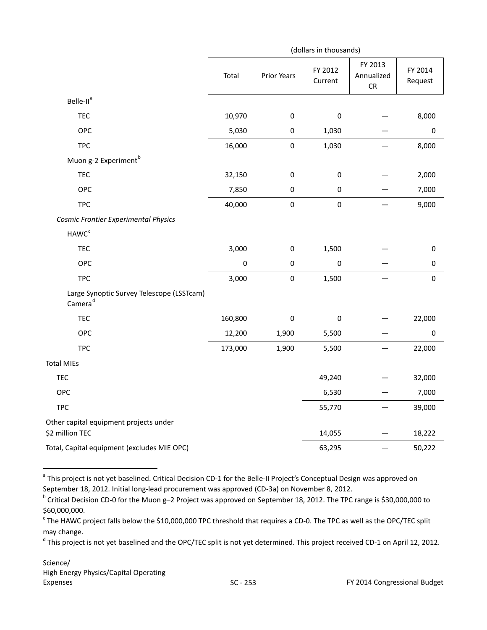|                                                                  |             |             | (dollars in thousands) |                                     |                    |
|------------------------------------------------------------------|-------------|-------------|------------------------|-------------------------------------|--------------------|
|                                                                  | Total       | Prior Years | FY 2012<br>Current     | FY 2013<br>Annualized<br>${\sf CR}$ | FY 2014<br>Request |
| Belle-II <sup>a</sup>                                            |             |             |                        |                                     |                    |
| <b>TEC</b>                                                       | 10,970      | $\mathbf 0$ | $\pmb{0}$              |                                     | 8,000              |
| OPC                                                              | 5,030       | $\pmb{0}$   | 1,030                  |                                     | $\pmb{0}$          |
| <b>TPC</b>                                                       | 16,000      | $\mathbf 0$ | 1,030                  |                                     | 8,000              |
| Muon g-2 Experiment <sup>b</sup>                                 |             |             |                        |                                     |                    |
| <b>TEC</b>                                                       | 32,150      | $\pmb{0}$   | $\pmb{0}$              |                                     | 2,000              |
| OPC                                                              | 7,850       | $\pmb{0}$   | $\boldsymbol{0}$       |                                     | 7,000              |
| <b>TPC</b>                                                       | 40,000      | $\pmb{0}$   | $\pmb{0}$              |                                     | 9,000              |
| Cosmic Frontier Experimental Physics                             |             |             |                        |                                     |                    |
| HAWC <sup>c</sup>                                                |             |             |                        |                                     |                    |
| <b>TEC</b>                                                       | 3,000       | $\pmb{0}$   | 1,500                  |                                     | $\pmb{0}$          |
| OPC                                                              | $\mathbf 0$ | $\mathbf 0$ | $\pmb{0}$              |                                     | $\pmb{0}$          |
| <b>TPC</b>                                                       | 3,000       | $\mathbf 0$ | 1,500                  |                                     | $\pmb{0}$          |
| Large Synoptic Survey Telescope (LSSTcam)<br>Camera <sup>d</sup> |             |             |                        |                                     |                    |
| <b>TEC</b>                                                       | 160,800     | $\pmb{0}$   | $\pmb{0}$              |                                     | 22,000             |
| OPC                                                              | 12,200      | 1,900       | 5,500                  |                                     | $\boldsymbol{0}$   |
| <b>TPC</b>                                                       | 173,000     | 1,900       | 5,500                  |                                     | 22,000             |
| <b>Total MIEs</b>                                                |             |             |                        |                                     |                    |
| <b>TEC</b>                                                       |             |             | 49,240                 |                                     | 32,000             |
| OPC                                                              |             |             | 6,530                  |                                     | 7,000              |
| <b>TPC</b>                                                       |             |             | 55,770                 |                                     | 39,000             |
| Other capital equipment projects under<br>\$2 million TEC        |             |             | 14,055                 |                                     | 18,222             |
| Total, Capital equipment (excludes MIE OPC)                      |             |             | 63,295                 |                                     | 50,222             |

<span id="page-46-0"></span><sup>&</sup>lt;sup>a</sup> This project is not yet baselined. Critical Decision CD-1 for the Belle-II Project's Conceptual Design was approved on September 18, 2012. Initial long-lead procurement was approved (CD-3a) on November 8, 2012.

<span id="page-46-1"></span><sup>b</sup> Critical Decision CD-0 for the Muon g–2 Project was approved on September 18, 2012. The TPC range is \$30,000,000 to \$60,000,000.

<span id="page-46-2"></span> $c$  The HAWC project falls below the \$10,000,000 TPC threshold that requires a CD-0. The TPC as well as the OPC/TEC split may change.

<span id="page-46-3"></span><sup>&</sup>lt;sup>d</sup> This project is not yet baselined and the OPC/TEC split is not yet determined. This project received CD-1 on April 12, 2012.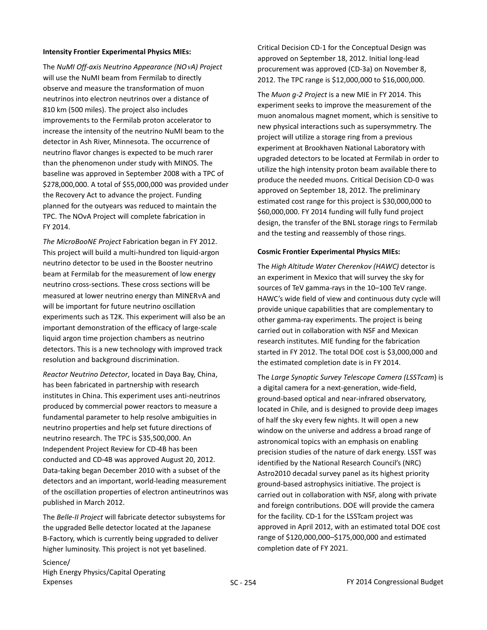#### **Intensity Frontier Experimental Physics MIEs:**

The *NuMI Off-axis Neutrino Appearance (NO*ν*A) Project* will use the NuMI beam from Fermilab to directly observe and measure the transformation of muon neutrinos into electron neutrinos over a distance of 810 km (500 miles). The project also includes improvements to the Fermilab proton accelerator to increase the intensity of the neutrino NuMI beam to the detector in Ash River, Minnesota. The occurrence of neutrino flavor changes is expected to be much rarer than the phenomenon under study with MINOS. The baseline was approved in September 2008 with a TPC of \$278,000,000. A total of \$55,000,000 was provided under the Recovery Act to advance the project. Funding planned for the outyears was reduced to maintain the TPC. The NOvA Project will complete fabrication in FY 2014.

*The MicroBooNE Project* Fabrication began in FY 2012. This project will build a multi-hundred ton liquid-argon neutrino detector to be used in the Booster neutrino beam at Fermilab for the measurement of low energy neutrino cross-sections. These cross sections will be measured at lower neutrino energy than MINERνA and will be important for future neutrino oscillation experiments such as T2K. This experiment will also be an important demonstration of the efficacy of large-scale liquid argon time projection chambers as neutrino detectors. This is a new technology with improved track resolution and background discrimination.

*Reactor Neutrino Detector*, located in Daya Bay, China, has been fabricated in partnership with research institutes in China. This experiment uses anti-neutrinos produced by commercial power reactors to measure a fundamental parameter to help resolve ambiguities in neutrino properties and help set future directions of neutrino research. The TPC is \$35,500,000. An Independent Project Review for CD-4B has been conducted and CD-4B was approved August 20, 2012. Data-taking began December 2010 with a subset of the detectors and an important, world-leading measurement of the oscillation properties of electron antineutrinos was published in March 2012.

The *Belle-II Project* will fabricate detector subsystems for the upgraded Belle detector located at the Japanese B-Factory, which is currently being upgraded to deliver higher luminosity. This project is not yet baselined.

Critical Decision CD-1 for the Conceptual Design was approved on September 18, 2012. Initial long-lead procurement was approved (CD-3a) on November 8, 2012. The TPC range is \$12,000,000 to \$16,000,000.

The *Muon g-2 Project* is a new MIE in FY 2014. This experiment seeks to improve the measurement of the muon anomalous magnet moment, which is sensitive to new physical interactions such as supersymmetry. The project will utilize a storage ring from a previous experiment at Brookhaven National Laboratory with upgraded detectors to be located at Fermilab in order to utilize the high intensity proton beam available there to produce the needed muons. Critical Decision CD-0 was approved on September 18, 2012. The preliminary estimated cost range for this project is \$30,000,000 to \$60,000,000. FY 2014 funding will fully fund project design, the transfer of the BNL storage rings to Fermilab and the testing and reassembly of those rings.

#### **Cosmic Frontier Experimental Physics MIEs:**

The *High Altitude Water Cherenkov (HAWC)* detector is an experiment in Mexico that will survey the sky for sources of TeV gamma-rays in the 10–100 TeV range. HAWC's wide field of view and continuous duty cycle will provide unique capabilities that are complementary to other gamma-ray experiments. The project is being carried out in collaboration with NSF and Mexican research institutes. MIE funding for the fabrication started in FY 2012. The total DOE cost is \$3,000,000 and the estimated completion date is in FY 2014.

The *Large Synoptic Survey Telescope Camera (LSSTcam*) is a digital camera for a next-generation, wide-field, ground-based optical and near-infrared observatory, located in Chile, and is designed to provide deep images of half the sky every few nights. It will open a new window on the universe and address a broad range of astronomical topics with an emphasis on enabling precision studies of the nature of dark energy. LSST was identified by the National Research Council's (NRC) Astro2010 decadal survey panel as its highest priority ground-based astrophysics initiative. The project is carried out in collaboration with NSF, along with private and foreign contributions. DOE will provide the camera for the facility. CD-1 for the LSSTcam project was approved in April 2012, with an estimated total DOE cost range of \$120,000,000–\$175,000,000 and estimated completion date of FY 2021.

Science/ High Energy Physics/Capital Operating Expenses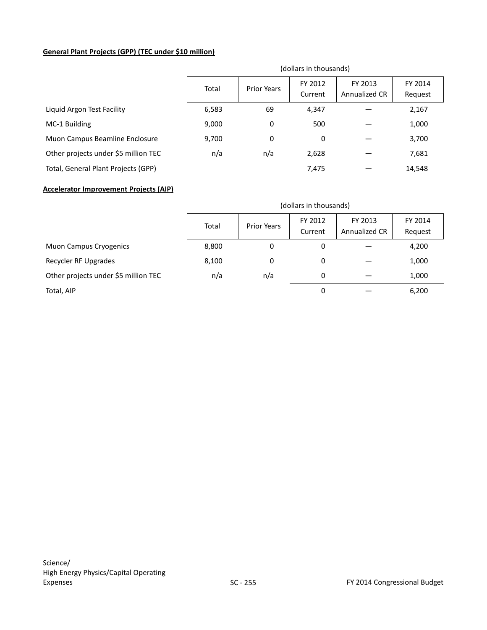## **General Plant Projects (GPP) (TEC under \$10 million)**

|                                      | (dollars in thousands) |                    |                    |                          |                    |
|--------------------------------------|------------------------|--------------------|--------------------|--------------------------|--------------------|
|                                      | Total                  | <b>Prior Years</b> | FY 2012<br>Current | FY 2013<br>Annualized CR | FY 2014<br>Request |
| Liquid Argon Test Facility           | 6,583                  | 69                 | 4,347              |                          | 2,167              |
| MC-1 Building                        | 9,000                  | 0                  | 500                |                          | 1,000              |
| Muon Campus Beamline Enclosure       | 9,700                  | 0                  | 0                  |                          | 3,700              |
| Other projects under \$5 million TEC | n/a                    | n/a                | 2,628              |                          | 7,681              |
| Total, General Plant Projects (GPP)  |                        |                    | 7,475              |                          | 14,548             |

### **Accelerator Improvement Projects (AIP)**

|                                      | (dollars in thousands) |                    |                    |                          |                    |
|--------------------------------------|------------------------|--------------------|--------------------|--------------------------|--------------------|
|                                      | Total                  | <b>Prior Years</b> | FY 2012<br>Current | FY 2013<br>Annualized CR | FY 2014<br>Request |
| <b>Muon Campus Cryogenics</b>        | 8,800                  | 0                  | 0                  |                          | 4,200              |
| Recycler RF Upgrades                 | 8,100                  | 0                  | 0                  |                          | 1,000              |
| Other projects under \$5 million TEC | n/a                    | n/a                | 0                  |                          | 1,000              |
| Total, AIP                           |                        |                    | 0                  |                          | 6,200              |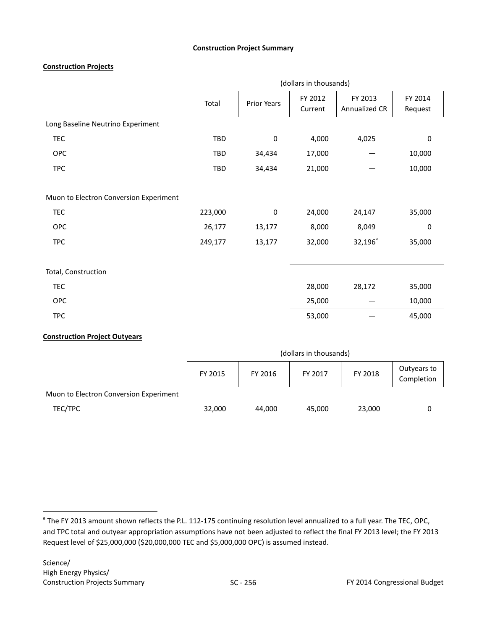## **Construction Project Summary**

## **Construction Projects**

|                                        | (dollars in thousands) |                  |         |               |           |
|----------------------------------------|------------------------|------------------|---------|---------------|-----------|
|                                        | Total                  | Prior Years      | FY 2012 | FY 2013       | FY 2014   |
|                                        |                        |                  | Current | Annualized CR | Request   |
| Long Baseline Neutrino Experiment      |                        |                  |         |               |           |
| <b>TEC</b>                             | TBD                    | $\boldsymbol{0}$ | 4,000   | 4,025         | 0         |
| <b>OPC</b>                             | TBD                    | 34,434           | 17,000  |               | 10,000    |
| <b>TPC</b>                             | TBD                    | 34,434           | 21,000  |               | 10,000    |
|                                        |                        |                  |         |               |           |
| Muon to Electron Conversion Experiment |                        |                  |         |               |           |
| <b>TEC</b>                             | 223,000                | $\boldsymbol{0}$ | 24,000  | 24,147        | 35,000    |
| <b>OPC</b>                             | 26,177                 | 13,177           | 8,000   | 8,049         | $\pmb{0}$ |
| <b>TPC</b>                             | 249,177                | 13,177           | 32,000  | $32,196^a$    | 35,000    |
|                                        |                        |                  |         |               |           |
| Total, Construction                    |                        |                  |         |               |           |
| <b>TEC</b>                             |                        |                  | 28,000  | 28,172        | 35,000    |
| <b>OPC</b>                             |                        |                  | 25,000  |               | 10,000    |
| <b>TPC</b>                             |                        |                  | 53,000  |               | 45,000    |
|                                        |                        |                  |         |               |           |

## **Construction Project Outyears**

|                                        | (dollars in thousands) |         |         |         |                           |
|----------------------------------------|------------------------|---------|---------|---------|---------------------------|
|                                        | FY 2015                | FY 2016 | FY 2017 | FY 2018 | Outyears to<br>Completion |
| Muon to Electron Conversion Experiment |                        |         |         |         |                           |
| TEC/TPC                                | 32,000                 | 44.000  | 45.000  | 23,000  | 0                         |

<sup>&</sup>lt;sup>a</sup> The FY 2013 amount shown reflects the P.L. 112-175 continuing resolution level annualized to a full year. The TEC, OPC, and TPC total and outyear appropriation assumptions have not been adjusted to reflect the final FY 2013 level; the FY 2013 Request level of \$25,000,000 (\$20,000,000 TEC and \$5,000,000 OPC) is assumed instead.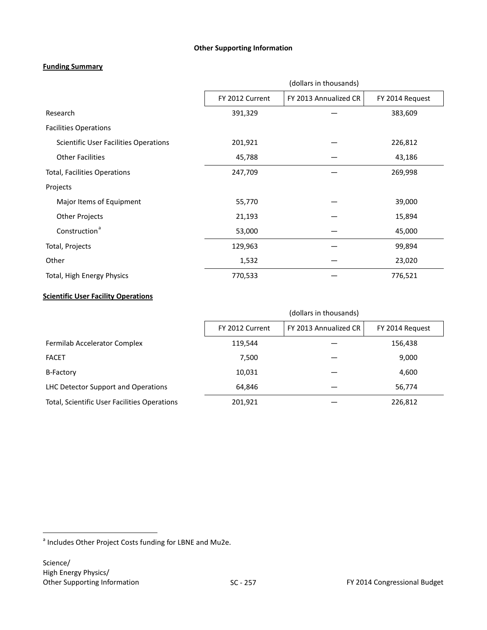## **Other Supporting Information**

## **Funding Summary**

|                                       | (dollars in thousands) |                       |                 |  |  |
|---------------------------------------|------------------------|-----------------------|-----------------|--|--|
|                                       | FY 2012 Current        | FY 2013 Annualized CR | FY 2014 Request |  |  |
| Research                              | 391,329                |                       | 383,609         |  |  |
| <b>Facilities Operations</b>          |                        |                       |                 |  |  |
| Scientific User Facilities Operations | 201,921                |                       | 226,812         |  |  |
| <b>Other Facilities</b>               | 45,788                 |                       | 43,186          |  |  |
| <b>Total, Facilities Operations</b>   | 247,709                |                       | 269,998         |  |  |
| Projects                              |                        |                       |                 |  |  |
| Major Items of Equipment              | 55,770                 |                       | 39,000          |  |  |
| <b>Other Projects</b>                 | 21,193                 |                       | 15,894          |  |  |
| Construction <sup>a</sup>             | 53,000                 |                       | 45,000          |  |  |
| Total, Projects                       | 129,963                |                       | 99,894          |  |  |
| Other                                 | 1,532                  |                       | 23,020          |  |  |
| Total, High Energy Physics            | 770,533                |                       | 776,521         |  |  |

## **Scientific User Facility Operations**

|                                              | (dollars in thousands) |                       |                 |  |
|----------------------------------------------|------------------------|-----------------------|-----------------|--|
|                                              | FY 2012 Current        | FY 2013 Annualized CR | FY 2014 Request |  |
| Fermilab Accelerator Complex                 | 119,544                |                       | 156,438         |  |
| <b>FACET</b>                                 | 7,500                  |                       | 9,000           |  |
| <b>B-Factory</b>                             | 10,031                 |                       | 4,600           |  |
| LHC Detector Support and Operations          | 64,846                 |                       | 56,774          |  |
| Total, Scientific User Facilities Operations | 201,921                |                       | 226,812         |  |

<span id="page-50-0"></span> $^{\circ}$  Includes Other Project Costs funding for LBNE and Mu2e.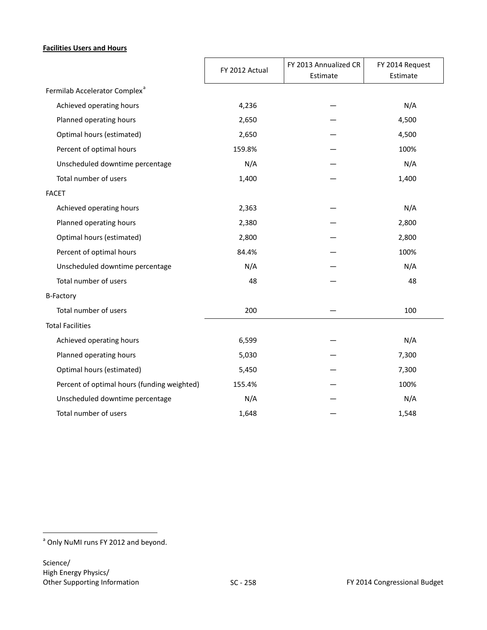## **Facilities Users and Hours**

|                                             | FY 2012 Actual | FY 2013 Annualized CR<br>Estimate | FY 2014 Request<br>Estimate |
|---------------------------------------------|----------------|-----------------------------------|-----------------------------|
| Fermilab Accelerator Complex <sup>a</sup>   |                |                                   |                             |
| Achieved operating hours                    | 4,236          |                                   | N/A                         |
| Planned operating hours                     | 2,650          |                                   | 4,500                       |
| Optimal hours (estimated)                   | 2,650          |                                   | 4,500                       |
| Percent of optimal hours                    | 159.8%         |                                   | 100%                        |
| Unscheduled downtime percentage             | N/A            |                                   | N/A                         |
| Total number of users                       | 1,400          |                                   | 1,400                       |
| <b>FACET</b>                                |                |                                   |                             |
| Achieved operating hours                    | 2,363          |                                   | N/A                         |
| Planned operating hours                     | 2,380          |                                   | 2,800                       |
| Optimal hours (estimated)                   | 2,800          |                                   | 2,800                       |
| Percent of optimal hours                    | 84.4%          |                                   | 100%                        |
| Unscheduled downtime percentage             | N/A            |                                   | N/A                         |
| Total number of users                       | 48             |                                   | 48                          |
| <b>B-Factory</b>                            |                |                                   |                             |
| Total number of users                       | 200            |                                   | 100                         |
| <b>Total Facilities</b>                     |                |                                   |                             |
| Achieved operating hours                    | 6,599          |                                   | N/A                         |
| Planned operating hours                     | 5,030          |                                   | 7,300                       |
| Optimal hours (estimated)                   | 5,450          |                                   | 7,300                       |
| Percent of optimal hours (funding weighted) | 155.4%         |                                   | 100%                        |
| Unscheduled downtime percentage             | N/A            |                                   | N/A                         |
| Total number of users                       | 1,648          |                                   | 1,548                       |

<span id="page-51-0"></span><sup>&</sup>lt;sup>a</sup> Only NuMI runs FY 2012 and beyond.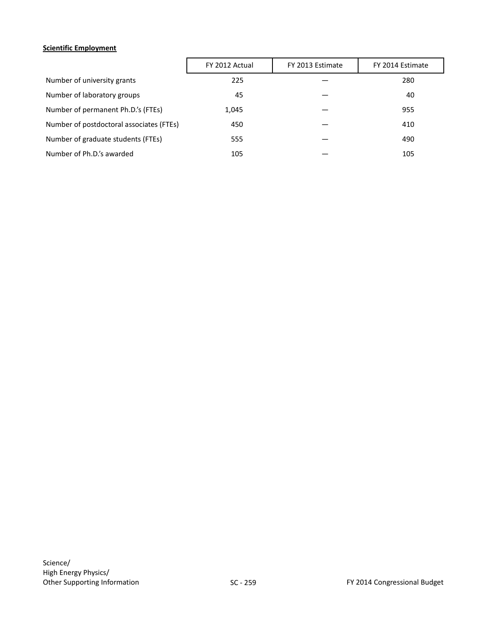## **Scientific Employment**

|                                          | FY 2012 Actual | FY 2013 Estimate | FY 2014 Estimate |
|------------------------------------------|----------------|------------------|------------------|
| Number of university grants              | 225            |                  | 280              |
| Number of laboratory groups              | 45             |                  | 40               |
| Number of permanent Ph.D.'s (FTEs)       | 1,045          |                  | 955              |
| Number of postdoctoral associates (FTEs) | 450            |                  | 410              |
| Number of graduate students (FTEs)       | 555            |                  | 490              |
| Number of Ph.D.'s awarded                | 105            |                  | 105              |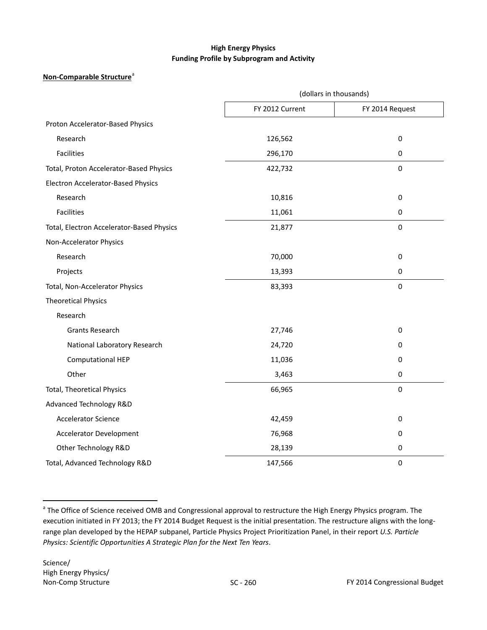## **High Energy Physics Funding Profile by Subprogram and Activity**

## **Non-Comp[a](#page-53-0)rable Structure**<sup>a</sup>

|                                           | (dollars in thousands) |                  |  |  |
|-------------------------------------------|------------------------|------------------|--|--|
|                                           | FY 2012 Current        | FY 2014 Request  |  |  |
| Proton Accelerator-Based Physics          |                        |                  |  |  |
| Research                                  | 126,562                | $\pmb{0}$        |  |  |
| <b>Facilities</b>                         | 296,170                | $\mathbf 0$      |  |  |
| Total, Proton Accelerator-Based Physics   | 422,732                | $\pmb{0}$        |  |  |
| Electron Accelerator-Based Physics        |                        |                  |  |  |
| Research                                  | 10,816                 | $\pmb{0}$        |  |  |
| <b>Facilities</b>                         | 11,061                 | $\pmb{0}$        |  |  |
| Total, Electron Accelerator-Based Physics | 21,877                 | $\pmb{0}$        |  |  |
| Non-Accelerator Physics                   |                        |                  |  |  |
| Research                                  | 70,000                 | $\boldsymbol{0}$ |  |  |
| Projects                                  | 13,393                 | $\mathbf 0$      |  |  |
| Total, Non-Accelerator Physics            | 83,393                 | $\mathbf 0$      |  |  |
| <b>Theoretical Physics</b>                |                        |                  |  |  |
| Research                                  |                        |                  |  |  |
| <b>Grants Research</b>                    | 27,746                 | $\boldsymbol{0}$ |  |  |
| National Laboratory Research              | 24,720                 | $\boldsymbol{0}$ |  |  |
| <b>Computational HEP</b>                  | 11,036                 | 0                |  |  |
| Other                                     | 3,463                  | $\pmb{0}$        |  |  |
| <b>Total, Theoretical Physics</b>         | 66,965                 | $\pmb{0}$        |  |  |
| Advanced Technology R&D                   |                        |                  |  |  |
| <b>Accelerator Science</b>                | 42,459                 | $\boldsymbol{0}$ |  |  |
| <b>Accelerator Development</b>            | 76,968                 | $\boldsymbol{0}$ |  |  |
| Other Technology R&D                      | 28,139                 | $\pmb{0}$        |  |  |
| Total, Advanced Technology R&D            | 147,566                | $\mathbf 0$      |  |  |

<span id="page-53-0"></span><sup>&</sup>lt;sup>a</sup> The Office of Science received OMB and Congressional approval to restructure the High Energy Physics program. The execution initiated in FY 2013; the FY 2014 Budget Request is the initial presentation. The restructure aligns with the longrange plan developed by the HEPAP subpanel, Particle Physics Project Prioritization Panel, in their report *U.S. Particle Physics: Scientific Opportunities A Strategic Plan for the Next Ten Years*.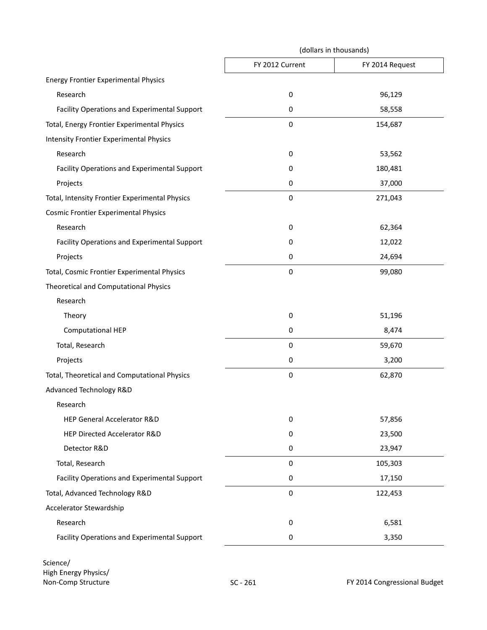|                                                | (dollars in thousands) |                 |  |  |
|------------------------------------------------|------------------------|-----------------|--|--|
|                                                | FY 2012 Current        | FY 2014 Request |  |  |
| <b>Energy Frontier Experimental Physics</b>    |                        |                 |  |  |
| Research                                       | $\pmb{0}$              | 96,129          |  |  |
| Facility Operations and Experimental Support   | 0                      | 58,558          |  |  |
| Total, Energy Frontier Experimental Physics    | $\pmb{0}$              | 154,687         |  |  |
| <b>Intensity Frontier Experimental Physics</b> |                        |                 |  |  |
| Research                                       | 0                      | 53,562          |  |  |
| Facility Operations and Experimental Support   | 0                      | 180,481         |  |  |
| Projects                                       | 0                      | 37,000          |  |  |
| Total, Intensity Frontier Experimental Physics | $\pmb{0}$              | 271,043         |  |  |
| <b>Cosmic Frontier Experimental Physics</b>    |                        |                 |  |  |
| Research                                       | $\pmb{0}$              | 62,364          |  |  |
| Facility Operations and Experimental Support   | 0                      | 12,022          |  |  |
| Projects                                       | 0                      | 24,694          |  |  |
| Total, Cosmic Frontier Experimental Physics    | $\pmb{0}$              | 99,080          |  |  |
| Theoretical and Computational Physics          |                        |                 |  |  |
| Research                                       |                        |                 |  |  |
| Theory                                         | $\boldsymbol{0}$       | 51,196          |  |  |
| <b>Computational HEP</b>                       | $\boldsymbol{0}$       | 8,474           |  |  |
| Total, Research                                | $\boldsymbol{0}$       | 59,670          |  |  |
| Projects                                       | 0                      | 3,200           |  |  |
| Total, Theoretical and Computational Physics   | $\pmb{0}$              | 62,870          |  |  |
| Advanced Technology R&D                        |                        |                 |  |  |
| Research                                       |                        |                 |  |  |
| HEP General Accelerator R&D                    | 0                      | 57,856          |  |  |
| HEP Directed Accelerator R&D                   | 0                      | 23,500          |  |  |
| Detector R&D                                   | 0                      | 23,947          |  |  |
| Total, Research                                | $\pmb{0}$              | 105,303         |  |  |
| Facility Operations and Experimental Support   | $\pmb{0}$              | 17,150          |  |  |
| Total, Advanced Technology R&D                 | $\pmb{0}$              | 122,453         |  |  |
| Accelerator Stewardship                        |                        |                 |  |  |
| Research                                       | $\pmb{0}$              | 6,581           |  |  |
| Facility Operations and Experimental Support   | 0                      | 3,350           |  |  |

Science/ High Energy Physics/ Non-Comp Structure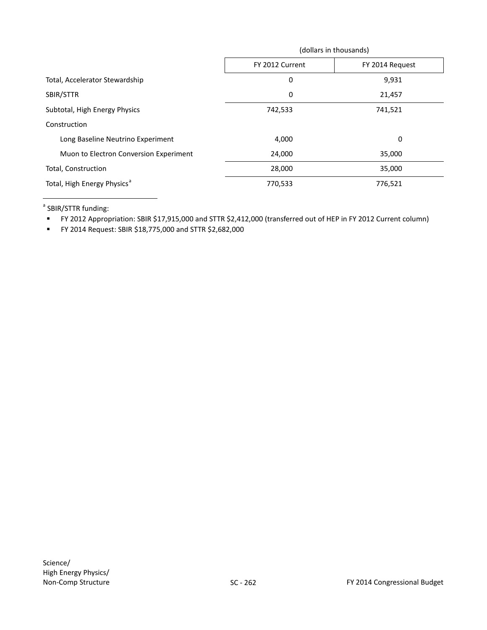|                                         | (dollars in thousands) |                 |  |  |  |
|-----------------------------------------|------------------------|-----------------|--|--|--|
|                                         | FY 2012 Current        | FY 2014 Request |  |  |  |
| Total, Accelerator Stewardship          | 0                      | 9,931           |  |  |  |
| SBIR/STTR                               | 0                      | 21,457          |  |  |  |
| Subtotal, High Energy Physics           | 742,533                | 741,521         |  |  |  |
| Construction                            |                        |                 |  |  |  |
| Long Baseline Neutrino Experiment       | 4,000                  | 0               |  |  |  |
| Muon to Electron Conversion Experiment  | 24,000                 | 35,000          |  |  |  |
| Total, Construction                     | 28,000                 | 35,000          |  |  |  |
| Total, High Energy Physics <sup>a</sup> | 770,533                | 776,521         |  |  |  |

<sup>a</sup> SBIR/STTR funding:

 $\overline{a}$ 

FY 2012 Appropriation: SBIR \$17,915,000 and STTR \$2,412,000 (transferred out of HEP in FY 2012 Current column)

FY 2014 Request: SBIR \$18,775,000 and STTR \$2,682,000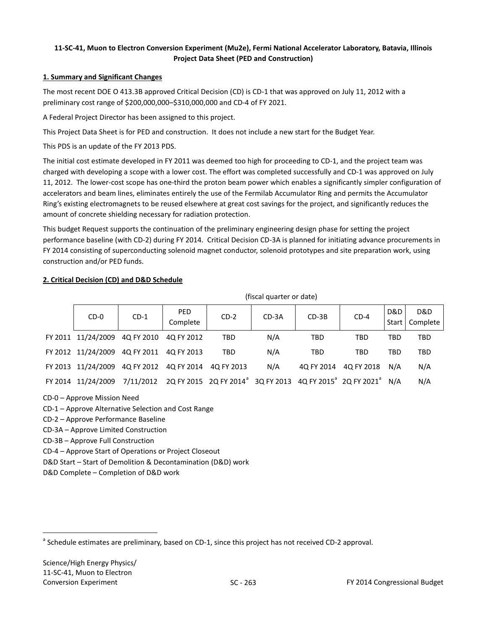## **11-SC-41, Muon to Electron Conversion Experiment (Mu2e), Fermi National Accelerator Laboratory, Batavia, Illinois Project Data Sheet (PED and Construction)**

## **1. Summary and Significant Changes**

The most recent DOE O 413.3B approved Critical Decision (CD) is CD-1 that was approved on July 11, 2012 with a preliminary cost range of \$200,000,000–\$310,000,000 and CD-4 of FY 2021.

A Federal Project Director has been assigned to this project.

This Project Data Sheet is for PED and construction. It does not include a new start for the Budget Year.

This PDS is an update of the FY 2013 PDS.

The initial cost estimate developed in FY 2011 was deemed too high for proceeding to CD-1, and the project team was charged with developing a scope with a lower cost. The effort was completed successfully and CD-1 was approved on July 11, 2012. The lower-cost scope has one-third the proton beam power which enables a significantly simpler configuration of accelerators and beam lines, eliminates entirely the use of the Fermilab Accumulator Ring and permits the Accumulator Ring's existing electromagnets to be reused elsewhere at great cost savings for the project, and significantly reduces the amount of concrete shielding necessary for radiation protection.

This budget Request supports the continuation of the preliminary engineering design phase for setting the project performance baseline (with CD-2) during FY 2014. Critical Decision CD-3A is planned for initiating advance procurements in FY 2014 consisting of superconducting solenoid magnet conductor, solenoid prototypes and site preparation work, using construction and/or PED funds.

## **2. Critical Decision (CD) and D&D Schedule**

| $CD-0$                                              | $CD-1$ | PED.<br>Complete | $CD-2$                                                                                                                         | $CD-3A$ | $CD-3B$    | $CD-4$                | D&D        | D&D<br>Start   Complete |
|-----------------------------------------------------|--------|------------------|--------------------------------------------------------------------------------------------------------------------------------|---------|------------|-----------------------|------------|-------------------------|
| FY 2011 11/24/2009 4Q FY 2010 4Q FY 2012            |        |                  | <b>TBD</b>                                                                                                                     | N/A     | <b>TBD</b> | <b>TBD</b>            | <b>TBD</b> | <b>TBD</b>              |
| FY 2012 11/24/2009 4Q FY 2011 4Q FY 2013            |        |                  | <b>TBD</b>                                                                                                                     | N/A     | TBD        | TBD                   | TBD        | TBD                     |
| FY 2013 11/24/2009 4Q FY 2012 4Q FY 2014 4Q FY 2013 |        |                  |                                                                                                                                | N/A     |            | 4Q FY 2014 4Q FY 2018 | N/A        | N/A                     |
|                                                     |        |                  | FY 2014 11/24/2009 7/11/2012 2Q FY 2015 2Q FY 2014 <sup>ª</sup> 3Q FY 2013 4Q FY 2015 <sup>ª</sup> 2Q FY 2021 <sup>ª</sup> N/A |         |            |                       |            | N/A                     |

(fiscal quarter or date)

CD-0 – Approve Mission Need

CD-1 – Approve Alternative Selection and Cost Range

CD-2 – Approve Performance Baseline

CD-3A – Approve Limited Construction

CD-3B – Approve Full Construction

CD-4 – Approve Start of Operations or Project Closeout

D&D Start – Start of Demolition & Decontamination (D&D) work

D&D Complete – Completion of D&D work

<span id="page-56-0"></span><sup>&</sup>lt;sup>a</sup> Schedule estimates are preliminary, based on CD-1, since this project has not received CD-2 approval.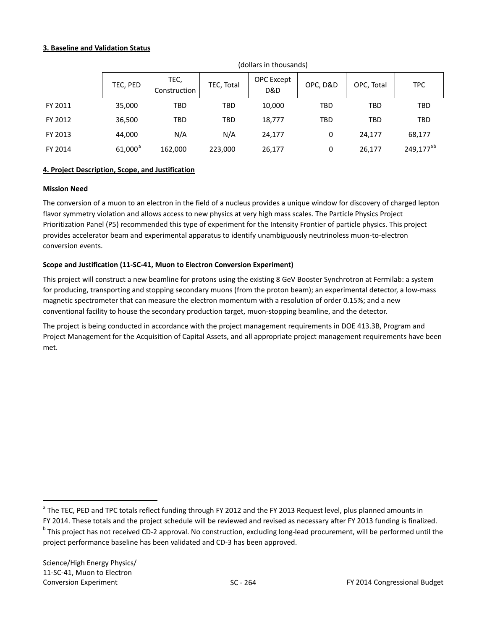## **3. Baseline and Validation Status**

|         | TEC, PED   | TEC,<br>Construction | TEC, Total | OPC Except<br>D&D | OPC, D&D   | OPC, Total | <b>TPC</b>            |
|---------|------------|----------------------|------------|-------------------|------------|------------|-----------------------|
| FY 2011 | 35,000     | TBD                  | <b>TBD</b> | 10,000            | <b>TBD</b> | <b>TBD</b> | <b>TBD</b>            |
| FY 2012 | 36,500     | TBD                  | <b>TBD</b> | 18,777            | <b>TBD</b> | <b>TBD</b> | <b>TBD</b>            |
| FY 2013 | 44,000     | N/A                  | N/A        | 24,177            | 0          | 24,177     | 68,177                |
| FY 2014 | $61,000^a$ | 162,000              | 223,000    | 26,177            | 0          | 26,177     | 249,177 <sup>ab</sup> |

(dollars in thousands)

## **4. Project Description, Scope, and Justification**

#### **Mission Need**

The conversion of a muon to an electron in the field of a nucleus provides a unique window for discovery of charged lepton flavor symmetry violation and allows access to new physics at very high mass scales. The Particle Physics Project Prioritization Panel (P5) recommended this type of experiment for the Intensity Frontier of particle physics. This project provides accelerator beam and experimental apparatus to identify unambiguously neutrinoless muon-to-electron conversion events.

## **Scope and Justification (11-SC-41, Muon to Electron Conversion Experiment)**

This project will construct a new beamline for protons using the existing 8 GeV Booster Synchrotron at Fermilab: a system for producing, transporting and stopping secondary muons (from the proton beam); an experimental detector, a low-mass magnetic spectrometer that can measure the electron momentum with a resolution of order 0.15%; and a new conventional facility to house the secondary production target, muon-stopping beamline, and the detector.

The project is being conducted in accordance with the project management requirements in DOE 413.3B, Program and Project Management for the Acquisition of Capital Assets, and all appropriate project management requirements have been met.

<span id="page-57-0"></span><sup>&</sup>lt;sup>a</sup> The TEC, PED and TPC totals reflect funding through FY 2012 and the FY 2013 Request level, plus planned amounts in

<span id="page-57-1"></span>FY 2014. These totals and the project schedule will be reviewed and revised as necessary after FY 2013 funding is finalized. <sup>b</sup> This project has not received CD-2 approval. No construction, excluding long-lead procurement, will be performed until the project performance baseline has been validated and CD-3 has been approved.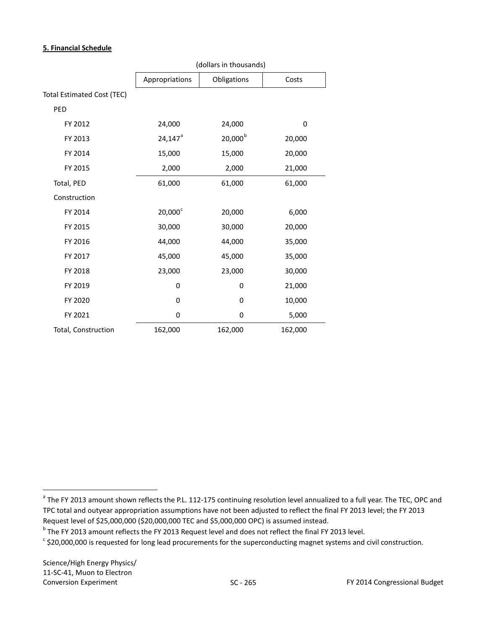## **5. Financial Schedule**

|                            | (dollars in thousands) |              |         |  |  |  |
|----------------------------|------------------------|--------------|---------|--|--|--|
|                            | Appropriations         | Obligations  | Costs   |  |  |  |
| Total Estimated Cost (TEC) |                        |              |         |  |  |  |
| PED                        |                        |              |         |  |  |  |
| FY 2012                    | 24,000                 | 24,000       | 0       |  |  |  |
| FY 2013                    | $24,147$ <sup>a</sup>  | $20,000^{b}$ | 20,000  |  |  |  |
| FY 2014                    | 15,000                 | 15,000       | 20,000  |  |  |  |
| FY 2015                    | 2,000                  | 2,000        | 21,000  |  |  |  |
| Total, PED                 | 61,000                 | 61,000       | 61,000  |  |  |  |
| Construction               |                        |              |         |  |  |  |
| FY 2014                    | $20,000^{\circ}$       | 20,000       | 6,000   |  |  |  |
| FY 2015                    | 30,000                 | 30,000       | 20,000  |  |  |  |
| FY 2016                    | 44,000                 | 44,000       | 35,000  |  |  |  |
| FY 2017                    | 45,000                 | 45,000       | 35,000  |  |  |  |
| FY 2018                    | 23,000                 | 23,000       | 30,000  |  |  |  |
| FY 2019                    | 0                      | 0            | 21,000  |  |  |  |
| FY 2020                    | 0                      | 0            | 10,000  |  |  |  |
| FY 2021                    | 0                      | 0            | 5,000   |  |  |  |
| Total, Construction        | 162,000                | 162,000      | 162,000 |  |  |  |

<span id="page-58-0"></span><sup>&</sup>lt;sup>a</sup> The FY 2013 amount shown reflects the P.L. 112-175 continuing resolution level annualized to a full year. The TEC, OPC and TPC total and outyear appropriation assumptions have not been adjusted to reflect the final FY 2013 level; the FY 2013 Request level of \$25,000,000 (\$20,000,000 TEC and \$5,000,000 OPC) is assumed instead.

<span id="page-58-1"></span> $<sup>b</sup>$  The FY 2013 amount reflects the FY 2013 Request level and does not reflect the final FY 2013 level.</sup>

<span id="page-58-2"></span> $\degree$  \$20,000,000 is requested for long lead procurements for the superconducting magnet systems and civil construction.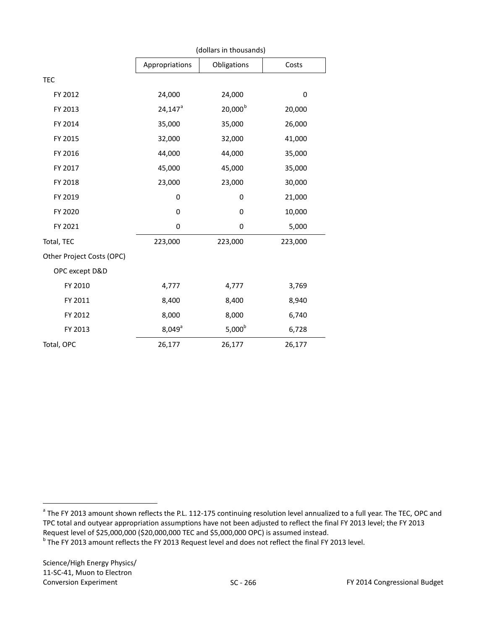|                           | (dollars in thousands) |              |         |  |  |  |
|---------------------------|------------------------|--------------|---------|--|--|--|
|                           | Appropriations         | Obligations  | Costs   |  |  |  |
| <b>TEC</b>                |                        |              |         |  |  |  |
| FY 2012                   | 24,000                 | 24,000       | 0       |  |  |  |
| FY 2013                   | $24,147^a$             | $20,000^{b}$ | 20,000  |  |  |  |
| FY 2014                   | 35,000                 | 35,000       | 26,000  |  |  |  |
| FY 2015                   | 32,000                 | 32,000       | 41,000  |  |  |  |
| FY 2016                   | 44,000                 | 44,000       | 35,000  |  |  |  |
| FY 2017                   | 45,000                 | 45,000       | 35,000  |  |  |  |
| FY 2018                   | 23,000                 | 23,000       | 30,000  |  |  |  |
| FY 2019                   | 0                      | 0            | 21,000  |  |  |  |
| FY 2020                   | 0                      | 0            | 10,000  |  |  |  |
| FY 2021                   | 0                      | 0            | 5,000   |  |  |  |
| Total, TEC                | 223,000                | 223,000      | 223,000 |  |  |  |
| Other Project Costs (OPC) |                        |              |         |  |  |  |
| OPC except D&D            |                        |              |         |  |  |  |
| FY 2010                   | 4,777                  | 4,777        | 3,769   |  |  |  |
| FY 2011                   | 8,400                  | 8,400        | 8,940   |  |  |  |
| FY 2012                   | 8,000                  | 8,000        | 6,740   |  |  |  |
| FY 2013                   | $8,049^{\circ}$        | $5,000^b$    | 6,728   |  |  |  |
| Total, OPC                | 26,177                 | 26,177       | 26,177  |  |  |  |

<span id="page-59-0"></span><sup>&</sup>lt;sup>a</sup> The FY 2013 amount shown reflects the P.L. 112-175 continuing resolution level annualized to a full year. The TEC, OPC and TPC total and outyear appropriation assumptions have not been adjusted to reflect the final FY 2013 level; the FY 2013 Request level of \$25,000,000 (\$20,000,000 TEC and \$5,000,000 OPC) is assumed instead.

<span id="page-59-1"></span> $<sup>b</sup>$  The FY 2013 amount reflects the FY 2013 Request level and does not reflect the final FY 2013 level.</sup>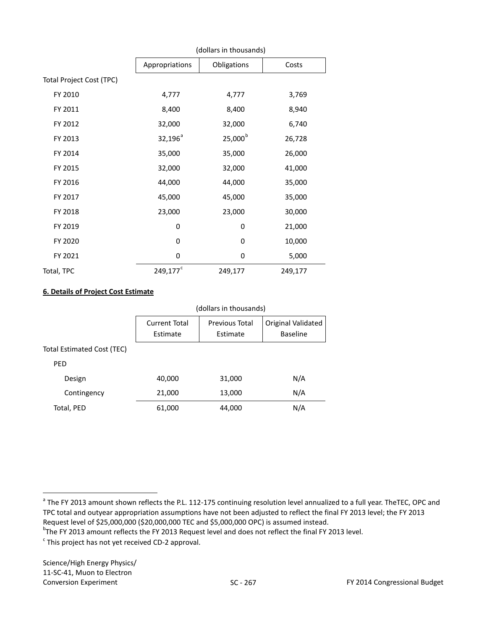|                          | (dollars in thousands) |                  |         |  |  |  |  |
|--------------------------|------------------------|------------------|---------|--|--|--|--|
|                          | Appropriations         | Obligations      | Costs   |  |  |  |  |
| Total Project Cost (TPC) |                        |                  |         |  |  |  |  |
| FY 2010                  | 4,777                  | 4,777            | 3,769   |  |  |  |  |
| FY 2011                  | 8,400                  | 8,400            | 8,940   |  |  |  |  |
| FY 2012                  | 32,000                 | 32,000           | 6,740   |  |  |  |  |
| FY 2013                  | $32,196^a$             | $25,000^{\rm b}$ | 26,728  |  |  |  |  |
| FY 2014                  | 35,000                 | 35,000           | 26,000  |  |  |  |  |
| FY 2015                  | 32,000                 | 32,000           | 41,000  |  |  |  |  |
| FY 2016                  | 44,000                 | 44,000           | 35,000  |  |  |  |  |
| FY 2017                  | 45,000                 | 45,000           | 35,000  |  |  |  |  |
| FY 2018                  | 23,000                 | 23,000           | 30,000  |  |  |  |  |
| FY 2019                  | 0                      | 0                | 21,000  |  |  |  |  |
| FY 2020                  | 0                      | 0                | 10,000  |  |  |  |  |
| FY 2021                  | $\mathbf 0$            | 0                | 5,000   |  |  |  |  |
| Total, TPC               | 249,177 <sup>c</sup>   | 249,177          | 249,177 |  |  |  |  |

## **6. Details of Project Cost Estimate**

|                            |                                  | (dollars in thousands)            |                                       |  |  |  |  |
|----------------------------|----------------------------------|-----------------------------------|---------------------------------------|--|--|--|--|
|                            | <b>Current Total</b><br>Estimate | <b>Previous Total</b><br>Estimate | Original Validated<br><b>Baseline</b> |  |  |  |  |
| Total Estimated Cost (TEC) |                                  |                                   |                                       |  |  |  |  |
| <b>PED</b>                 |                                  |                                   |                                       |  |  |  |  |
| Design                     | 40,000                           | 31,000                            | N/A                                   |  |  |  |  |
| Contingency                | 21,000                           | 13,000                            | N/A                                   |  |  |  |  |
| Total, PED                 | 61,000                           | 44,000                            | N/A                                   |  |  |  |  |

<span id="page-60-0"></span><sup>&</sup>lt;sup>a</sup> The FY 2013 amount shown reflects the P.L. 112-175 continuing resolution level annualized to a full year. TheTEC, OPC and TPC total and outyear appropriation assumptions have not been adjusted to reflect the final FY 2013 level; the FY 2013 Request level of \$25,000,000 (\$20,000,000 TEC and \$5,000,000 OPC) is assumed instead.

<span id="page-60-1"></span><sup>&</sup>lt;sup>b</sup>The FY 2013 amount reflects the FY 2013 Request level and does not reflect the final FY 2013 level.

<span id="page-60-2"></span> $\cdot$  This project has not yet received CD-2 approval.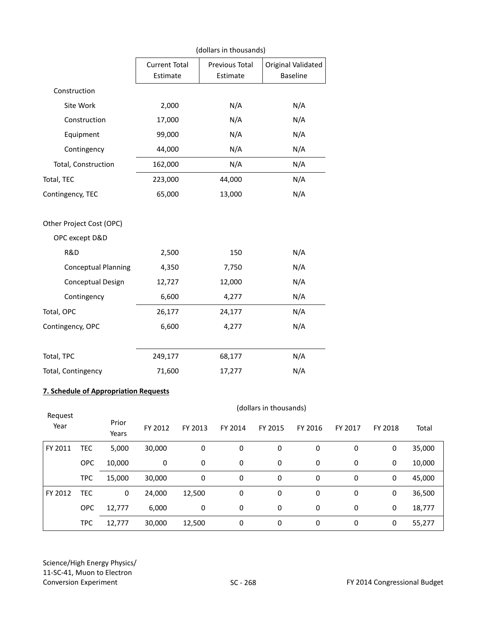|                            | (dollars in thousands)           |                            |                                       |  |  |  |
|----------------------------|----------------------------------|----------------------------|---------------------------------------|--|--|--|
|                            | <b>Current Total</b><br>Estimate | Previous Total<br>Estimate | Original Validated<br><b>Baseline</b> |  |  |  |
| Construction               |                                  |                            |                                       |  |  |  |
| Site Work                  | 2,000                            | N/A                        | N/A                                   |  |  |  |
| Construction               | 17,000                           | N/A                        | N/A                                   |  |  |  |
| Equipment                  | 99,000                           | N/A                        | N/A                                   |  |  |  |
| Contingency                | 44,000                           | N/A                        | N/A                                   |  |  |  |
| Total, Construction        | 162,000                          | N/A                        | N/A                                   |  |  |  |
| Total, TEC                 | 223,000                          | 44,000                     | N/A                                   |  |  |  |
| Contingency, TEC           | 65,000                           | 13,000                     | N/A                                   |  |  |  |
| Other Project Cost (OPC)   |                                  |                            |                                       |  |  |  |
| OPC except D&D             |                                  |                            |                                       |  |  |  |
| R&D                        | 2,500                            | 150                        | N/A                                   |  |  |  |
| <b>Conceptual Planning</b> | 4,350                            | 7,750                      | N/A                                   |  |  |  |
| Conceptual Design          | 12,727                           | 12,000                     | N/A                                   |  |  |  |
| Contingency                | 6,600                            | 4,277                      | N/A                                   |  |  |  |
| Total, OPC                 | 26,177                           | 24,177                     | N/A                                   |  |  |  |
| Contingency, OPC           | 6,600                            | 4,277                      | N/A                                   |  |  |  |
| Total, TPC                 | 249,177                          | 68,177                     | N/A                                   |  |  |  |
| Total, Contingency         | 71,600                           | 17,277                     | N/A                                   |  |  |  |

## **7. Schedule of Appropriation Requests**

| Request |            | (dollars in thousands) |         |         |         |         |         |         |         |        |  |
|---------|------------|------------------------|---------|---------|---------|---------|---------|---------|---------|--------|--|
| Year    |            | Prior<br>Years         | FY 2012 | FY 2013 | FY 2014 | FY 2015 | FY 2016 | FY 2017 | FY 2018 | Total  |  |
| FY 2011 | <b>TEC</b> | 5,000                  | 30,000  | 0       | 0       | 0       | 0       | 0       | 0       | 35,000 |  |
|         | <b>OPC</b> | 10,000                 | 0       | 0       | 0       | 0       | 0       | 0       | 0       | 10,000 |  |
|         | <b>TPC</b> | 15,000                 | 30,000  | 0       | 0       | 0       | 0       | 0       | 0       | 45,000 |  |
| FY 2012 | <b>TEC</b> | 0                      | 24,000  | 12,500  | 0       | 0       | 0       | 0       | 0       | 36,500 |  |
|         | <b>OPC</b> | 12,777                 | 6,000   | 0       | 0       | 0       | 0       | 0       | 0       | 18,777 |  |
|         | <b>TPC</b> | 12,777                 | 30,000  | 12,500  | 0       | 0       | 0       | 0       | 0       | 55,277 |  |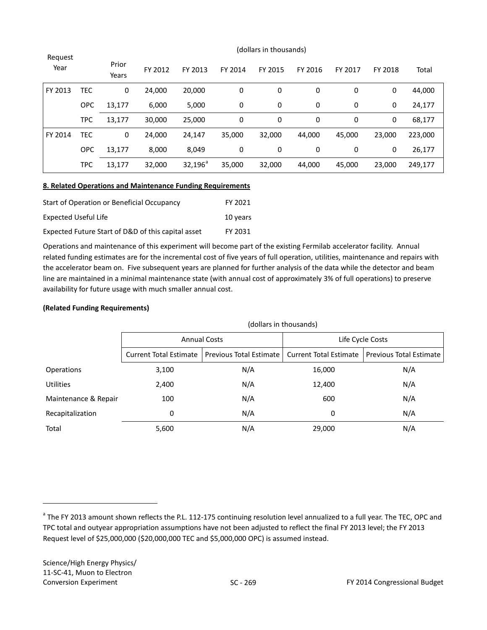| Request<br>Year |            | Prior<br>Years | FY 2012 | FY 2013          | FY 2014 | FY 2015 | FY 2016 | FY 2017 | FY 2018 | Total   |
|-----------------|------------|----------------|---------|------------------|---------|---------|---------|---------|---------|---------|
| FY 2013         | <b>TEC</b> | 0              | 24,000  | 20,000           | 0       | 0       | 0       | 0       | 0       | 44,000  |
|                 | <b>OPC</b> | 13,177         | 6,000   | 5,000            | 0       | 0       | 0       | 0       | 0       | 24,177  |
|                 | <b>TPC</b> | 13,177         | 30,000  | 25,000           | 0       | 0       | 0       | 0       | 0       | 68,177  |
| FY 2014         | <b>TEC</b> | 0              | 24,000  | 24,147           | 35,000  | 32,000  | 44,000  | 45,000  | 23,000  | 223,000 |
|                 | <b>OPC</b> | 13,177         | 8,000   | 8,049            | 0       | 0       | 0       | 0       | 0       | 26,177  |
|                 | <b>TPC</b> | 13,177         | 32,000  | $32,196^{\circ}$ | 35,000  | 32,000  | 44,000  | 45,000  | 23,000  | 249,177 |

#### (dollars in thousands)

## **8. Related Operations and Maintenance Funding Requirements**

| Start of Operation or Beneficial Occupancy         | FY 2021  |
|----------------------------------------------------|----------|
| Expected Useful Life                               | 10 years |
| Expected Future Start of D&D of this capital asset | FY 2031  |

Operations and maintenance of this experiment will become part of the existing Fermilab accelerator facility. Annual related funding estimates are for the incremental cost of five years of full operation, utilities, maintenance and repairs with the accelerator beam on. Five subsequent years are planned for further analysis of the data while the detector and beam line are maintained in a minimal maintenance state (with annual cost of approximately 3% of full operations) to preserve availability for future usage with much smaller annual cost.

## **(Related Funding Requirements)**

|                      | (dollars in thousands)        |                                                  |                  |                                |  |  |  |  |
|----------------------|-------------------------------|--------------------------------------------------|------------------|--------------------------------|--|--|--|--|
|                      |                               | <b>Annual Costs</b>                              | Life Cycle Costs |                                |  |  |  |  |
|                      | <b>Current Total Estimate</b> | Previous Total Estimate   Current Total Estimate |                  | <b>Previous Total Estimate</b> |  |  |  |  |
| <b>Operations</b>    | 3,100                         | N/A                                              | 16,000           | N/A                            |  |  |  |  |
| <b>Utilities</b>     | 2,400                         | N/A                                              | 12,400           | N/A                            |  |  |  |  |
| Maintenance & Repair | 100                           | N/A                                              | 600              | N/A                            |  |  |  |  |
| Recapitalization     | 0                             | N/A                                              | 0                | N/A                            |  |  |  |  |
| Total                | 5,600                         | N/A                                              | 29,000           | N/A                            |  |  |  |  |

<span id="page-62-0"></span><sup>&</sup>lt;sup>a</sup> The FY 2013 amount shown reflects the P.L. 112-175 continuing resolution level annualized to a full year. The TEC, OPC and TPC total and outyear appropriation assumptions have not been adjusted to reflect the final FY 2013 level; the FY 2013 Request level of \$25,000,000 (\$20,000,000 TEC and \$5,000,000 OPC) is assumed instead.